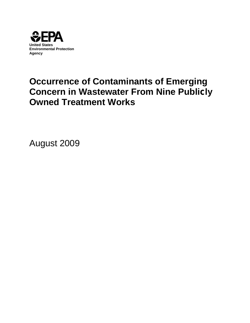

# **Occurrence of Contaminants of Emerging Concern in Wastewater From Nine Publicly Owned Treatment Works**

August 2009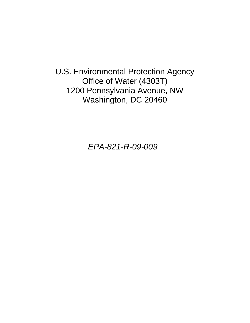U.S. Environmental Protection Agency Office of Water (4303T) 1200 Pennsylvania Avenue, NW Washington, DC 20460

*EPA-821-R-09-009*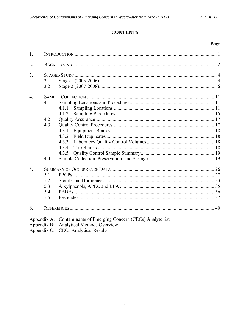# **CONTENTS**

#### Page

| 1.               |                                 |                                                                                                             |  |
|------------------|---------------------------------|-------------------------------------------------------------------------------------------------------------|--|
| 2.               |                                 |                                                                                                             |  |
| $\overline{3}$ . | 3.1<br>3.2                      |                                                                                                             |  |
| $\overline{4}$ . | 4.1<br>4.2<br>4.3               | 4.1.1<br>4.1.2                                                                                              |  |
|                  | 4.4                             | 4.3.2<br>4.3.3<br>4.3.4<br>4.3.5                                                                            |  |
| 5.               | 5.1<br>5.2<br>5.3<br>5.4<br>5.5 |                                                                                                             |  |
| 6.               |                                 |                                                                                                             |  |
|                  |                                 | Appendix A: Contaminants of Emerging Concern (CECs) Analyte list<br>Annendix B: Analytical Methods Overview |  |

Appendix B: Analytical Methods Overview<br>Appendix C: CECs Analytical Results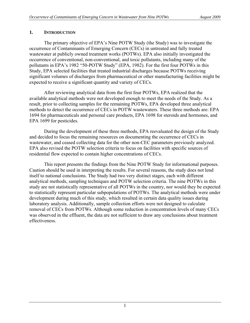## <span id="page-6-0"></span>**1. INTRODUCTION**

 The primary objective of EPA's Nine POTW Study (the Study) was to investigate the occurrence of Contaminants of Emerging Concern (CECs) in untreated and fully treated wastewater at publicly owned treatment works (POTWs). EPA also initially investigated the occurrence of conventional, non-conventional, and toxic pollutants, including many of the pollutants in EPA's 1982 "50-POTW Study" (EPA, 1982). For the first four POTWs in this Study, EPA selected facilities that treated industrial discharges because POTWs receiving significant volumes of discharges from pharmaceutical or other manufacturing facilities might be expected to receive a significant quantity and variety of CECs.

 After reviewing analytical data from the first four POTWs, EPA realized that the available analytical methods were not developed enough to meet the needs of the Study. As a result, prior to collecting samples for the remaining POTWs, EPA developed three analytical methods to detect the occurrence of CECs in POTW wastewaters. These three methods are: EPA 1694 for pharmaceuticals and personal care products, EPA 1698 for steroids and hormones, and EPA 1699 for pesticides.

 During the development of these three methods, EPA reevaluated the design of the Study and decided to focus the remaining resources on documenting the occurrence of CECs in wastewater, and ceased collecting data for the other non-CEC parameters previously analyzed. EPA also revised the POTW selection criteria to focus on facilities with specific sources of residential flow expected to contain higher concentrations of CECs.

 This report presents the findings from the Nine POTW Study for informational purposes. Caution should be used in interpreting the results. For several reasons, the study does not lend itself to national conclusions. The Study had two very distinct stages, each with different analytical methods, sampling techniques and POTW selection criteria. The nine POTWs in this study are not statistically representative of all POTWs in the country, nor would they be expected to statistically represent particular subpopulations of POTWs. The analytical methods were under development during much of this study, which resulted in certain data quality issues during laboratory analysis. Additionally, sample collection efforts were not designed to calculate removal of CECs from POTWs. Although some reduction in concentration levels of many CECs was observed in the effluent, the data are not sufficient to draw any conclusions about treatment effectiveness.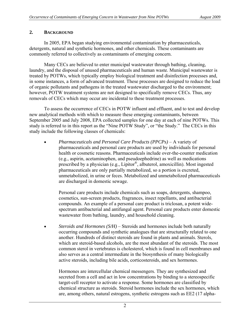### <span id="page-7-0"></span>**2. BACKGROUND**

 In 2005, EPA began studying environmental contamination by pharmaceuticals, detergents, natural and synthetic hormones, and other chemicals. These contaminants are commonly referred to collectively as contaminants of emerging concern.

 Many CECs are believed to enter municipal wastewater through bathing, cleaning, laundry, and the disposal of unused pharmaceuticals and human waste. Municipal wastewater is treated by POTWs, which typically employ biological treatment and disinfection processes and, in some instances, a form of advanced treatment. These processes are designed to reduce the load of organic pollutants and pathogens in the treated wastewater discharged to the environment; however, POTW treatment systems are not designed to specifically remove CECs. Thus, any removals of CECs which may occur are incidental to these treatment processes.

 To assess the occurrence of CECs in POTW influent and effluent, and to test and develop new analytical methods with which to measure these emerging contaminants, between September 2005 and July 2008, EPA collected samples for one day at each of nine POTWs. This study is referred to in this report as the "Nine POTW Study", or "the Study." The CECs in this study include the following classes of chemicals:

• *Pharmaceuticals and Personal Care Products (PPCPs)* – A variety of pharmaceuticals and personal care products are used by individuals for personal health or cosmetic reasons. Pharmaceuticals include over-the-counter medication (e.g., aspirin, acetaminophen, and pseudoephedrine) as well as medications prescribed by a physician (e.g., Lipitor®, albuterol, amoxicillin). Most ingested pharmaceuticals are only partially metabolized, so a portion is excreted, unmetabolized, in urine or feces. Metabolized and unmetabolized pharmaceuticals are discharged in domestic sewage.

Personal care products include chemicals such as soaps, detergents, shampoo, cosmetics, sun-screen products, fragrances, insect repellants, and antibacterial compounds. An example of a personal care product is triclosan, a potent widespectrum antibacterial and antifungal agent. Personal care products enter domestic wastewater from bathing, laundry, and household cleaning.

• *Steroids and Hormones (S/H)* – Steroids and hormones include both naturally occurring compounds and synthetic analogues that are structurally related to one another. Hundreds of distinct steroids are found in plants and animals. Sterols, which are steroid-based alcohols, are the most abundant of the steroids. The most common sterol in vertebrates is cholesterol, which is found in cell membranes and also serves as a central intermediate in the biosynthesis of many biologically active steroids, including bile acids, corticosteroids, and sex hormones.

Hormones are intercellular chemical messengers. They are synthesized and secreted from a cell and act in low concentrations by binding to a stereospecific target-cell receptor to activate a response. Some hormones are classified by chemical structure as steroids. Steroid hormones include the sex hormones, which are, among others, natural estrogens, synthetic estrogens such as EE2 (17 alpha-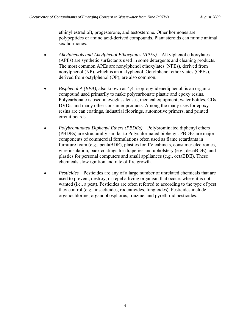ethinyl estradiol), progesterone, and testosterone. Other hormones are polypeptides or amino acid-derived compounds. Plant steroids can mimic animal sex hormones.

- *Alkylphenols and Alkylphenol Ethoxylates (APEs)* Alkylphenol ethoxylates (APEs) are synthetic surfactants used in some detergents and cleaning products. The most common APEs are nonylphenol ethoxylates (NPEs), derived from nonylphenol (NP), which is an alklyphenol. Octylphenol ethoxylates (OPEs), derived from octylphenol (OP), are also common.
- *Bisphenol A (BPA),* also known as 4,4'-isopropylidenediphenol, is an organic compound used primarily to make polycarbonate plastic and epoxy resins. Polycarbonate is used in eyeglass lenses, medical equipment, water bottles, CDs, DVDs, and many other consumer products. Among the many uses for epoxy resins are can coatings, industrial floorings, automotive primers, and printed circuit boards.
- *Polybrominated Diphenyl Ethers (PBDEs)* Polybrominated diphenyl ethers (PBDEs) are structurally similar to Polychlorinated biphenyl. PBDEs are major components of commercial formulations often used as flame retardants in furniture foam (e.g., pentaBDE), plastics for TV cabinets, consumer electronics, wire insulation, back coatings for draperies and upholstery (e.g., decaBDE), and plastics for personal computers and small appliances (e.g., octaBDE). These chemicals slow ignition and rate of fire growth.
- *Pesticides* Pesticides are any of a large number of unrelated chemicals that are used to prevent, destroy, or repel a living organism that occurs where it is not wanted (i.e., a pest). Pesticides are often referred to according to the [type of pest](http://www.epa.gov/pesticides/about/types.htm#type#type) they control (e.g., insecticides, rodenticides, fungicides). Pesticides include organochlorine, organophosphorus, triazine, and pyrethroid pesticides.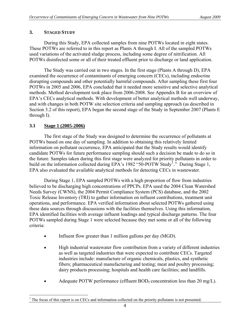# <span id="page-9-0"></span>**3. STAGED STUDY**

 During this Study, EPA collected samples from nine POTWs located in eight states. These POTWs are referred to in this report as Plants A through I. All of the sampled POTWs used variations of the activated sludge process, including some degree of nitrification. All POTWs disinfected some or all of their treated effluent prior to discharge or land application.

 The Study was carried out in two stages. In the first stage (Plants A through D), EPA examined the occurrence of contaminants of emerging concern (CECs), including endocrine disrupting compounds and other potentially harmful compounds. After sampling these first four POTWs in 2005 and 2006, EPA concluded that it needed more sensitive and selective analytical methods. Method development took place from 2006-2008. See Appendix B for an overview of EPA's CECs analytical methods. With development of better analytical methods well underway, and with changes in both POTW site selection criteria and sampling approach (as described in Section 3.2 of this report), EPA began the second stage of the Study in September 2007 (Plants E through I).

## **3.1 Stage 1 (2005-2006)**

 The first stage of the Study was designed to determine the occurrence of pollutants at POTWs based on one day of sampling. In addition to obtaining this relatively limited information on pollutant occurrence, EPA anticipated that the Study results would identify candidate POTWs for future performance sampling should such a decision be made to do so in the future. Samples taken during this first stage were analyzed for priority pollutants in order to build on the information collected during EPA's [1](#page-9-1)982 "50-POTW Study<sup>1</sup>." During Stage 1, EPA also evaluated the available analytical methods for detecting CECs in wastewater.

 During Stage 1, EPA sampled POTWs with a high proportion of flow from industries believed to be discharging high concentrations of PPCPs. EPA used the 2004 Clean Watershed Needs Survey (CWNS), the 2004 Permit Compliance System (PCS) database, and the 2002 Toxic Release Inventory (TRI) to gather information on influent contributions, treatment unit operations, and performance. EPA verified information about selected POTWs gathered using these data sources through discussions with the facilities themselves. Using this information, EPA identified facilities with average influent loadings and typical discharge patterns. The four POTWs sampled during Stage 1 were selected because they met some or all of the following criteria:

- Influent flow greater than 1 million gallons per day (MGD).
- High industrial wastewater flow contribution from a variety of different industries as well as targeted industries that were expected to contribute CECs. Targeted industries include: manufacture of organic chemicals, plastics, and synthetic fibers; pharmaceutical manufacturing and testing; meat and poultry processing; dairy products processing; hospitals and health care facilities; and landfills.
- Adequate POTW performance (effluent  $BOD<sub>5</sub>$  concentration less than 20 mg/L).

<span id="page-9-1"></span><sup>&</sup>lt;sup>1</sup> The focus of this report is on CECs and information collected on the priority pollutants is not presented.  $\overline{a}$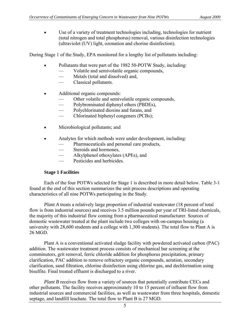• Use of a variety of treatment technologies including, technologies for nutrient (total nitrogen and total phosphorus) removal, various disinfection technologies (ultraviolet (UV) light, ozonation and chorine disinfection).

During Stage 1 of the Study, EPA monitored for a lengthy list of pollutants including:

- Pollutants that were part of the 1982 50-POTW Study, including:
	- Volatile and semivolatile organic compounds,
	- Metals (total and dissolved) and,
	- Classical pollutants.
- Additional organic compounds:
	- Other volatile and semivolatile organic compounds,
	- Polybrominated diphenyl ethers (PBDEs),
	- Polychlorinated dioxins and furans, and
	- Chlorinated biphenyl congeners (PCBs);
- Microbiological pollutants; and
- Analytes for which methods were under development, including:
	- Pharmaceuticals and personal care products,
	- Steroids and hormones,
	- Alkylphenol ethoxylates (APEs), and
	- Pesticides and herbicides.

#### **Stage 1 Facilities**

 Each of the four POTWs selected for Stage 1 is described in more detail below. Table 3-1 found at the end of this section summarizes the unit process descriptions and operating characteristics of all nine POTWs participating in the Study.

*Plant A* treats a relatively large proportion of industrial wastewater (18 percent of total flow is from industrial sources) and receives 3.5 million pounds per year of TRI-listed chemicals, the majority of this industrial flow coming from a pharmaceutical manufacturer. Sources of domestic wastewater treated at the plant include two colleges with on-campus housing (a university with 28,600 students and a college with 1,300 students). The total flow to Plant A is 26 MGD.

Plant A is a conventional activated sludge facility with powdered activated carbon (PAC) addition. The wastewater treatment process consists of mechanical bar screening at the comminutors, grit removal, ferric chloride addition for phosphorus precipitation, primary clarification, PAC addition to remove refractory organic compounds, aeration, secondary clarification, sand filtration, chlorine disinfection using chlorine gas, and dechlorination using bisulfite. Final treated effluent is discharged to a river.

*Plant B* receives flow from a variety of sources that potentially contribute CECs and other pollutants. The facility receives approximately 10 to 15 percent of influent flow from industrial sources and commercial facilities, as well as wastewater from three hospitals, domestic septage, and landfill leachate. The total flow to Plant B is 27 MGD.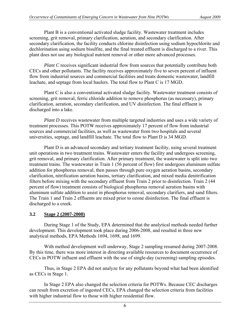<span id="page-11-0"></span>Plant B is a conventional activated sludge facility. Wastewater treatment includes screening, grit removal, primary clarification, aeration, and secondary clarification. After secondary clarification, the facility conducts chlorine disinfection using sodium hypochlorite and dechlorination using sodium bisulfite, and the final treated effluent is discharged to a river. This plant does not use any biological nutrient removal or other more advanced processes.

*Plant C* receives significant industrial flow from sources that potentially contribute both CECs and other pollutants. The facility receives approximately five to seven percent of influent flow from industrial sources and commercial facilities and treats domestic wastewater, landfill leachate, and septage from local haulers. The total flow to Plant C is 17 MGD.

 Plant C is also a conventional activated sludge facility. Wastewater treatment consists of screening, grit removal, ferric chloride addition to remove phosphorus (as necessary), primary clarification, aeration, secondary clarification, and UV disinfection. The final effluent is discharged into a lake.

*Plant D* receives wastewater from multiple targeted industries and uses a wide variety of treatment processes. This POTW receives approximately 17 percent of flow from industrial sources and commercial facilities, as well as wastewater from two hospitals and several universities, septage, and landfill leachate. The total flow to Plant D is 34 MGD.

Plant D is an advanced secondary and tertiary treatment facility, using several treatment unit operations in two treatment trains. Wastewater enters the facility and undergoes screening, grit removal, and primary clarification. After primary treatment, the wastewater is split into two treatment trains. The wastewater in Train 1 (56 percent of flow) first undergoes aluminum sulfate addition for phosphorus removal, then passes through pure oxygen aeration basins, secondary clarification, nitrification aeration basins, tertiary clarification, and mixed media denitrification filters before mixing with the secondary effluent from Train 2 prior to disinfection. Train 2 (44 percent of flow) treatment consists of biological phosphorus removal aeration basins with aluminum sulfate addition to assist in phosphorus removal, secondary clarifiers, and sand filters. The Train 1 and Train 2 effluents are mixed prior to ozone disinfection. The final effluent is discharged to a creek.

#### **3.2 Stage 2 (2007-2008)**

 During Stage 1 of the Study, EPA determined that the analytical methods needed further development. This development took place during 2006-2008, and resulted in three new analytical methods, EPA Methods 1694, 1698, and 1699.

 With method development well underway, Stage 2 sampling resumed during 2007-2008. By this time, there was more interest in directing available resources to document occurrence of CECs in POTW influent and effluent with the use of single-day (screening) sampling episodes.

 Thus, in Stage 2 EPA did not analyze for any pollutants beyond what had been identified as CECs in Stage 1.

 In Stage 2 EPA also changed the selection criteria for POTWs. Because CEC discharges can result from excretion of ingested CECs, EPA changed the selection criteria from facilities with higher industrial flow to those with higher residential flow.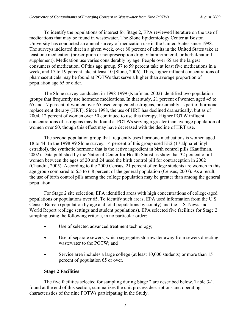To identify the populations of interest for Stage 2, EPA reviewed literature on the use of medications that may be found in wastewater. The Slone Epidemiology Center at Boston University has conducted an annual survey of medication use in the United States since 1998. The surveys indicated that in a given week, over 80 percent of adults in the United States take at least one medication (prescription or nonprescription drug, vitamin/mineral, or herbal/natural supplement). Medication use varies considerably by age. People over 65 are the largest consumers of medication. Of this age group, 57 to 59 percent take at least five medications in a week, and 17 to 19 percent take at least 10 (Slone, 2006). Thus, higher influent concentrations of pharmaceuticals may be found at POTWs that serve a higher than average proportion of population age 65 or older.

 The Slone survey conducted in 1998-1999 (Kaufman, 2002) identified two population groups that frequently use hormone medications. In that study, 21 percent of women aged 45 to 65 and 17 percent of women over 65 used conjugated estrogens, presumably as part of hormone replacement therapy (HRT). Since 1998, the use of HRT has declined dramatically, but as of 2004, 12 percent of women over 50 continued to use this therapy. Higher POTW influent concentrations of estrogens may be found at POTWs serving a greater than average population of women over 50, though this effect may have decreased with the decline of HRT use.

 The second population group that frequently uses hormone medications is women aged 18 to 44. In the 1998-99 Slone survey, 14 percent of this group used EE2 (17 alpha-ethinyl estradiol), the synthetic hormone that is the active ingredient in birth control pills (Kauffman, 2002). Data published by the National Center for Health Statistics show that 32 percent of all women between the ages of 20 and 24 used the birth control pill for contraception in 2002 (Chandra, 2005). According to the 2000 Census, 21 percent of college students are women in this age group compared to 6.5 to 6.8 percent of the general population (Census, 2007). As a result, the use of birth control pills among the college population may be greater than among the general population.

 For Stage 2 site selection, EPA identified areas with high concentrations of college-aged populations or populations over 65. To identify such areas, EPA used information from the U.S. Census Bureau (population by age and total populations by county) and the U.S. News and World Report (college settings and student populations). EPA selected five facilities for Stage 2 sampling using the following criteria, in no particular order:

- Use of selected advanced treatment technology;
- Use of separate sewers, which segregates stormwater away from sewers directing wastewater to the POTW; and
- Service area includes a large college (at least 10,000 students) or more than 15 percent of population 65 or over.

# **Stage 2 Facilities**

 The five facilities selected for sampling during Stage 2 are described below. Table 3-1, found at the end of this section, summarizes the unit process descriptions and operating characteristics of the nine POTWs participating in the Study.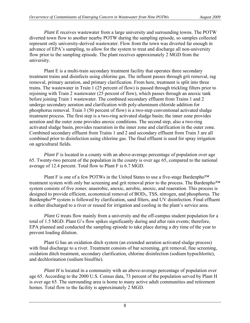*Plant E* receives wastewater from a large university and surrounding towns. The POTW diverted town flow to another nearby POTW during the sampling episode, so samples collected represent only university-derived wastewater. Flow from the town was diverted far enough in advance of EPA's sampling, to allow for the system to treat and discharge all non-university flow prior to the sampling episode. The plant receives approximately 2 MGD from the university.

 Plant E is a multi-train secondary treatment facility that operates three secondary treatment trains and disinfects using chlorine gas. The influent passes through grit removal, rag removal, primary aeration, and primary clarification. From here, treatment is split into three trains. The wastewater in Train 1 (25 percent of flow) is passed through trickling filters prior to rejoining with Train 2 wastewater (25 percent of flow), which passes through an anoxic tank before joining Train 1 wastewater. The combined secondary effluent from Trains 1 and 2 undergo secondary aeration and clarification with poly-aluminum chloride addition for phosphorus removal. Train 3 (50 percent of flow) is a two-step conventional activated sludge treatment process. The first step is a two-ring activated sludge basin; the inner zone provides aeration and the outer zone provides anoxic conditions. The second step, also a two-ring activated sludge basin, provides reaeration in the inner zone and clarification in the outer zone. Combined secondary effluent from Trains 1 and 2 and secondary effluent from Train 3 are all combined prior to disinfection using chlorine gas. The final effluent is used for spray irrigation on agricultural fields.

*Plant F* is located in a county with an above-average percentage of population over age 65. Twenty-two percent of the population in the county is over age 65, compared to the national average of 12.4 percent. Total flow to Plant F is 6.7 MGD.

Plant F is one of a few POTWs in the United States to use a five-stage Bardenpho™ treatment system with only bar screening and grit removal prior to the process. The Bardenpho™ system consists of five zones: anaerobic, anoxic, aerobic, anoxic, and reaeration. This process is designed to provide efficient, economical removal of BOD<sub>5</sub>, TSS, nitrogen, and phosphorus. The Bardenpho™ system is followed by clarification, sand filters, and UV disinfection. Final effluent is either discharged to a river or reused for irrigation and cooling in the plant's service area.

*Plant G* treats flow mainly from a university and the off-campus student population for a total of 1.5 MGD. Plant G's flow spikes significantly during and after rain events; therefore, EPA planned and conducted the sampling episode to take place during a dry time of the year to prevent loading dilution.

Plant G has an oxidation ditch system (an extended aeration activated sludge process) with final discharge to a river. Treatment consists of bar screening, grit removal, fine screening, oxidation ditch treatment, secondary clarification, chlorine disinfection (sodium hypochlorite), and dechlorination (sodium bisulfite).

*Plant H* is located in a community with an above-average percentage of population over age 65. According to the 2000 U.S. Census data, 73 percent of the population served by Plant H is over age 65. The surrounding area is home to many active adult communities and retirement homes. Total flow to the facility is approximately 2 MGD.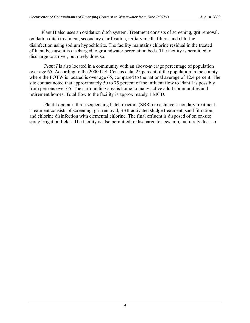Plant H also uses an oxidation ditch system. Treatment consists of screening, grit removal, oxidation ditch treatment, secondary clarification, tertiary media filters, and chlorine disinfection using sodium hypochlorite. The facility maintains chlorine residual in the treated effluent because it is discharged to groundwater percolation beds. The facility is permitted to discharge to a river, but rarely does so.

*Plant I* is also located in a community with an above-average percentage of population over age 65. According to the 2000 U.S. Census data, 25 percent of the population in the county where the POTW is located is over age 65, compared to the national average of 12.4 percent. The site contact noted that approximately 50 to 75 percent of the influent flow to Plant I is possibly from persons over 65. The surrounding area is home to many active adult communities and retirement homes. Total flow to the facility is approximately 1 MGD.

 Plant I operates three sequencing batch reactors (SBRs) to achieve secondary treatment. Treatment consists of screening, grit removal, SBR activated sludge treatment, sand filtration, and chlorine disinfection with elemental chlorine. The final effluent is disposed of on on-site spray irrigation fields. The facility is also permitted to discharge to a swamp, but rarely does so.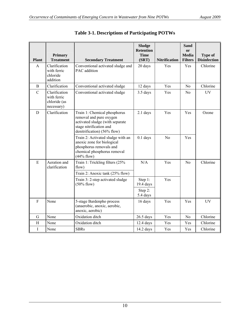| <b>Plant</b>   | <b>Primary</b><br><b>Treatment</b>                         | <b>Secondary Treatment</b>                                                                                                                           | <b>Sludge</b><br><b>Retention</b><br><b>Time</b><br>(SRT) | <b>Nitrification</b> | Sand<br>or<br>Media<br><b>Filters</b> | <b>Type of</b><br><b>Disinfection</b> |
|----------------|------------------------------------------------------------|------------------------------------------------------------------------------------------------------------------------------------------------------|-----------------------------------------------------------|----------------------|---------------------------------------|---------------------------------------|
| A              | Clarification<br>with ferric<br>chloride<br>addition       | Conventional activated sludge and<br>PAC addition                                                                                                    | 20 days                                                   | Yes                  | Yes                                   | Chlorine                              |
| B              | Clarification                                              | Conventional activated sludge                                                                                                                        | 12 days                                                   | Yes                  | N <sub>0</sub>                        | Chlorine                              |
| $\overline{C}$ | Clarification<br>with ferric<br>chloride (as<br>necessary) | Conventional activated sludge                                                                                                                        | 3.5 days                                                  | Yes                  | N <sub>0</sub>                        | <b>UV</b>                             |
| D              | Clarification                                              | Train 1: Chemical phosphorus<br>removal and pure oxygen<br>activated sludge (with separate<br>stage nitrification and<br>denitrification) (56% flow) | 2.1 days                                                  | Yes                  | Yes                                   | Ozone                                 |
|                |                                                            | Train 2: Activated sludge with an<br>anoxic zone for biological<br>phosphorus removals and<br>chemical phosphorus removal<br>$(44%$ flow)            | $0.1$ days                                                | N <sub>0</sub>       | Yes                                   |                                       |
| E              | Aeration and<br>clarification                              | Train 1: Trickling filters (25%<br>flow)                                                                                                             | N/A                                                       | Yes                  | No                                    | Chlorine                              |
|                |                                                            | Train 2: Anoxic tank (25% flow)                                                                                                                      |                                                           |                      |                                       |                                       |
|                |                                                            | Train 3: 2-step activated sludge<br>$(50\%$ flow)                                                                                                    | Step 1:<br>19.4 days                                      | Yes                  |                                       |                                       |
|                |                                                            |                                                                                                                                                      | Step 2:<br>5.4 days                                       |                      |                                       |                                       |
| $\overline{F}$ | None                                                       | 5-stage Bardenpho process<br>(anaerobic, anoxic, aerobic,<br>anoxic, aerobic)                                                                        | 16 days                                                   | Yes                  | Yes                                   | <b>UV</b>                             |
| G              | None                                                       | Oxidation ditch                                                                                                                                      | $26.5$ days                                               | Yes                  | No                                    | Chlorine                              |
| H              | None                                                       | Oxidation ditch                                                                                                                                      | $12.4$ days                                               | Yes                  | Yes                                   | Chlorine                              |
| T              | None                                                       | <b>SBRs</b>                                                                                                                                          | $14.2$ days                                               | Yes                  | Yes                                   | Chlorine                              |

|  | Table 3-1. Descriptions of Participating POTWs |  |
|--|------------------------------------------------|--|
|--|------------------------------------------------|--|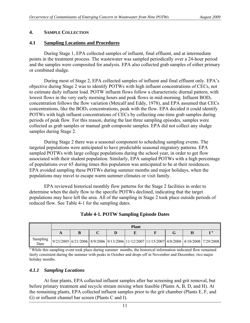#### <span id="page-16-0"></span>**4. SAMPLE COLLECTION**

#### **4.1 Sampling Locations and Procedures**

 During Stage 1, EPA collected samples of influent, final effluent, and at intermediate points in the treatment process. The wastewater was sampled periodically over a 24-hour period and the samples were composited for analysis. EPA also collected grab samples of either primary or combined sludge.

 During most of Stage 2, EPA collected samples of influent and final effluent only. EPA's objective during Stage 2 was to identify POTWs with high influent concentrations of CECs, not to estimate daily influent load. POTW influent flows follow a characteristic diurnal pattern, with lowest flows in the very early morning hours and peak flows in mid-morning. Influent BOD<sub>5</sub> concentration follows the flow variation (Metcalf and Eddy, 1978), and EPA assumed that CECs concentrations, like the  $BOD<sub>5</sub>$  concentrations, peak with the flow. EPA decided it could identify POTWs with high influent concentrations of CECs by collecting one-time grab samples during periods of peak flow. For this reason, during the last three sampling episodes, samples were collected as grab samples or manual grab composite samples. EPA did not collect any sludge samples during Stage 2.

 During Stage 2 there was a seasonal component to scheduling sampling events. The targeted populations were anticipated to have predictable seasonal migratory patterns. EPA sampled POTWs with large college populations during the school year, in order to get flow associated with their student population. Similarly, EPA sampled POTWs with a high percentage of populations over 65 during times this population was anticipated to be at their residences. EPA avoided sampling these POTWs during summer months and major holidays, when the populations may travel to escape warm summer climates or visit family.

 EPA reviewed historical monthly flow patterns for the Stage 2 facilities in order to determine when the daily flow to the specific POTWs declined, indicating that the target populations may have left the area. All of the sampling in Stage 2 took place outside periods of reduced flow. See Table 4-1 for the sampling dates.

|                  | <b>Plant</b> |  |  |                                                                                             |  |  |  |    |  |  |
|------------------|--------------|--|--|---------------------------------------------------------------------------------------------|--|--|--|----|--|--|
|                  |              |  |  |                                                                                             |  |  |  | та |  |  |
| Sampling<br>Date |              |  |  | $9/23/2005$ 6/21/2006 8/9/2006 9/13/2006 11/12/2007 11/15/2007 4/8/2008 4/10/2008 7/29/2008 |  |  |  |    |  |  |

#### **Table 4-1. POTW Sampling Episode Dates**

<sup>a</sup> While this sampling event took place during summer months, the historical information indicated flow remained fairly consistent during the summer with peaks in October and drops off in November and December, two major holiday months.

#### *4.1.1 Sampling Locations*

 At four plants, EPA collected influent samples after bar screening and grit removal, but before primary treatment and recycle stream mixing when feasible (Plants A, B, D, and H). At the remaining plants, EPA collected influent samples prior to the grit chamber (Plants E, F, and G) or influent channel bar screen (Plants C and I).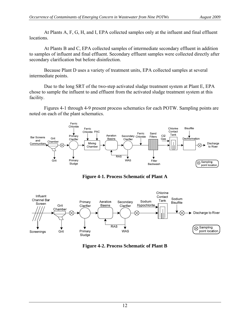At Plants A, F, G, H, and I, EPA collected samples only at the influent and final effluent locations.

 At Plants B and C, EPA collected samples of intermediate secondary effluent in addition to samples of influent and final effluent. Secondary effluent samples were collected directly after secondary clarification but before disinfection.

 Because Plant D uses a variety of treatment units, EPA collected samples at several intermediate points.

 Due to the long SRT of the two-step activated sludge treatment system at Plant E, EPA chose to sample the influent to and effluent from the activated sludge treatment system at this facility.

 Figures 4-1 through 4-9 present process schematics for each POTW. Sampling points are noted on each of the plant schematics.



**Figure 4-1. Process Schematic of Plant A** 



**Figure 4-2. Process Schematic of Plant B**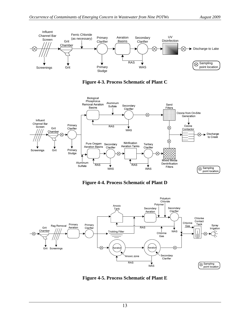

**Figure 4-3. Process Schematic of Plant C** 



**Figure 4-4. Process Schematic of Plant D** 



**Figure 4-5. Process Schematic of Plant E**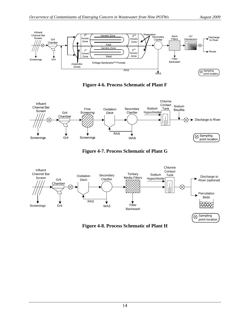

**Figure 4-6. Process Schematic of Plant F** 



**Figure 4-7. Process Schematic of Plant G** 



**Figure 4-8. Process Schematic of Plant H**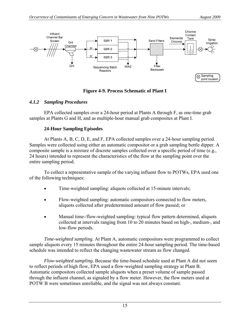<span id="page-20-0"></span>

## **Figure 4-9. Process Schematic of Plant I**

## *4.1.2 Sampling Procedures*

 EPA collected samples over a 24-hour period at Plants A through F, as one-time grab samples at Plants G and H, and as multiple-hour manual grab composites at Plant I.

## **24-Hour Sampling Episodes**

 At Plants A, B, C, D, E, and F, EPA collected samples over a 24-hour sampling period. Samples were collected using either an automatic compositor or a grab sampling bottle dipper. A composite sample is a mixture of discrete samples collected over a specific period of time (e.g., 24 hours) intended to represent the characteristics of the flow at the sampling point over the entire sampling period.

 To collect a representative sample of the varying influent flow to POTWs, EPA used one of the following techniques:

- Time-weighted sampling: aliquots collected at 15-minute intervals;
- Flow-weighted sampling: automatic compositors connected to flow meters, aliquots collected after predetermined amount of flow passed; or
- Manual time-/flow-weighted sampling: typical flow pattern determined, aliquots collected at intervals ranging from 10 to 20 minutes based on high-, medium-, and low-flow periods.

*Time-weighted sampling*. At Plant A, automatic compositors were programmed to collect sample aliquots every 15 minutes throughout the entire 24-hour sampling period. The time-based schedule was intended to reflect the changing wastewater stream as flow changed.

*Flow-weighted sampling*. Because the time-based schedule used at Plant A did not seem to reflect periods of high flow, EPA used a flow-weighted sampling strategy at Plant B. Automatic compositors collected sample aliquots when a preset volume of sample passed through the influent channel, as signaled by a flow meter. However, the flow meters used at POTW B were sometimes unreliable, and the signal was not always constant.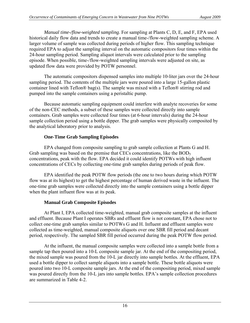*Manual time-/flow-weighted sampling*. For sampling at Plants C, D, E, and F, EPA used historical daily flow data and trends to create a manual time-/flow-weighted sampling scheme. A larger volume of sample was collected during periods of higher flow. This sampling technique required EPA to adjust the sampling interval on the automatic compositors four times within the 24-hour sampling period. Sampling aliquot intervals were calculated prior to the sampling episode. When possible, time-/flow-weighted sampling intervals were adjusted on site, as updated flow data were provided by POTW personnel.

 The automatic compositors dispensed samples into multiple 10-liter jars over the 24-hour sampling period. The contents of the multiple jars were poured into a large 15-gallon plastic container lined with Teflon® bag(s). The sample was mixed with a Teflon® stirring rod and pumped into the sample containers using a peristaltic pump.

 Because automatic sampling equipment could interfere with analyte recoveries for some of the non-CEC methods, a subset of these samples were collected directly into sample containers. Grab samples were collected four times (at 6-hour intervals) during the 24-hour sample collection period using a bottle dipper. The grab samples were physically composited by the analytical laboratory prior to analysis.

## **One-Time Grab Sampling Episodes**

 EPA changed from composite sampling to grab sample collection at Plants G and H. Grab sampling was based on the premise that CECs concentrations, like the BOD<sub>5</sub> concentrations, peak with the flow. EPA decided it could identify POTWs with high influent concentrations of CECs by collecting one-time grab samples during periods of peak flow.

 EPA identified the peak POTW flow periods (the one to two hours during which POTW flow was at its highest) to get the highest percentage of human derived waste in the influent. The one-time grab samples were collected directly into the sample containers using a bottle dipper when the plant influent flow was at its peak.

# **Manual Grab Composite Episodes**

 At Plant I, EPA collected time-weighted, manual grab composite samples at the influent and effluent. Because Plant I operates SBRs and effluent flow is not constant, EPA chose not to collect one-time grab samples similar to POTWs G and H. Influent and effluent samples were collected as time-weighted, manual composite aliquots over one SBR fill period and decant period, respectively. The sampled SBR fill period occurred during the peak POTW flow period.

 At the influent, the manual composite samples were collected into a sample bottle from a sample tap then poured into a 10-L composite sample jar. At the end of the compositing period, the mixed sample was poured from the 10-L jar directly into sample bottles. At the effluent, EPA used a bottle dipper to collect sample aliquots into a sample bottle. These bottle aliquots were poured into two 10-L composite sample jars. At the end of the compositing period, mixed sample was poured directly from the 10-L jars into sample bottles. EPA's sample collection procedures are summarized in Table 4-2.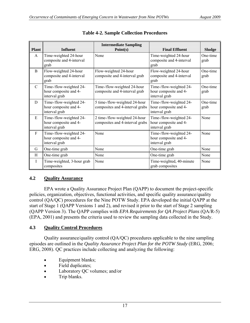<span id="page-22-0"></span>

| <b>Plant</b>  | <b>Influent</b>                                                   | <b>Intermediate Sampling</b><br>Point(s)                         | <b>Final Effluent</b>                                             | <b>Sludge</b>    |
|---------------|-------------------------------------------------------------------|------------------------------------------------------------------|-------------------------------------------------------------------|------------------|
| $\mathsf{A}$  | Time-weighted 24-hour<br>composite and 4-interval<br>grab         | None                                                             | Time-weighted 24-hour<br>composite and 4-interval<br>grab         | One-time<br>grab |
| B             | Flow-weighted 24-hour<br>composite and 4-interval<br>grab         | Flow-weighted 24-hour<br>composite and 4-interval grab           | Flow-weighted 24-hour<br>composite and 4-interval<br>grab         | One-time<br>grab |
| $\mathcal{C}$ | Time-/flow-weighted 24-<br>hour composite and 4-<br>interval grab | Time-/flow-weighted 24-hour<br>composite and 4-interval grab     | Time-/flow-weighted 24-<br>hour composite and 4-<br>interval grab | One-time<br>grab |
| D             | Time-/flow-weighted 24-<br>hour composite and 4-<br>interval grab | 5 time-/flow-weighted 24-hour<br>composites and 4-interval grabs | Time-/flow-weighted 24-<br>hour composite and 4-<br>interval grab | One-time<br>grab |
| E             | Time-/flow-weighted 24-<br>hour composite and 4-<br>interval grab | 2 time-/flow-weighted 24-hour<br>composites and 4-interval grabs | Time-/flow-weighted 24-<br>hour composite and 4-<br>interval grab | None             |
| $\mathbf{F}$  | Time-/flow-weighted 24-<br>hour composite and 4-<br>interval grab | None                                                             | Time-/flow-weighted 24-<br>hour composite and 4-<br>interval grab | None             |
| G             | One-time grab                                                     | None                                                             | One-time grab                                                     | None             |
| H             | One-time grab                                                     | None                                                             | One-time grab                                                     | None             |
| I             | Time-weighted, 3-hour grab<br>composites                          | None                                                             | Time-weighted, 40-minute<br>grab composites                       | None             |

|  |  |  |  | <b>Table 4-2. Sample Collection Procedures</b> |
|--|--|--|--|------------------------------------------------|
|--|--|--|--|------------------------------------------------|

#### **4.2 Quality Assurance**

 EPA wrote a Quality Assurance Project Plan (QAPP) to document the project-specific policies, organization, objectives, functional activities, and specific quality assurance/quality control (QA/QC) procedures for the Nine POTW Study. EPA developed the initial QAPP at the start of Stage 1 (QAPP Versions 1 and 2), and revised it prior to the start of Stage 2 sampling (QAPP Version 3). The QAPP complies with *EPA Requirements for QA Project Plans* (QA/R-5) (EPA, 2001) and presents the criteria used to review the sampling data collected in the Study.

#### **4.3 Quality Control Procedures**

 Quality assurance/quality control (QA/QC) procedures applicable to the nine sampling episodes are outlined in the *Quality Assurance Project Plan for the POTW Study* (ERG, 2006; ERG, 2008). QC practices include collecting and analyzing the following:

- Equipment blanks;
- Field duplicates;
- Laboratory QC volumes; and/or
- Trip blanks.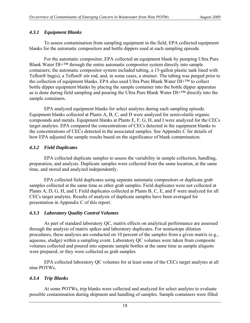# <span id="page-23-0"></span>*4.3.1 Equipment Blanks*

 To assess contamination from sampling equipment in the field, EPA collected equipment blanks for the automatic compositors and bottle dippers used at each sampling episode.

 For the automatic compositor, EPA collected an equipment blank by pumping Ultra Pure Blank Water  $DI+<sup>TM</sup>$  through the entire automatic compositor system directly into sample containers; the automatic compositor system included tubing, a 15-gallon plastic tank lined with Teflon® bag(s), a Teflon® stir rod, and, in some cases, a strainer. The tubing was purged prior to the collection of equipment blanks. EPA also used Ultra Pure Blank Water DI+™ to collect bottle dipper equipment blanks by placing the sample container into the bottle dipper apparatus as is done during field sampling and pouring the Ultra Pure Blank Water DI+™ directly into the sample containers.

 EPA analyzed equipment blanks for select analytes during each sampling episode. Equipment blanks collected at Plants A, B, C, and D were analyzed for semivolatile organic compounds and metals. Equipment blanks at Plants E, F, G, H, and I were analyzed for the CECs target analytes. EPA compared the concentrations of CECs detected in the equipment blanks to the concentrations of CECs detected in the associated samples. See Appendix C for details of how EPA adjusted the sample results based on the significance of blank contamination.

# *4.3.2 Field Duplicates*

 EPA collected duplicate samples to assess the variability in sample collection, handling, preparation, and analysis. Duplicate samples were collected from the same location, at the same time, and stored and analyzed independently.

 EPA collected field duplicates using separate automatic compositors or duplicate grab samples collected at the same time as other grab samples. Field duplicates were not collected at Plants A, D, G, H, and I. Field duplicates collected at Plants B, C, E, and F were analyzed for all CECs target analytes. Results of analysis of duplicate samples have been averaged for presentation in Appendix C of this report.

# *4.3.3 Laboratory Quality Control Volumes*

 As part of standard laboratory QC, matrix effects on analytical performance are assessed through the analysis of matrix spikes and laboratory duplicates. For nonisotope dilution procedures, these analyses are conducted on 10 percent of the samples from a given matrix (e.g., aqueous, sludge) within a sampling event. Laboratory QC volumes were taken from composite volumes collected and poured into separate sample bottles at the same time as sample aliquots were prepared, or they were collected as grab samples.

 EPA collected laboratory QC volumes for at least some of the CECs target analytes at all nine POTWs.

# *4.3.4 Trip Blanks*

 At some POTWs, trip blanks were collected and analyzed for select analytes to evaluate possible contamination during shipment and handling of samples. Sample containers were filled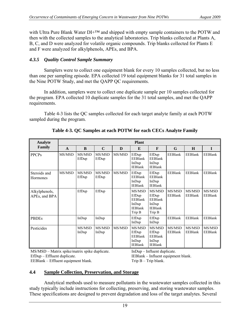<span id="page-24-0"></span>with Ultra Pure Blank Water  $DI+^{TM}$  and shipped with empty sample containers to the POTW and then with the collected samples to the analytical laboratories. Trip blanks collected at Plants A, B, C, and D were analyzed for volatile organic compounds. Trip blanks collected for Plants E and F were analyzed for alkylphenols, APEs, and BPA.

# *4.3.5 Quality Control Sample Summary*

 Samplers were to collect one equipment blank for every 10 samples collected, but no less than one per sampling episode. EPA collected 19 total equipment blanks for 31 total samples in the Nine POTW Study, and met the QAPP QC requirements.

 In addition, samplers were to collect one duplicate sample per 10 samples collected for the program. EPA collected 10 duplicate samples for the 31 total samples, and met the QAPP requirements.

 Table 4-3 lists the QC samples collected for each target analyte family at each POTW sampled during the program.

| Analyte                        |              | <b>Plant</b>    |                 |        |                                                                        |                                                                        |                          |                          |                          |  |  |  |  |
|--------------------------------|--------------|-----------------|-----------------|--------|------------------------------------------------------------------------|------------------------------------------------------------------------|--------------------------|--------------------------|--------------------------|--|--|--|--|
| Family                         | $\mathbf{A}$ | B               | $\mathbf C$     | D      | E                                                                      | F                                                                      | G                        | H                        | $\mathbf{I}$             |  |  |  |  |
| <b>PPCPs</b>                   | MS/MSD       | MS/MSD<br>EfDup | MS/MSD<br>EfDup | MS/MSD | EfDup<br>EEBlank<br>In Dup<br><b>IEBlank</b>                           | EfDup<br><b>EEBlank</b><br>InDup<br><b>IEBlank</b>                     | <b>EEBlank</b>           | EEBlank                  | EEBlank                  |  |  |  |  |
| Steroids and<br>Hormones       | MS/MSD       | MS/MSD<br>EfDup | MS/MSD<br>EfDup | MS/MSD | EfDup<br>EEBlank<br>InDup<br><b>IEBlank</b>                            | EfDup<br><b>EEBlank</b><br>InDup<br><b>IEBlank</b>                     | <b>EEBlank</b>           | <b>EEBlank</b>           | <b>EEBlank</b>           |  |  |  |  |
| Alkylphenols,<br>APEs, and BPA |              | EfDup           | EfDup           |        | MS/MSD<br>EfDup<br><b>EEBlank</b><br>InDup<br><b>IEBlank</b><br>Trip B | MS/MSD<br>EfDup<br><b>EEBlank</b><br>InDup<br><b>IEBlank</b><br>Trip B | MS/MSD<br><b>EEBlank</b> | MS/MSD<br><b>EEBlank</b> | MS/MSD<br><b>EEBlank</b> |  |  |  |  |
| <b>PBDEs</b>                   |              | InDup           | In Dup          |        | EfDup<br>InDup                                                         | EfDup<br>InDup                                                         | <b>EEBlank</b>           | <b>EEBlank</b>           | EEBlank                  |  |  |  |  |
| Pesticides                     |              | MS/MSD<br>InDup | MS/MSD<br>InDup | MS/MSD | MS/MSD<br>EfDup<br>EEBlank<br>InDup<br><b>IEBlank</b>                  | MS/MSD<br>EfDup<br><b>EEBlank</b><br>InDup<br><b>IEBlank</b>           | MS/MSD<br><b>EEBlank</b> | MS/MSD<br>EEBlank        | MS/MSD<br><b>EEBlank</b> |  |  |  |  |

**Table 4-3. QC Samples at each POTW for each CECs Analyte Family** 

MS/MSD – Matrix spike/matrix spike duplicate. EfDup – Effluent duplicate. EEBlank – Effluent equipment blank.

InDup – Influent duplicate.

IEBlank – Influent equipment blank. Trip B – Trip blank.

# **4.4 Sample Collection, Preservation, and Storage**

 Analytical methods used to measure pollutants in the wastewater samples collected in this study typically include instructions for collecting, preserving, and storing wastewater samples. These specifications are designed to prevent degradation and loss of the target analytes. Several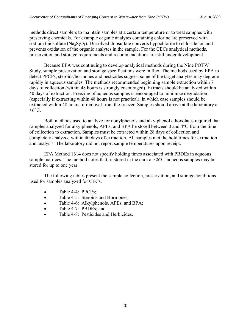methods direct samplers to maintain samples at a certain temperature or to treat samples with preserving chemicals. For example organic analytes containing chlorine are preserved with sodium thiosulfate (Na<sub>2</sub>S<sub>2</sub>O<sub>3</sub>). Dissolved thiosulfate converts hypochlorite to chloride ion and prevents oxidation of the organic analytes in the sample. For the CECs analytical methods, preservation and storage requirements and recommendations are still under development.

 Because EPA was continuing to develop analytical methods during the Nine POTW Study, sample preservation and storage specifications were in flux. The methods used by EPA to detect PPCPs, steroids/hormones and pesticides suggest some of the target analytes may degrade rapidly in aqueous samples. The methods recommended beginning sample extraction within 7 days of collection (within 48 hours is strongly encouraged). Extracts should be analyzed within 40 days of extraction. Freezing of aqueous samples is encouraged to minimize degradation (especially if extracting within 48 hours is not practical), in which case samples should be extracted within 48 hours of removal from the freezer. Samples should arrive at the laboratory at  $≤6$ °C.

 Both methods used to analyze for nonylphenols and alkylphenol ethoxolates required that samples analyzed for alkylphenols, APEs, and BPA be stored between 0 and 4°C from the time of collection to extraction. Samples must be extracted within 28 days of collection and completely analyzed within 40 days of extraction. All samples met the hold times for extraction and analysis. The laboratory did not report sample temperatures upon receipt.

 EPA Method 1614 does not specify holding times associated with PBDEs in aqueous sample matrices. The method notes that, if stored in the dark at  $\leq 6^{\circ}$ C, aqueous samples may be stored for up to one year.

 The following tables present the sample collection, preservation, and storage conditions used for samples analyzed for CECs:

- Table 4-4: PPCPs;
- Table 4-5: Steroids and Hormones;
- Table 4-6: Alkylphenols, APEs, and BPA;
- Table 4-7: PBDEs; and
- Table 4-8: Pesticides and Herbicides.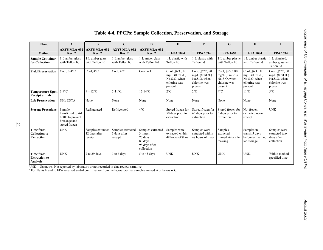| <b>Plant</b>                                                  | $\mathbf{A}$                                                                       | $\bf{B}$                                      | $\mathbf C$                                  | D                                                                                  | E                                                                                            | $\mathbf{F}$                                                                                    | G                                                                                               | H                                                                                            | $\mathbf I$                                                                                  |
|---------------------------------------------------------------|------------------------------------------------------------------------------------|-----------------------------------------------|----------------------------------------------|------------------------------------------------------------------------------------|----------------------------------------------------------------------------------------------|-------------------------------------------------------------------------------------------------|-------------------------------------------------------------------------------------------------|----------------------------------------------------------------------------------------------|----------------------------------------------------------------------------------------------|
| <b>Method</b>                                                 | <b>AXYS MLA-052</b><br>Rev. 2                                                      | <b>AXYS MLA-052</b><br>Rev. 2                 | <b>AXYS MLA-052</b><br>Rev. 2                | <b>AXYS MLA-052</b><br>Rev. 2                                                      | <b>EPA 1694</b>                                                                              | <b>EPA 1694</b>                                                                                 | <b>EPA 1694</b>                                                                                 | <b>EPA 1694</b>                                                                              | <b>EPA 1694</b>                                                                              |
| <b>Sample Container</b><br>for Collection                     | 1-L amber glass<br>with Teflon lid                                                 | 1-L amber glass<br>with Teflon lid            | 1-L amber glass<br>with Teflon lid           | 1-L amber glass<br>with Teflon lid                                                 | 1-L plastic with<br>Teflon lid                                                               | 1-L plastic with<br>Teflon lid                                                                  | 1-L amber plastic<br>with Teflon lid                                                            | 1-L amber plastic<br>with Teflon lid                                                         | 1-L silanized.<br>amber glass with<br>Teflon lid                                             |
| <b>Field Preservation</b>                                     | Cool, $0-4$ °C                                                                     | Cool, $4^{\circ}$ C                           | Cool, $4^{\circ}$ C                          | Cool, $4^{\circ}$ C                                                                | Cool, $\leq 6^{\circ}$ C; 80<br>$mg/L$ (8 mL/L)<br>$Na2S2O3$ when<br>chlorine was<br>present | Cool, $\leq 6^{\circ}$ C; 80<br>$mg/L$ (8 mL/L)<br>$Na_2S_2O_3$ when<br>chlorine was<br>present | Cool, $\leq 6^{\circ}$ C; 80<br>$mg/L$ (8 mL/L)<br>$Na_2S_2O_3$ when<br>chlorine was<br>present | Cool, $\leq 6^{\circ}$ C; 80<br>$mg/L$ (8 mL/L)<br>$Na2S2O3$ when<br>chlorine was<br>present | Cool, $\leq 6^{\circ}$ C; 80<br>$mg/L$ (8 mL/L)<br>$Na2S2O3$ when<br>chlorine was<br>present |
| <b>Temperature Upon</b><br><b>Receipt at Lab</b>              | $3-9$ °C                                                                           | $9-12$ °C                                     | $5-11^{\circ}C$ ,                            | $12-14$ °C                                                                         | $2^{\circ}$ C                                                                                | $2^{\circ}C$                                                                                    | $4^{\circ}$ C                                                                                   | $11^{\circ}C$                                                                                | $5^{\circ}$ C                                                                                |
| <b>Lab Preservation</b>                                       | $NH4-EDTA$                                                                         | None                                          | None                                         | None                                                                               | None                                                                                         | None                                                                                            | None                                                                                            | None                                                                                         | None                                                                                         |
| <b>Storage Procedure</b>                                      | Sample<br>transferred to 4-L<br>bottle to prevent<br>breakage and<br>stored frozen | Refrigerated                                  | Refrigerated                                 | $4^{\circ}C$                                                                       | Stored frozen for<br>50 days prior to<br>extraction                                          | Stored frozen for<br>45 days prior to<br>extraction                                             | Stored frozen for<br>5 days prior to<br>extraction                                              | Not frozen:<br>extracted upon<br>receipt                                                     | <b>UNK</b>                                                                                   |
| <b>Time from</b><br><b>Collection to</b><br><b>Extraction</b> | <b>UNK</b>                                                                         | Samples extracted<br>12 days after<br>receipt | Samples extracted<br>3 days after<br>receipt | Samples extracted<br>3 times,<br>70 days<br>89 days<br>98 days after<br>collection | Samples were<br>extracted within<br>48 hours of thaw                                         | Samples were<br>extracted within<br>48 hours of thaw                                            | Samples<br>extracted<br>immediately after<br>thawing                                            | Samples in<br>transit 5 days<br>before extract; no<br>lab storage                            | Samples were<br>extracted two<br>days after<br>collection                                    |
| Time from<br><b>Extraction to</b><br><b>Analysis</b>          | <b>UNK</b>                                                                         | 7 to 29 days                                  | 1 to 6 days                                  | 5 to 43 days                                                                       | <b>UNK</b>                                                                                   | <b>UNK</b>                                                                                      | <b>UNK</b>                                                                                      | <b>UNK</b>                                                                                   | Within method-<br>specified time                                                             |

#### **Table 4-4. PPCPs: Sample Collection, Preservation, and Storage**

UNK – Unknown. Not reported by laboratory or not recorded in data review narrative.

<sup>a</sup> For Plants E and F, EPA received verbal confirmation from the laboratory that samples arrived at or below 6°C.

21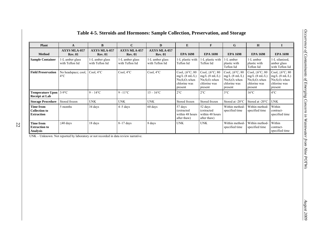| <b>Plant</b>                                                  | A                                     | B                                     | $\mathbf C$                           | D                                     | E                                                                                            | $\mathbf{F}$                                                                                 | G                                                                                               | H                                                                                            |                                                                                              |
|---------------------------------------------------------------|---------------------------------------|---------------------------------------|---------------------------------------|---------------------------------------|----------------------------------------------------------------------------------------------|----------------------------------------------------------------------------------------------|-------------------------------------------------------------------------------------------------|----------------------------------------------------------------------------------------------|----------------------------------------------------------------------------------------------|
| <b>Method</b>                                                 | <b>AXYS MLA-057</b><br><b>Rev. 01</b> | <b>AXYS MLA-057</b><br><b>Rev. 01</b> | <b>AXYS MLA-057</b><br><b>Rev. 01</b> | <b>AXYS MLA-057</b><br><b>Rev. 01</b> | <b>EPA 1698</b>                                                                              | <b>EPA 1698</b>                                                                              | <b>EPA 1698</b>                                                                                 | <b>EPA 1698</b>                                                                              | <b>EPA 1698</b>                                                                              |
| <b>Sample Container</b>                                       | 1-L amber glass<br>with Teflon lid    | 1-L amber glass<br>with Teflon lid    | 1-L amber glass<br>with Teflon lid    | 1-L amber glass<br>with Teflon lid    | 1-L plastic with<br>Teflon lid                                                               | 1-L plastic with<br>Teflon lid                                                               | 1-L amber<br>plastic with<br>Teflon lid                                                         | 1-L amber<br>plastic with<br>Teflon lid                                                      | 1-L silanized,<br>amber glass<br>with Teflon lid                                             |
| <b>Field Preservation</b>                                     | No headspace; cool,<br>$4^{\circ}$ C  | Cool, $4^{\circ}$ C                   | Cool, $4^{\circ}$ C                   | Cool, $4^{\circ}$ C                   | Cool, $\leq 6^{\circ}$ C; 80<br>$mg/L$ (8 mL/L)<br>$Na2S2O3$ when<br>chlorine was<br>present | Cool, $\leq 6^{\circ}$ C; 80<br>$mg/L$ (8 mL/L)<br>$Na2S2O3$ when<br>chlorine was<br>present | Cool, $\leq 6^{\circ}$ C; 80<br>$mg/L$ (8 mL/L)<br>$Na_2S_2O_3$ when<br>chlorine was<br>present | Cool, $\leq 6^{\circ}$ C; 80<br>$mg/L$ (8 mL/L)<br>$Na2S2O3$ when<br>chlorine was<br>present | Cool, $\leq 6^{\circ}$ C; 80<br>$mg/L$ (8 mL/L)<br>$Na2S2O3$ when<br>chlorine was<br>present |
| <b>Temperature Upon</b><br><b>Receipt at Lab</b>              | $3-9$ °C                              | $9 - 14$ °C                           | $9-11$ °C                             | $15 - 16^{\circ}C$                    | $2^{\circ}C$                                                                                 | $2^{\circ}C$                                                                                 | $3^{\circ}$ C                                                                                   | $16^{\circ}$ C                                                                               | $4^{\circ}$ C                                                                                |
| <b>Storage Procedure</b>                                      | Stored frozen                         | <b>UNK</b>                            | <b>UNK</b>                            | <b>UNK</b>                            | Stored frozen                                                                                | Stored frozen                                                                                | Stored at -20°C                                                                                 | Stored at $-20^{\circ}$ C                                                                    | <b>UNK</b>                                                                                   |
| <b>Time from</b><br><b>Collection to</b><br><b>Extraction</b> | 5 months                              | 34 days                               | $4-5$ days                            | 60 days                               | 57 days<br><i>(extracted)</i><br>within 48 hours<br>after thaw)                              | 52 days<br>(extracted<br>within 48 hours<br>after thaw)                                      | Within method-<br>specified time                                                                | Within method-<br>specified time                                                             | Within<br>contract-<br>specified time                                                        |
| <b>Time from</b><br><b>Extraction to</b><br><b>Analysis</b>   | $\leq 40$ days                        | 18 days                               | $8-17$ days                           | 8 days                                | <b>UNK</b>                                                                                   | <b>UNK</b>                                                                                   | Within method-<br>specified time                                                                | Within method-<br>specified time                                                             | Within<br>contract-<br>specified time                                                        |

# **Table 4-5. Steroids and Hormones: Sample Collection, Preservation, and Storage**

UNK – Unknown. Not reported by laboratory or not recorded in data review narrative.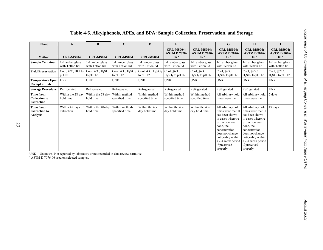| <b>Plant</b>                                                  | A                                  | B                                                                  | $\mathbf{C}$                                                       | D                                                                  | E                                                           | $\mathbf{F}$                                                | G                                                                                                                                                                                                                          | H                                                                                                                                                                                                                          | $\bf{I}$                                                    |
|---------------------------------------------------------------|------------------------------------|--------------------------------------------------------------------|--------------------------------------------------------------------|--------------------------------------------------------------------|-------------------------------------------------------------|-------------------------------------------------------------|----------------------------------------------------------------------------------------------------------------------------------------------------------------------------------------------------------------------------|----------------------------------------------------------------------------------------------------------------------------------------------------------------------------------------------------------------------------|-------------------------------------------------------------|
| <b>Method</b>                                                 | CRL-MS004                          | <b>CRL-MS004</b>                                                   | CRL-MS004                                                          | CRL-MS004                                                          | <b>CRL-MS004;</b><br><b>ASTM D 7076-</b><br>06 <sup>a</sup> | <b>CRL-MS004;</b><br><b>ASTM D 7076-</b><br>06 <sup>a</sup> | <b>CRL-MS004;</b><br><b>ASTM D 7076-</b><br>06 <sup>a</sup>                                                                                                                                                                | <b>CRL-MS004:</b><br><b>ASTM D 7076-</b><br>06 <sup>a</sup>                                                                                                                                                                | <b>CRL-MS004;</b><br><b>ASTM D 7076-</b><br>06 <sup>a</sup> |
| <b>Sample Container</b>                                       | 1-L amber glass<br>with Teflon lid | 1-L amber glass<br>with Teflon lid                                 | 1-L amber glass<br>with Teflon lid                                 | 1-L amber glass<br>with Teflon lid                                 | 1-L amber glass<br>with Teflon lid                          | 1-L amber glass<br>with Teflon lid                          | 1-L amber glass<br>with Teflon lid                                                                                                                                                                                         | 1-L amber glass<br>with Teflon lid                                                                                                                                                                                         | 1-L amber glass<br>with Teflon lid                          |
| <b>Field Preservation</b>                                     | Cool, 4°C; HCl to<br>pH < 2        | Cool, $4^{\circ}$ C; H <sub>2</sub> SO <sub>4</sub><br>to $pH < 2$ | Cool, $4^{\circ}$ C; H <sub>2</sub> SO <sub>4</sub><br>to $pH < 2$ | Cool, $4^{\circ}$ C; H <sub>2</sub> SO <sub>4</sub><br>to $pH < 2$ | Cool, $\leq 6^{\circ}C$ ;<br>$H_2SO_4$ to pH <2             | Cool, $\leq 6^{\circ}C$ ;<br>$H_2SO_4$ to pH <2             | Cool, $\leq 6^{\circ}C$ ;<br>$H_2SO_4$ to pH <2                                                                                                                                                                            | Cool, $\leq 6^{\circ}$ C;<br>$H_2SO_4$ to pH <2                                                                                                                                                                            | Cool, $\leq 6^{\circ}C$ ;<br>$H_2SO_4$ to pH <2             |
| <b>Temperature Upon</b><br><b>Receipt at Lab</b>              | <b>UNK</b>                         | <b>UNK</b>                                                         | <b>UNK</b>                                                         | <b>UNK</b>                                                         | <b>UNK</b>                                                  | <b>UNK</b>                                                  | <b>UNK</b>                                                                                                                                                                                                                 | <b>UNK</b>                                                                                                                                                                                                                 | <b>UNK</b>                                                  |
| <b>Storage Procedure</b>                                      | Refrigerated                       | Refrigerated                                                       | Refrigerated                                                       | Refrigerated                                                       | Refrigerated                                                | Refrigerated                                                | Refrigerated                                                                                                                                                                                                               | Refrigerated                                                                                                                                                                                                               | <b>UNK</b>                                                  |
| <b>Time from</b><br><b>Collection to</b><br><b>Extraction</b> | Within the 28-day<br>hold time     | Within the 28-day<br>hold time                                     | Within method-<br>specified time                                   | Within method-<br>specified time                                   | Within method-<br>specified time                            | Within method-<br>specified time                            | All arbitrary hold<br>times were met                                                                                                                                                                                       | All arbitrary hold<br>times were met                                                                                                                                                                                       | 7 days                                                      |
| <b>Time from</b><br><b>Extraction to</b><br><b>Analysis</b>   | Within 45 days of<br>extraction    | Within the 40-day<br>hold time                                     | Within method-<br>specified time                                   | Within the 40-<br>day hold time                                    | Within the 40-<br>day hold time                             | Within the 40-<br>day hold time                             | All arbitrary hold<br>times were met. It<br>has been shown<br>in cases where re-<br>extraction was<br>done, the<br>concentration<br>does not change<br>noticeably within<br>a 2-4 week period<br>if preserved<br>properly. | All arbitrary hold<br>times were met. It<br>has been shown<br>in cases where re-<br>extraction was<br>done, the<br>concentration<br>does not change<br>noticeably within<br>a 2-4 week period<br>if preserved<br>properly. | 19 days                                                     |

#### **Table 4-6. Alkylphenols, APEs, and BPA: Sample Collection, Preservation, and Storage**

UNK – Unknown. Not reported by laboratory or not recorded in data review narrative. a ASTM D 7076-06 used on selected samples.

23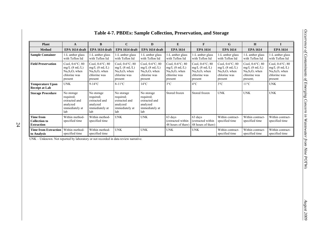| <b>Plant</b>                                                  | A                                                                               | $\bf{B}$                                                                           | $\mathbf C$                                                                        | D                                                                                  | E                                                                                  | $\mathbf{F}$                                                                       | G                                                                                  | H                                                                                   |                                                                                    |
|---------------------------------------------------------------|---------------------------------------------------------------------------------|------------------------------------------------------------------------------------|------------------------------------------------------------------------------------|------------------------------------------------------------------------------------|------------------------------------------------------------------------------------|------------------------------------------------------------------------------------|------------------------------------------------------------------------------------|-------------------------------------------------------------------------------------|------------------------------------------------------------------------------------|
| <b>Method</b>                                                 | EPA 1614 draft                                                                  | EPA 1614 draft                                                                     | EPA 1614 draft                                                                     | EPA 1614 draft                                                                     | <b>EPA 1614</b>                                                                    | <b>EPA 1614</b>                                                                    | <b>EPA 1614</b>                                                                    | <b>EPA 1614</b>                                                                     | <b>EPA 1614</b>                                                                    |
| <b>Sample Container</b>                                       | 1-L amber glass<br>with Teflon lid                                              | 1-L amber glass<br>with Teflon lid                                                 | 1-L amber glass<br>with Teflon lid                                                 | 1-L amber glass<br>with Teflon lid                                                 | 1-L amber glass<br>with Teflon lid                                                 | 1-L amber glass<br>with Teflon lid                                                 | 1-L amber glass<br>with Teflon lid                                                 | 1-L amber glass<br>with Teflon lid                                                  | 1-L amber glass<br>with Teflon lid                                                 |
| <b>Field Preservation</b>                                     | Cool, 0-6°C; 80<br>$mg/L$ (8 mL/L)<br>$Na2S2O3$ when<br>chlorine was<br>present | Cool, $0-6$ °C; 80<br>$mg/L$ (8 mL/L)<br>$Na2S2O3$ when<br>chlorine was<br>present | Cool, $0-6$ °C; 80<br>$mg/L$ (8 mL/L)<br>$Na2S2O3$ when<br>chlorine was<br>present | Cool, $0-6$ °C; 80<br>$mg/L$ (8 mL/L)<br>$Na2S2O3$ when<br>chlorine was<br>present | Cool, $0-6$ °C; 80<br>$mg/L$ (8 mL/L)<br>$Na2S2O3$ when<br>chlorine was<br>present | Cool, $0-6$ °C; 80<br>$mg/L$ (8 mL/L)<br>$Na2S2O3$ when<br>chlorine was<br>present | Cool, $0-6$ °C; 80<br>$mg/L$ (8 mL/L)<br>$Na2S2O3$ when<br>chlorine was<br>present | Cool, $0-6$ °C; 80<br>$mg/L$ (8 mL/L)<br>$Na2S2O3$ when<br>chlorine was<br>present; | Cool, $0-6$ °C; 80<br>$mg/L$ (8 mL/L)<br>$Na2S2O3$ when<br>chlorine was<br>present |
| <b>Temperature Upon</b><br><b>Receipt at Lab</b>              | <b>UNK</b>                                                                      | $9-14$ °C                                                                          | $8-11^{\circ}$ C                                                                   | $14^{\circ}$ C                                                                     | $3^{\circ}$ C                                                                      | $4^{\circ}$ C                                                                      | $3^{\circ}C$                                                                       | $11^{\circ}C$                                                                       | <b>UNK</b>                                                                         |
| <b>Storage Procedure</b>                                      | No storage<br>required;<br>extracted and<br>analyzed<br>immediately at<br>lab   | No storage<br>required;<br>extracted and<br>analyzed<br>immediately at<br>lab      | No storage<br>required;<br>extracted and<br>analyzed<br>immediately at<br>lab      | No storage<br>required;<br>extracted and<br>analyzed<br>immediately at<br>lab      | Stored frozen                                                                      | Stored frozen                                                                      | <b>UNK</b>                                                                         | <b>UNK</b>                                                                          | <b>UNK</b>                                                                         |
| <b>Time from</b><br><b>Collection to</b><br><b>Extraction</b> | Within method-<br>specified time                                                | Within method-<br>specified time                                                   | <b>UNK</b>                                                                         | <b>UNK</b>                                                                         | 63 days<br>(extracted within<br>48 hours of thaw                                   | 63 days<br>(extracted within<br>48 hours of thaw)                                  | Within contract-<br>specified time                                                 | Within contract-<br>specified time                                                  | Within contract-<br>specified time                                                 |
| <b>Time from Extraction</b><br>to Analysis                    | Within method-<br>specified time                                                | Within method-<br>specified time                                                   | <b>UNK</b>                                                                         | <b>UNK</b>                                                                         | <b>UNK</b>                                                                         | <b>UNK</b>                                                                         | Within contract-<br>specified time                                                 | Within contract-<br>specified time                                                  | Within contract-<br>specified time                                                 |

#### **Table 4-7. PBDEs: Sample Collection, Preservation, and Storage**

UNK – Unknown. Not reported by laboratory or not recorded in data review narrative.

24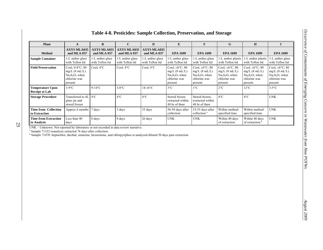| <b>Plant</b>                                 | A                                                                                  | B                                 | $\mathbf C$                       | D                                  | E                                                                                            | F                                                                                            | G                                                                                            | H                                                                                            | Т                                                                                            |
|----------------------------------------------|------------------------------------------------------------------------------------|-----------------------------------|-----------------------------------|------------------------------------|----------------------------------------------------------------------------------------------|----------------------------------------------------------------------------------------------|----------------------------------------------------------------------------------------------|----------------------------------------------------------------------------------------------|----------------------------------------------------------------------------------------------|
| <b>Method</b>                                | <b>AXYS MLA035</b><br>and MLA 037                                                  | <b>AXYS MLA035</b><br>and MLA 037 | <b>AXYS MLA035</b><br>and MLA 037 | <b>AXYS MLA035</b><br>and MLA 037  | <b>EPA 1699</b>                                                                              | <b>EPA 1699</b>                                                                              | <b>EPA 1699</b>                                                                              | <b>EPA 1699</b>                                                                              | <b>EPA 1699</b>                                                                              |
| <b>Sample Container</b>                      | 1-L amber glass<br>with Teflon lid                                                 | -L amber glass<br>with Teflon lid | -L amber glass<br>with Teflon lid | 1-L amber glass<br>with Teflon lid | 1-L amber glass<br>with Teflon lid                                                           | 1-L amber glass<br>with Teflon lid                                                           | 1-L amber plastic<br>with Teflon lid                                                         | -L amber plastic<br>with Teflon lid                                                          | 1-L amber glass<br>with Teflon lid                                                           |
| <b>Field Preservation</b>                    | Cool, $0-4$ °C; 80<br>$mg/L$ (8 mL/L)<br>$Na2S2O3$ when<br>chlorine was<br>present | Cool, $4^{\circ}$ C               | Cool, $4^{\circ}$ C               | Cool, $4^{\circ}$ C                | Cool, $\leq 6^{\circ}$ C; 80<br>$mg/L$ (8 mL/L)<br>$Na2S2O3$ when<br>chlorine was<br>present | Cool, $\leq 6^{\circ}$ C; 80<br>$mg/L$ (8 mL/L)<br>$Na2S2O3$ when<br>chlorine was<br>present | Cool, $\leq 6^{\circ}$ C; 80<br>$mg/L$ (8 mL/L)<br>$Na2S2O3$ when<br>chlorine was<br>present | Cool, $\leq 6^{\circ}$ C; 80<br>$mg/L$ (8 mL/L)<br>$Na2S2O3$ when<br>chlorine was<br>present | Cool, $\leq 6^{\circ}$ C; 80<br>$mg/L$ (8 mL/L)<br>$Na2S2O3$ when<br>chlorine was<br>present |
| Temperature Upon<br><b>Receipt at Lab</b>    | $3-9$ °C                                                                           | $9-14$ °C                         | $3-8$ °C                          | $14-16$ °C                         | $3^{\circ}$ C                                                                                | $1^{\circ}C$                                                                                 | $2^{\circ}C$                                                                                 | $12^{\circ}$ C                                                                               | $3-5$ °C                                                                                     |
| <b>Storage Procedure</b>                     | Transferred to 4L<br>glass jar and<br>stored frozen                                | $4^{\circ}C$                      | $4^{\circ}$ C                     | $4^{\circ}$ C                      | Stored frozen:<br>extracted within<br>48 hr of thaw                                          | Stored frozen:<br>extracted within<br>48 hr of thaw                                          | $4^{\circ}C$                                                                                 | $4^{\circ}C$                                                                                 | <b>UNK</b>                                                                                   |
| <b>Time from Collection</b><br>to Extraction | Approx 6 months 7 days                                                             |                                   | 3 days                            | 35 days                            | 56-58 days after<br>collection                                                               | 53-55 days after<br>collection <sup>a</sup>                                                  | Within method-<br>specified time                                                             | Within method-<br>specified time                                                             | <b>UNK</b>                                                                                   |
| <b>Time from Extraction</b><br>to Analysis   | Less than 40<br>days                                                               | 8 days                            | 8 days                            | 26 days                            | <b>UNK</b>                                                                                   | <b>UNK</b>                                                                                   | Within 40 days<br>of extraction                                                              | Within 40 days<br>of extraction <sup>t</sup>                                                 | <b>UNK</b>                                                                                   |

#### **Table 4-8. Pesticides: Sample Collection, Preservation, and Storage**

UNK – Unknown. Not reported by laboratory or not recorded in data review narrative.

<sup>a</sup> Sample 71322 reanalysis extracted 76 days after collection.

<sup>b</sup> Sample 71470: heptachlor, dacthal, simazine, hexazinone, and chlorpyriphos re-analyzed diluted 50 days past extraction.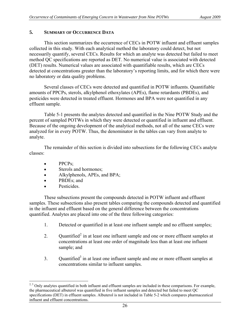### <span id="page-31-0"></span>**5. SUMMARY OF OCCURRENCE DATA**

 This section summarizes the occurrence of CECs in POTW influent and effluent samples collected in this study. With each analytical method the laboratory could detect, but not necessarily quantify, several CECs. Results for which an analyte was detected but failed to meet method QC specifications are reported as DET. No numerical value is associated with detected (DET) results. Numerical values are associated with quantifiable results, which are CECs detected at concentrations greater than the laboratory's reporting limits, and for which there were no laboratory or data quality problems.

 Several classes of CECs were detected and quantified in POTW influents. Quantifiable amounts of PPCPs, sterols, alkylphenol ethoxylates (APEs), flame retardants (PBDEs), and pesticides were detected in treated effluent. Hormones and BPA were not quantified in any effluent sample.

 Table 5-1 presents the analytes detected and quantified in the Nine POTW Study and the percent of sampled POTWs in which they were detected or quantified in influent and effluent. Because of the ongoing development of the analytical methods, not all of the same CECs were analyzed for in every POTW. Thus, the denominator in the tables can vary from analyte to analyte.

 The remainder of this section is divided into subsections for the following CECs analyte classes:

- $\bullet$  PPCPs;
- Sterols and hormones;
- Alkylphenols, APEs, and BPA;
- PBDEs; and
- Pesticides.

 These subsections present the compounds detected in POTW influent and effluent samples. These subsections also present tables comparing the compounds detected and quantified in the influent and effluent based on the general difference between the concentrations quantified. Analytes are placed into one of the three following categories:

- 1. Detected or quantified in at least one influent sample and no effluent samples;
- [2](#page-31-0). Quantified<sup>2</sup> in at least one influent sample and one or more effluent samples at concentrations at least one order of magnitude less than at least one influent sample; and
- 3. Quantified<sup>3</sup> in at least one influent sample and one or more effluent samples at concentrations similar to influent samples.

 $\overline{a}$ <sup>2, 3</sup> Only analytes quantified in both influent and effluent samples are included in these comparisons. For example, the pharmaceutical albuterol was quantified in five influent samples and detected but failed to meet QC specifications (DET) in effluent samples. Albuterol is not included in Table 5-2 which compares pharmaceutical influent and effluent concentrations.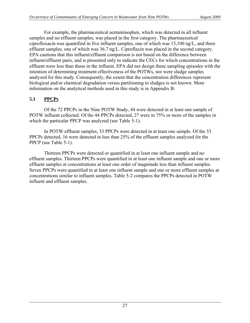<span id="page-32-0"></span> For example, the pharmaceutical acetaminophen, which was detected in all influent samples and no effluent samples, was placed in the first category. The pharmaceutical ciprofloxacin was quantified in five influent samples, one of which was 15,100 ng/L, and three effluent samples, one of which was 36.7 ng/L. Ciproflaxin was placed in the second category. EPA cautions that this influent/effluent comparison is not based on the difference between influent/effluent pairs, and is presented only to indicate the CECs for which concentrations in the effluent were less than those in the influent. EPA did not design these sampling episodes with the intention of determining treatment effectiveness of the POTWs, nor were sludge samples analyzed for this study. Consequently, the extent that the concentration differences represent biological and/or chemical degradation versus partitioning to sludges is not known. More information on the analytical methods used in this study is in Appendix B.

# **5.1 PPCPs**

 Of the 72 PPCPs in the Nine POTW Study, 44 were detected in at least one sample of POTW influent collected. Of the 44 PPCPs detected, 27 were in 75% or more of the samples in which the particular PPCP was analyzed (see Table 5-1).

 In POTW effluent samples, 33 PPCPs were detected in at least one sample. Of the 33 PPCPs detected, 16 were detected in less than 25% of the effluent samples analyzed for the PPCP (see Table 5-1).

 Thirteen PPCPs were detected or quantified in at least one influent sample and no effluent samples. Thirteen PPCPs were quantified in at least one influent sample and one or more effluent samples at concentrations at least one order of magnitude less than influent samples. Seven PPCPs were quantified in at least one influent sample and one or more effluent samples at concentrations similar to influent samples. Table 5-2 compares the PPCPs detected in POTW influent and effluent samples.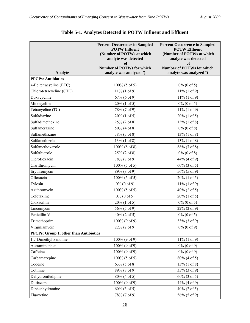|                                        | <b>Percent Occurrence in Sampled</b><br><b>POTW Influent</b><br>(Number of POTWs at which<br>analyte was detected<br><b>of</b><br><b>Number of POTWs for which</b> | <b>Percent Occurrence in Sampled</b><br><b>POTW Effluent</b><br>(Number of POTWs at which<br>analyte was detected<br>of<br><b>Number of POTWs for which</b> |
|----------------------------------------|--------------------------------------------------------------------------------------------------------------------------------------------------------------------|-------------------------------------------------------------------------------------------------------------------------------------------------------------|
| Analyte                                | analyte was analyzed <sup>a</sup> )                                                                                                                                | analyte was analyzed <sup>a</sup> )                                                                                                                         |
| <b>PPCPs: Antibiotics</b>              |                                                                                                                                                                    |                                                                                                                                                             |
| 4-Epitetracycline (ETC)                | $100\%$ (5 of 5)                                                                                                                                                   | $0\%$ (0 of 5)                                                                                                                                              |
| Chlorotetracycline (CTC)               | $11\% (1 of 9)$                                                                                                                                                    | $11\% (1 of 9)$                                                                                                                                             |
| Doxycycline                            | 67% (6 of 9)                                                                                                                                                       | $11\% (1 of 9)$                                                                                                                                             |
| Minocycline                            | $20\%$ (1 of 5)                                                                                                                                                    | $0\%$ (0 of 5)                                                                                                                                              |
| Tetracycline (TC)                      | 78% (7 of 9)                                                                                                                                                       | $11\% (1 of 9)$                                                                                                                                             |
| Sulfadiazine                           | $20\%$ (1 of 5)                                                                                                                                                    | $20\%$ (1 of 5)                                                                                                                                             |
| Sulfadimethoxine                       | $25\%$ (2 of 8)                                                                                                                                                    | $13\%$ (1 of 8)                                                                                                                                             |
| Sulfamerazine                          | 50% (4 of 8)                                                                                                                                                       | $0\%$ (0 of 8)                                                                                                                                              |
| Sulfamethazine                         | 38% (3 of 8)                                                                                                                                                       | $13\%$ (1 of 8)                                                                                                                                             |
| Sulfamethizole                         | $13\%$ (1 of 8)                                                                                                                                                    | $13\%$ (1 of 8)                                                                                                                                             |
| Sulfamethoxazole                       | $100\%$ (8 of 8)                                                                                                                                                   | 88% (7 of 8)                                                                                                                                                |
| Sulfathiazole                          | $25\%$ (2 of 8)                                                                                                                                                    | $0\%$ (0 of 8)                                                                                                                                              |
| Ciprofloxacin                          | 78% (7 of 9)                                                                                                                                                       | 44% (4 of 9)                                                                                                                                                |
| Clarithromycin                         | $100\%$ (5 of 5)                                                                                                                                                   | $60\%$ (3 of 5)                                                                                                                                             |
| Erythromycin                           | 89% (8 of 9)                                                                                                                                                       | 56% (5 of 9)                                                                                                                                                |
| Ofloxacin                              | $100\%$ (5 of 5)                                                                                                                                                   | $20\%$ (1 of 5)                                                                                                                                             |
| Tylosin                                | $0\%$ (0 of 9)                                                                                                                                                     | $11\% (1 of 9)$                                                                                                                                             |
| Azithromycin                           | $100\%$ (5 of 5)                                                                                                                                                   | $40\%$ (2 of 5)                                                                                                                                             |
| Cefotaxime                             | $0\%$ (0 of 5)                                                                                                                                                     | $20\%$ (1 of 5)                                                                                                                                             |
| Cloxacillin                            | $20\%$ (1 of 5)                                                                                                                                                    | $0\%$ (0 of 5)                                                                                                                                              |
| Lincomycin                             | 56% (5 of 9)                                                                                                                                                       | $22\%$ (2 of 9)                                                                                                                                             |
| Penicillin V                           | $40\%$ (2 of 5)                                                                                                                                                    | $0\%$ (0 of 5)                                                                                                                                              |
| Trimethoprim                           | 100% (9 of 9)                                                                                                                                                      | 33% (3 of 9)                                                                                                                                                |
| Virginiamycin                          | $22\%$ (2 of 9)                                                                                                                                                    | $0\%$ (0 of 9)                                                                                                                                              |
| PPCPs: Group 1, other than Antibiotics |                                                                                                                                                                    |                                                                                                                                                             |
| 1,7-Dimethyl xanthine                  | 100% (9 of 9)                                                                                                                                                      | $11\% (1 of 9)$                                                                                                                                             |
| Acetaminophen                          | $100\%$ (9 of 9)                                                                                                                                                   | $0\%$ (0 of 9)                                                                                                                                              |
| Caffeine                               | 100% (9 of 9)                                                                                                                                                      | $0\%$ (0 of 9)                                                                                                                                              |
| Carbamazepine                          | $100\%$ (5 of 5)                                                                                                                                                   | 80% (4 of 5)                                                                                                                                                |
| Codeine                                | $63\% (5 \text{ of } 8)$                                                                                                                                           | $13\%$ (1 of 8)                                                                                                                                             |
| Cotinine                               | 89% (8 of 9)                                                                                                                                                       | 33% (3 of 9)                                                                                                                                                |
| Dehydronifedipine                      | 80% (4 of 5)                                                                                                                                                       | $60\%$ (3 of 5)                                                                                                                                             |
| Diltiazem                              | 100% (9 of 9)                                                                                                                                                      | 44% (4 of 9)                                                                                                                                                |
| Diphenhydramine                        | $60\%$ (3 of 5)                                                                                                                                                    | $40\%$ (2 of 5)                                                                                                                                             |
| Fluoxetine                             | 78% (7 of 9)                                                                                                                                                       | 56% (5 of 9)                                                                                                                                                |

# **Table 5-1. Analytes Detected in POTW Influent and Effluent**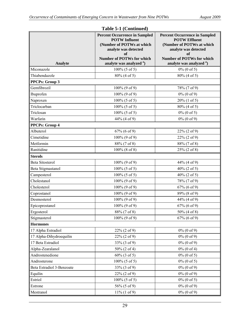| Analyte                   | <b>Percent Occurrence in Sampled</b><br><b>POTW Influent</b><br>(Number of POTWs at which<br>analyte was detected<br>of<br><b>Number of POTWs for which</b><br>analyte was analyzed <sup>a</sup> ) | <b>Percent Occurrence in Sampled</b><br><b>POTW Effluent</b><br>(Number of POTWs at which<br>analyte was detected<br>of<br><b>Number of POTWs for which</b><br>analyte was analyzed <sup>a</sup> ) |
|---------------------------|----------------------------------------------------------------------------------------------------------------------------------------------------------------------------------------------------|----------------------------------------------------------------------------------------------------------------------------------------------------------------------------------------------------|
| Miconazole                | $100\%$ (5 of 5)                                                                                                                                                                                   | $0\%$ (0 of 5)                                                                                                                                                                                     |
| Thiabendazole             | $80\%$ (4 of 5)                                                                                                                                                                                    | 80% (4 of 5)                                                                                                                                                                                       |
| <b>PPCPs: Group 3</b>     |                                                                                                                                                                                                    |                                                                                                                                                                                                    |
| Gemfibrozil               | 100% (9 of 9)                                                                                                                                                                                      | 78% (7 of 9)                                                                                                                                                                                       |
| Ibuprofen                 | 100% (9 of 9)                                                                                                                                                                                      | $0\%$ (0 of 9)                                                                                                                                                                                     |
| Naproxen                  | $100\%$ (5 of 5)                                                                                                                                                                                   | $20\%$ (1 of 5)                                                                                                                                                                                    |
| Triclocarban              | $100\%$ (5 of 5)                                                                                                                                                                                   | 80% (4 of 5)                                                                                                                                                                                       |
| Triclosan                 | $100\%$ (5 of 5)                                                                                                                                                                                   | $0\%$ (0 of 5)                                                                                                                                                                                     |
| Warfarin                  | 44% (4 of 9)                                                                                                                                                                                       | $0\%$ (0 of 9)                                                                                                                                                                                     |
| <b>PPCPs: Group 4</b>     |                                                                                                                                                                                                    |                                                                                                                                                                                                    |
| Albuterol                 | 67% (6 of 9)                                                                                                                                                                                       | $22\% (2 of 9)$                                                                                                                                                                                    |
| Cimetidine                | 100% (9 of 9)                                                                                                                                                                                      | 22% (2 of 9)                                                                                                                                                                                       |
| Metformin                 | 88% (7 of 8)                                                                                                                                                                                       | 88% (7 of 8)                                                                                                                                                                                       |
| Ranitidine                | $100\%$ (8 of 8)                                                                                                                                                                                   | 25% (2 of 8)                                                                                                                                                                                       |
| <b>Sterols</b>            |                                                                                                                                                                                                    |                                                                                                                                                                                                    |
| <b>Beta Sitosterol</b>    | $100\%$ (9 of 9)                                                                                                                                                                                   | 44% (4 of 9)                                                                                                                                                                                       |
| Beta Stigmastanol         | $100\%$ (5 of 5)                                                                                                                                                                                   | $40\%$ (2 of 5)                                                                                                                                                                                    |
| Campesterol               | $100\%$ (5 of 5)                                                                                                                                                                                   | $40\%$ (2 of 5)                                                                                                                                                                                    |
| Cholestanol               | $100\%$ (9 of 9)                                                                                                                                                                                   | 78% (7 of 9)                                                                                                                                                                                       |
| Cholesterol               | $100\%$ (9 of 9)                                                                                                                                                                                   | $67\%$ (6 of 9)                                                                                                                                                                                    |
| Coprostanol               | $100\%$ (9 of 9)                                                                                                                                                                                   | 89% (8 of 9)                                                                                                                                                                                       |
| Desmosterol               | $100\%$ (9 of 9)                                                                                                                                                                                   | 44% (4 of 9)                                                                                                                                                                                       |
| Epicoprostanol            | 100% (9 of 9)                                                                                                                                                                                      | 67% (6 of 9)                                                                                                                                                                                       |
| Ergosterol                | 88% (7 of 8)                                                                                                                                                                                       | 50% (4 of 8)                                                                                                                                                                                       |
| Stigmasterol              | $100\%$ (9 of 9)                                                                                                                                                                                   | $67\%$ (6 of 9)                                                                                                                                                                                    |
| <b>Hormones</b>           |                                                                                                                                                                                                    |                                                                                                                                                                                                    |
| 17 Alpha Estradiol        | 22% (2 of 9)                                                                                                                                                                                       | $0\%$ (0 of 9)                                                                                                                                                                                     |
| 17 Alpha-Dihydroequilin   | $22\% (2 of 9)$                                                                                                                                                                                    | $0\%$ (0 of 9)                                                                                                                                                                                     |
| 17 Beta Estradiol         | 33% (3 of 9)                                                                                                                                                                                       | $0\%$ (0 of 9)                                                                                                                                                                                     |
| Alpha-Zearalanol          | 50% (2 of 4)                                                                                                                                                                                       | $0\%$ (0 of 4)                                                                                                                                                                                     |
| Androstenedione           | $60\%$ (3 of 5)                                                                                                                                                                                    | $0\%$ (0 of 5)                                                                                                                                                                                     |
| Androsterone              | $100\%$ (5 of 5)                                                                                                                                                                                   | $0\%$ (0 of 5)                                                                                                                                                                                     |
| Beta Estradiol 3-Benzoate | 33% (3 of 9)                                                                                                                                                                                       | $0\%$ (0 of 9)                                                                                                                                                                                     |
| Equilin                   | $22\% (2 of 9)$                                                                                                                                                                                    | $0\%$ (0 of 9)                                                                                                                                                                                     |
| Estriol                   | $100\%$ (5 of 5)                                                                                                                                                                                   | $0\%$ (0 of 5)                                                                                                                                                                                     |
| Estrone                   | 56% (5 of 9)                                                                                                                                                                                       | $0\%$ (0 of 9)                                                                                                                                                                                     |
| Mestranol                 | $11\% (1 of 9)$                                                                                                                                                                                    | $0\%$ (0 of 9)                                                                                                                                                                                     |

#### **Table 5-1 (Continued)**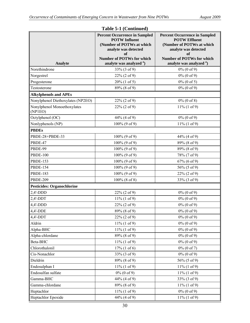|                                        | <b>Percent Occurrence in Sampled</b><br><b>POTW Influent</b><br>(Number of POTWs at which<br>analyte was detected<br>of | <b>Percent Occurrence in Sampled</b><br><b>POTW Effluent</b><br>(Number of POTWs at which<br>analyte was detected<br>of |  |  |
|----------------------------------------|-------------------------------------------------------------------------------------------------------------------------|-------------------------------------------------------------------------------------------------------------------------|--|--|
| <b>Analyte</b>                         | <b>Number of POTWs for which</b><br>analyte was analyzed <sup>a</sup> )                                                 | <b>Number of POTWs for which</b><br>analyte was analyzed <sup>a</sup> )                                                 |  |  |
| Norethindrone                          | 33% (3 of 9)                                                                                                            | $0\%$ (0 of 9)                                                                                                          |  |  |
| Norgestrel                             | $22\% (2 of 9)$                                                                                                         | $0\%$ (0 of 9)                                                                                                          |  |  |
| Progesterone                           | $20\%$ (1 of 5)                                                                                                         | $0\%$ (0 of 5)                                                                                                          |  |  |
| Testosterone                           | 89% (8 of 9)                                                                                                            | $0\%$ (0 of 9)                                                                                                          |  |  |
| <b>Alkylphenols and APEs</b>           |                                                                                                                         |                                                                                                                         |  |  |
| Nonylphenol Diethoxylates (NP2EO)      | $22\% (2 of 9)$                                                                                                         | $0\%$ (0 of 8)                                                                                                          |  |  |
| Nonylphenol Monoethoxylates<br>(NP1EO) | $22\%$ (2 of 9)                                                                                                         | $11\% (1 of 9)$                                                                                                         |  |  |
| Octylphenol (OC)                       | 44% (4 of 9)                                                                                                            | $0\%$ (0 of 9)                                                                                                          |  |  |
| Nonlyphenols (NP)                      | 100% (9 of 9)                                                                                                           | $11\% (1 of 9)$                                                                                                         |  |  |
| <b>PBDEs</b>                           |                                                                                                                         |                                                                                                                         |  |  |
| PBDE-28+PBDE-33                        | 100% (9 of 9)                                                                                                           | 44% (4 of 9)                                                                                                            |  |  |
| PBDE-47                                | 100% (9 of 9)                                                                                                           | 89% (8 of 9)                                                                                                            |  |  |
| PBDE-99                                | $100\%$ (9 of 9)                                                                                                        | 89% (8 of 9)                                                                                                            |  |  |
| <b>PBDE-100</b>                        | $100\%$ (9 of 9)                                                                                                        | 78% (7 of 9)                                                                                                            |  |  |
| <b>PBDE-153</b>                        | $100\%$ (9 of 9)                                                                                                        | 67% (6 of 9)                                                                                                            |  |  |
| <b>PBDE-154</b>                        | $100\%$ (9 of 9)                                                                                                        | 56% (5 of 9)                                                                                                            |  |  |
| <b>PBDE-183</b>                        | $100\%$ (9 of 9)                                                                                                        | $22\%$ (2 of 9)                                                                                                         |  |  |
| <b>PBDE-209</b>                        | $100\%$ (8 of 8)                                                                                                        | 33% (3 of 9)                                                                                                            |  |  |
| <b>Pesticides: Organochlorine</b>      |                                                                                                                         |                                                                                                                         |  |  |
| $2,4'$ -DDD                            | $22\% (2 of 9)$                                                                                                         | $0\%$ (0 of 9)                                                                                                          |  |  |
| $2,4'$ -DDT                            | $11\% (1 of 9)$                                                                                                         | $0\%$ (0 of 9)                                                                                                          |  |  |
| $4,4'-DDD$                             | 22% (2 of 9)                                                                                                            | $0\%$ (0 of 9)                                                                                                          |  |  |
| $4,4'-DDE$                             | 89% (8 of 9)                                                                                                            | $0\%$ (0 of 9)                                                                                                          |  |  |
| $4,4'$ -DDT                            | 22% (2 of 9)                                                                                                            | $0\%$ (0 of 9)                                                                                                          |  |  |
| Aldrin                                 | $11\% (1 of 9)$                                                                                                         | $0\%$ (0 of 9)                                                                                                          |  |  |
| Alpha-BHC                              | $11\% (1 of 9)$                                                                                                         | $0\%$ (0 of 9)                                                                                                          |  |  |
| Alpha-chlordane                        | 89% (8 of 9)                                                                                                            | $0\%$ (0 of 9)                                                                                                          |  |  |
| Beta-BHC                               | $11\% (1 of 9)$                                                                                                         | $0\%$ (0 of 9)                                                                                                          |  |  |
| Chlorothalonil                         | $17\%$ (1 of 6)                                                                                                         | $0\%$ (0 of 7)                                                                                                          |  |  |
| Cis-Nonachlor                          | 33% (3 of 9)                                                                                                            | $0\%$ (0 of 9)                                                                                                          |  |  |
| Dieldrin                               | 89% (8 of 9)                                                                                                            | 56% (5 of 9)                                                                                                            |  |  |
| Endosulphan I                          | $11\% (1 of 9)$                                                                                                         | $11\% (1 of 9)$                                                                                                         |  |  |
| Endosulfan sulfate                     | $0\%$ (0 of 9)                                                                                                          | $11\% (1 of 9)$                                                                                                         |  |  |
| Gamma-BHC                              | 44% (4 of 9)                                                                                                            | 33% (3 of 9)                                                                                                            |  |  |
| Gamma-chlordane                        | 89% (8 of 9)                                                                                                            | $11\% (1 of 9)$                                                                                                         |  |  |
| Heptachlor                             | $11\% (1 of 9)$                                                                                                         | $0\%$ (0 of 9)                                                                                                          |  |  |
| Heptachlor Epoxide                     | 44% (4 of 9)                                                                                                            | $11\% (1 of 9)$                                                                                                         |  |  |

#### **Table 5-1 (Continued)**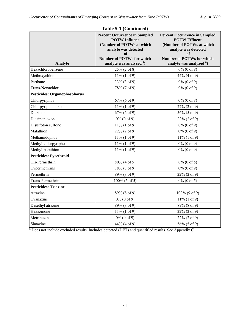| Analyte                             | <b>Percent Occurrence in Sampled</b><br><b>POTW Influent</b><br>(Number of POTWs at which<br>analyte was detected<br>of<br><b>Number of POTWs for which</b><br>analyte was analyzed <sup>a</sup> ) | <b>Percent Occurrence in Sampled</b><br><b>POTW Effluent</b><br>(Number of POTWs at which<br>analyte was detected<br>оf<br><b>Number of POTWs for which</b><br>analyte was analyzed <sup>a</sup> ) |
|-------------------------------------|----------------------------------------------------------------------------------------------------------------------------------------------------------------------------------------------------|----------------------------------------------------------------------------------------------------------------------------------------------------------------------------------------------------|
| Hexachlorobenzene                   | $25\%$ (2 of 8)                                                                                                                                                                                    | $0\%$ (0 of 8)                                                                                                                                                                                     |
| Methoxychlor                        | $11\% (1 of 9)$                                                                                                                                                                                    | 44% (4 of 9)                                                                                                                                                                                       |
| Perthane                            | 33% (3 of 9)                                                                                                                                                                                       | $0\%$ (0 of 9)                                                                                                                                                                                     |
| Trans-Nonachlor                     | 78% (7 of 9)                                                                                                                                                                                       | $0\%$ (0 of 9)                                                                                                                                                                                     |
| <b>Pesticides: Organophosphorus</b> |                                                                                                                                                                                                    |                                                                                                                                                                                                    |
| Chlorpyriphos                       | 67% (6 of 9)                                                                                                                                                                                       | $0\%$ (0 of 8)                                                                                                                                                                                     |
| Chlorpyriphos-oxon                  | $11\% (1 of 9)$                                                                                                                                                                                    | $22\% (2 of 9)$                                                                                                                                                                                    |
| Diazinon                            | $67\%$ (6 of 9)                                                                                                                                                                                    | $56\%$ (5 of 9)                                                                                                                                                                                    |
| Diazinon oxon                       | $0\%$ (0 of 9)                                                                                                                                                                                     | $22\% (2 of 9)$                                                                                                                                                                                    |
| Disulfoton sulfone                  | $11\% (1 of 9)$                                                                                                                                                                                    | $0\%$ (0 of 9)                                                                                                                                                                                     |
| Malathion                           | $22\% (2 of 9)$                                                                                                                                                                                    | $0\%$ (0 of 9)                                                                                                                                                                                     |
| Methamidophos                       | $11\% (1 of 9)$                                                                                                                                                                                    | $11\% (1 of 9)$                                                                                                                                                                                    |
| Methyl-chlorpyriphos                | $11\% (1 of 9)$                                                                                                                                                                                    | $0\%$ (0 of 9)                                                                                                                                                                                     |
| Methyl-parathion                    | $11\% (1 of 9)$                                                                                                                                                                                    | $0\%$ (0 of 9)                                                                                                                                                                                     |
| <b>Pesticides: Pyrethroid</b>       |                                                                                                                                                                                                    |                                                                                                                                                                                                    |
| Cis-Permethrin                      | 80% (4 of 5)                                                                                                                                                                                       | $0\%$ (0 of 5)                                                                                                                                                                                     |
| Cypermethrins                       | 78% (7 of 9)                                                                                                                                                                                       | $0\%$ (0 of 9)                                                                                                                                                                                     |
| Permethrin                          | 89% (8 of 9)                                                                                                                                                                                       | $22\% (2 of 9)$                                                                                                                                                                                    |
| Trans-Permethrin                    | $100\%$ (5 of 5)                                                                                                                                                                                   | $0\%$ (0 of 5)                                                                                                                                                                                     |
| <b>Pesticides: Triazine</b>         |                                                                                                                                                                                                    |                                                                                                                                                                                                    |
| Atrazine                            | 89% (8 of 9)                                                                                                                                                                                       | $100\%$ (9 of 9)                                                                                                                                                                                   |
| Cyanazine                           | $0\%$ (0 of 9)                                                                                                                                                                                     | $11\% (1 of 9)$                                                                                                                                                                                    |
| Desethyl atrazine                   | 89% (8 of 9)                                                                                                                                                                                       | 89% (8 of 9)                                                                                                                                                                                       |
| Hexazinone                          | $11\% (1 of 9)$                                                                                                                                                                                    | $22\% (2 of 9)$                                                                                                                                                                                    |
| Metribuzin                          | $0\%$ (0 of 9)                                                                                                                                                                                     | $22\% (2 of 9)$                                                                                                                                                                                    |
| Simazine                            | 44% (4 of 9)                                                                                                                                                                                       | 56% (5 of 9)                                                                                                                                                                                       |

## **Table 5-1 (Continued)**

<sup>a</sup> Does not include excluded results. Includes detected (DET) and quantified results. See Appendix C.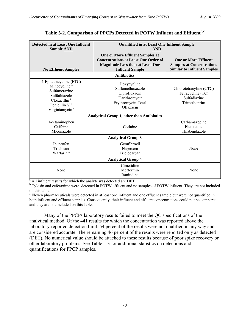| Detected in at Least One Influent<br>Sample <b>AND</b>                                                                                                                       | <b>Quantified in at Least One Influent Sample</b><br>AND                                                                                                   |                                                                                                       |  |  |  |  |
|------------------------------------------------------------------------------------------------------------------------------------------------------------------------------|------------------------------------------------------------------------------------------------------------------------------------------------------------|-------------------------------------------------------------------------------------------------------|--|--|--|--|
| <b>No Effluent Samples</b>                                                                                                                                                   | <b>One or More Effluent Samples at</b><br><b>Concentrations at Least One Order of</b><br><b>Magnitude Less than at Least One</b><br><b>Influent Sample</b> | <b>One or More Effluent</b><br><b>Samples at Concentrations</b><br><b>Similar to Influent Samples</b> |  |  |  |  |
| <b>Antibiotics</b>                                                                                                                                                           |                                                                                                                                                            |                                                                                                       |  |  |  |  |
| 4-Epitetracycline (ETC)<br>Minocycline <sup>a</sup><br>Sulfamerazine<br>Sulfathiazole<br>Cloxacillin <sup>a</sup><br>Penicillin V <sup>a</sup><br>Virginiamycin <sup>a</sup> | Doxycycline<br>Sulfamethoxazole<br>Ciprofloxacin<br>Clarithromycin<br>Erythromycin-Total<br>Oflaxacin                                                      | Chlorotetracyline (CTC)<br>Tetracycline (TC)<br>Sulfadiazine<br>Trimethoprim                          |  |  |  |  |
|                                                                                                                                                                              | <b>Analytical Group 1, other than Antibiotics</b>                                                                                                          |                                                                                                       |  |  |  |  |
| Acetaminophen<br>Caffeine<br>Miconazole                                                                                                                                      | Cotinine                                                                                                                                                   | Carbamazepine<br>Fluoxetine<br>Thiabendazole                                                          |  |  |  |  |
|                                                                                                                                                                              | <b>Analytical Group 3</b>                                                                                                                                  |                                                                                                       |  |  |  |  |
| Ibuprofen<br>Triclosan<br>Warfarin <sup>a</sup>                                                                                                                              | Gemfibrozil<br>Naproxen<br>Triclocarban                                                                                                                    | None                                                                                                  |  |  |  |  |
|                                                                                                                                                                              | <b>Analytical Group 4</b>                                                                                                                                  |                                                                                                       |  |  |  |  |
| None                                                                                                                                                                         | Cimetidine<br>Metformin<br>Ranitidine                                                                                                                      | None                                                                                                  |  |  |  |  |

# **Table 5-2. Comparison of PPCPs Detected in POTW Influent and Effluentb,c**

<sup>a</sup> All influent results for which the analyte was detected are DET.

<sup>b</sup> Tylosin and cefotaxime were detected in POTW effluent and no samples of POTW influent. They are not included on this table.

<sup>c</sup> Eleven pharmaceuticals were detected in at least one influent and one effluent sample but were not quantified in both influent and effluent samples. Consequently, their influent and effluent concentrations could not be compared and they are not included on this table.

 Many of the PPCPs laboratory results failed to meet the QC specifications of the analytical method. Of the 441 results for which the concentration was reported above the laboratory-reported detection limit, 54 percent of the results were not qualified in any way and are considered accurate. The remaining 46 percent of the results were reported only as detected (DET). No numerical value should be attached to these results because of poor spike recovery or other laboratory problems. See Table 5-3 for additional statistics on detections and quantifications for PPCP samples.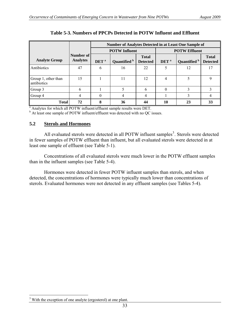<span id="page-38-0"></span>

|                                    |                              | <b>Number of Analytes Detected in at Least One Sample of</b> |                      |                                 |                      |              |                                 |
|------------------------------------|------------------------------|--------------------------------------------------------------|----------------------|---------------------------------|----------------------|--------------|---------------------------------|
|                                    |                              |                                                              | <b>POTW</b> Influent |                                 | <b>POTW Effluent</b> |              |                                 |
| <b>Analyte Group</b>               | Number of<br><b>Analytes</b> | DET <sup>a</sup>                                             | Quantified b         | <b>Total</b><br><b>Detected</b> | DET <sup>a</sup>     | Quantified b | <b>Total</b><br><b>Detected</b> |
| Antibiotics                        | 47                           | 6                                                            | 16                   | 22                              |                      | 12           |                                 |
| Group 1, other than<br>antibiotics | 15                           |                                                              | 11                   | 12                              | 4                    |              | 9                               |
| Group 3                            | 6                            |                                                              |                      | 6                               | 0                    | 3            |                                 |
| Group 4                            |                              |                                                              | 4                    | 4                               |                      | 3            |                                 |
| <b>Total</b>                       | 72                           | 8                                                            | 36                   | 44                              | 10                   | 23           | 33                              |

**Table 5-3. Numbers of PPCPs Detected in POTW Influent and Effluent** 

<sup>a</sup> Analytes for which all POTW influent/effluent sample results were DET.

<sup>b</sup> At least one sample of POTW influent/effluent was detected with no QC issues.

## **5.2 Sterols and Hormones**

All evaluated sterols were detected in all POTW influent samples<sup>[3](#page-38-0)</sup>. Sterols were detected in fewer samples of POTW effluent than influent, but all evaluated sterols were detected in at least one sample of effluent (see Table 5-1).

 Concentrations of all evaluated sterols were much lower in the POTW effluent samples than in the influent samples (see Table 5-4).

 Hormones were detected in fewer POTW influent samples than sterols, and when detected, the concentrations of hormones were typically much lower than concentrations of sterols. Evaluated hormones were not detected in any effluent samples (see Tables 5-4).

<sup>&</sup>lt;sup>3</sup> With the exception of one analyte (ergosterol) at one plant. 1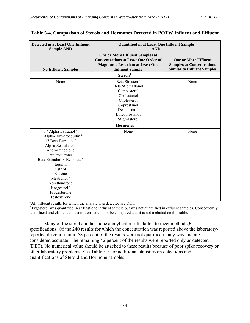| Detected in at Least One Influent<br>Sample <b>AND</b>                                                                                                                                                                                                                                                                                                         | <b>Quantified in at Least One Influent Sample</b><br><b>AND</b>                                                                                     |                                                                                                       |  |  |  |  |
|----------------------------------------------------------------------------------------------------------------------------------------------------------------------------------------------------------------------------------------------------------------------------------------------------------------------------------------------------------------|-----------------------------------------------------------------------------------------------------------------------------------------------------|-------------------------------------------------------------------------------------------------------|--|--|--|--|
| <b>No Effluent Samples</b>                                                                                                                                                                                                                                                                                                                                     | One or More Effluent Samples at<br><b>Concentrations at Least One Order of</b><br><b>Magnitude Less than at Least One</b><br><b>Influent Sample</b> | <b>One or More Effluent</b><br><b>Samples at Concentrations</b><br><b>Similar to Influent Samples</b> |  |  |  |  |
|                                                                                                                                                                                                                                                                                                                                                                | Sterols <sup>b</sup>                                                                                                                                |                                                                                                       |  |  |  |  |
| None                                                                                                                                                                                                                                                                                                                                                           | Beta Sitosterol<br>Beta Stigmastanol<br>Campesterol<br>Cholestanol<br>Cholesterol<br>Coprostanol<br>Desmosterol<br>Epicoprostanol<br>Stigmasterol   | None                                                                                                  |  |  |  |  |
|                                                                                                                                                                                                                                                                                                                                                                | <b>Hormones</b>                                                                                                                                     |                                                                                                       |  |  |  |  |
| 17 Alpha-Estradiol <sup>a</sup><br>17 Alpha-Dihydroequilin <sup>a</sup><br>17 Beta-Estradiol <sup>a</sup><br>Alpha-Zearalanol <sup>a</sup><br>Androstenedione<br>Androsterone<br>Beta-Estradiol-3-Benzoate <sup>a</sup><br>Equilin<br>Estriol<br>Estrone<br>Mestranol <sup>a</sup><br>Norethindrone<br>Norgestrel <sup>a</sup><br>Progesterone<br>Testosterone | None                                                                                                                                                | None                                                                                                  |  |  |  |  |

## **Table 5-4. Comparison of Sterols and Hormones Detected in POTW Influent and Effluent**

 $\frac{1}{a}$ All influent results for which the analyte was detected are DET.

<sup>b</sup> Ergosterol was quantified in at least one influent sample but was not quantified in effluent samples. Consequently its influent and effluent concentrations could not be compared and it is not included on this table.

 Many of the sterol and hormone analytical results failed to meet method QC specifications. Of the 240 results for which the concentration was reported above the laboratoryreported detection limit, 58 percent of the results were not qualified in any way and are considered accurate. The remaining 42 percent of the results were reported only as detected (DET). No numerical value should be attached to these results because of poor spike recovery or other laboratory problems. See Table 5-5 for additional statistics on detections and quantifications of Steroid and Hormone samples.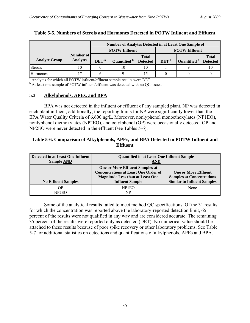|                      |                              |                      | <b>Number of Analytes Detected in at Least One Sample of</b> |                                 |                  |                      |                                 |
|----------------------|------------------------------|----------------------|--------------------------------------------------------------|---------------------------------|------------------|----------------------|---------------------------------|
|                      |                              | <b>POTW</b> Influent |                                                              |                                 |                  | <b>POTW Effluent</b> |                                 |
| <b>Analyte Group</b> | Number of<br><b>Analytes</b> | DET <sup>a</sup>     | Quantified b                                                 | <b>Total</b><br><b>Detected</b> | DET <sup>a</sup> | Quantified b         | <b>Total</b><br><b>Detected</b> |
| <b>Sterols</b>       | 10                           |                      | 10                                                           | 10                              |                  |                      | 10                              |
| <b>Hormones</b>      |                              |                      |                                                              |                                 |                  |                      |                                 |

### **Table 5-5. Numbers of Sterols and Hormones Detected in POTW Influent and Effluent**

<sup>a</sup> Analytes for which all POTW influent/effluent sample results were DET.

<sup>b</sup> At least one sample of POTW influent/effluent was detected with no QC issues.

## **5.3 Alkylphenols, APEs, and BPA**

 BPA was not detected in the influent or effluent of any sampled plant. NP was detected in each plant influent, additionally, the reporting limits for NP were significantly lower than the EPA Water Quality Criteria of 6,600 ng/L. Moreover, nonlyphenol monoethoxylates (NP1EO), nonlyphenol diethoxylates (NP2EO), and octylphenol (OP) were occasionally detected. OP and NP2EO were never detected in the effluent (see Tables 5-6).

## **Table 5-6. Comparison of Alkylphenols, APEs, and BPA Detected in POTW Influent and Effluent**

| Detected in at Least One Influent<br>Sample <b>AND</b> | <b>Quantified in at Least One Influent Sample</b><br>$\overline{\bf AND}$                                                                           |                                                                                                       |  |  |  |
|--------------------------------------------------------|-----------------------------------------------------------------------------------------------------------------------------------------------------|-------------------------------------------------------------------------------------------------------|--|--|--|
| <b>No Effluent Samples</b>                             | One or More Effluent Samples at<br><b>Concentrations at Least One Order of</b><br><b>Magnitude Less than at Least One</b><br><b>Influent Sample</b> | <b>One or More Effluent</b><br><b>Samples at Concentrations</b><br><b>Similar to Influent Samples</b> |  |  |  |
| OР<br>NP <sub>2</sub> EO                               | NP <sub>1</sub> EO<br>NP                                                                                                                            | None                                                                                                  |  |  |  |

 Some of the analytical results failed to meet method QC specifications. Of the 31 results for which the concentration was reported above the laboratory-reported detection limit, 65 percent of the results were not qualified in any way and are considered accurate. The remaining 35 percent of the results were reported only as detected (DET). No numerical value should be attached to these results because of poor spike recovery or other laboratory problems. See Table 5-7 for additional statistics on detections and quantifications of alkylphenols, APEs and BPA.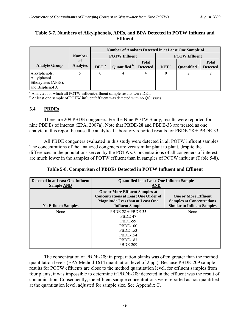|                                                                        |                       |                  | <b>Number of Analytes Detected in at Least One Sample of</b> |                                 |                  |                      |                                 |
|------------------------------------------------------------------------|-----------------------|------------------|--------------------------------------------------------------|---------------------------------|------------------|----------------------|---------------------------------|
|                                                                        | <b>Number</b>         |                  | <b>POTW</b> Influent                                         |                                 |                  | <b>POTW Effluent</b> |                                 |
| <b>Analyte Group</b>                                                   | of<br><b>Analytes</b> | DET <sup>a</sup> | Quantified b                                                 | <b>Total</b><br><b>Detected</b> | DET <sup>a</sup> | Quantified b         | <b>Total</b><br><b>Detected</b> |
| Alkylphenols,<br>Alkylphenol<br>Ethoxylates (APEs),<br>and Bisphenol A |                       |                  | 4                                                            | 4                               |                  |                      |                                 |

## **Table 5-7. Numbers of Alkylphenols, APEs, and BPA Detected in POTW Influent and Effluent**

a Analytes for which all POTW influent/effluent sample results were DET.

<sup>b</sup> At least one sample of POTW influent/effluent was detected with no QC issues.

# **5.4 PBDEs**

 There are 209 PBDE congeners. For the Nine POTW Study, results were reported for nine PBDEs of interest (EPA, 2007a). Note that PBDE-28 and PBDE-33 are treated as one analyte in this report because the analytical laboratory reported results for PBDE-28 + PBDE-33.

 All PBDE congeners evaluated in this study were detected in all POTW influent samples. The concentrations of the analyzed congeners are very similar plant to plant, despite the differences in the populations served by the POTWs. Concentrations of all congeners of interest are much lower in the samples of POTW effluent than in samples of POTW influent (Table 5-8).

**Table 5-8. Comparison of PBDEs Detected in POTW Influent and Effluent** 

| Detected in at Least One Influent<br><b>Sample AND</b> | <b>Ouantified in at Least One Influent Sample</b><br>AND                                                                                                   |                                                                                                       |  |  |  |
|--------------------------------------------------------|------------------------------------------------------------------------------------------------------------------------------------------------------------|-------------------------------------------------------------------------------------------------------|--|--|--|
| <b>No Effluent Samples</b>                             | <b>One or More Effluent Samples at</b><br><b>Concentrations at Least One Order of</b><br><b>Magnitude Less than at Least One</b><br><b>Influent Sample</b> | <b>One or More Effluent</b><br><b>Samples at Concentrations</b><br><b>Similar to Influent Samples</b> |  |  |  |
| None                                                   | $PBDE-28 + PBDE-33$<br>PBDE-47                                                                                                                             | None                                                                                                  |  |  |  |
|                                                        | PBDE-99                                                                                                                                                    |                                                                                                       |  |  |  |
|                                                        | <b>PBDE-100</b>                                                                                                                                            |                                                                                                       |  |  |  |
|                                                        | <b>PBDE-153</b>                                                                                                                                            |                                                                                                       |  |  |  |
|                                                        | <b>PBDE-154</b>                                                                                                                                            |                                                                                                       |  |  |  |
|                                                        | <b>PBDE-183</b>                                                                                                                                            |                                                                                                       |  |  |  |
|                                                        | <b>PBDE-209</b>                                                                                                                                            |                                                                                                       |  |  |  |

 The concentration of PBDE-209 in preparation blanks was often greater than the method quantitation levels (EPA Method 1614 quantitation level of 2 ppt). Because PBDE-209 sample results for POTW effluents are close to the method quantitation level, for effluent samples from four plants, it was impossible to determine if PBDE-209 detected in the effluent was the result of contamination. Consequently, the effluent sample concentrations were reported as not-quantified at the quantitation level, adjusted for sample size. See Appendix C.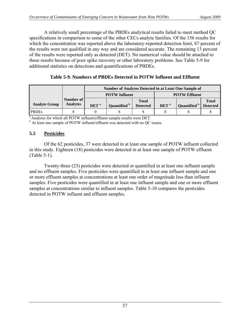A relatively small percentage of the PBDEs analytical results failed to meet method QC specifications in comparison to some of the other CECs analyte families. Of the 156 results for which the concentration was reported above the laboratory-reported detection limit, 87 percent of the results were not qualified in any way and are considered accurate. The remaining 13 percent of the results were reported only as detected (DET). No numerical value should be attached to these results because of poor spike recovery or other laboratory problems. See Table 5-9 for additional statistics on detections and quantifications of PBDEs.

|                      |                              | <b>Number of Analytes Detected in at Least One Sample of</b> |                      |                                 |                  |                         |                 |
|----------------------|------------------------------|--------------------------------------------------------------|----------------------|---------------------------------|------------------|-------------------------|-----------------|
|                      |                              |                                                              | <b>POTW</b> Influent |                                 |                  | <b>POTW Effluent</b>    |                 |
| <b>Analyte Group</b> | Number of<br><b>Analytes</b> | DET <sup>a</sup>                                             | Quantified b         | <b>Total</b><br><b>Detected</b> | DET <sup>a</sup> | Quantified <sup>b</sup> | <b>Total</b>    |
|                      |                              |                                                              |                      |                                 |                  |                         | <b>Detected</b> |
| <b>PBDEs</b>         |                              |                                                              |                      |                                 |                  |                         |                 |

<sup>a</sup> Analytes for which all POTW influent/effluent sample results were DET.

<sup>b</sup> At least one sample of POTW influent/effluent was detected with no QC issues.

# **5.5 Pesticides**

 Of the 62 pesticides, 37 were detected in at least one sample of POTW influent collected in this study. Eighteen (18) pesticides were detected in at least one sample of POTW effluent (Table 5-1).

 Twenty-three (23) pesticides were detected or quantified in at least one influent sample and no effluent samples. Five pesticides were quantified in at least one influent sample and one or more effluent samples at concentrations at least one order of magnitude less than influent samples. Five pesticides were quantified in at least one influent sample and one or more effluent samples at concentrations similar to influent samples. Table 5-10 compares the pesticides detected in POTW influent and effluent samples.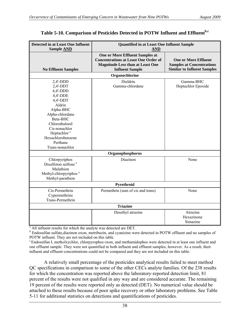| <b>Detected in at Least One Influent</b><br>Sample <b>AND</b>                                                                                                                                                                               | <b>Quantified in at Least One Influent Sample</b><br><b>AND</b>                                                                                            |                                                                                                       |  |  |  |
|---------------------------------------------------------------------------------------------------------------------------------------------------------------------------------------------------------------------------------------------|------------------------------------------------------------------------------------------------------------------------------------------------------------|-------------------------------------------------------------------------------------------------------|--|--|--|
| <b>No Effluent Samples</b>                                                                                                                                                                                                                  | <b>One or More Effluent Samples at</b><br><b>Concentrations at Least One Order of</b><br><b>Magnitude Less than at Least One</b><br><b>Influent Sample</b> | <b>One or More Effluent</b><br><b>Samples at Concentrations</b><br><b>Similar to Influent Samples</b> |  |  |  |
|                                                                                                                                                                                                                                             | Organochlorine                                                                                                                                             |                                                                                                       |  |  |  |
| $2,4'$ -DDD<br>$2,4'$ -DDT<br>$4,4'-DDD$<br>4,4'-DDE<br>$4,4'$ -DDT<br>Aldrin<br>Alpha-BHC<br>Alpha-chlordane<br>Beta-BHC<br>Chlorothalonil<br>Cis-nonachlor<br>Heptachlor <sup>a</sup><br>Hexachlorobenzene<br>Perthane<br>Trans-nonachlor | Dieldrin<br>Gamma-chlordane                                                                                                                                | Gamma-BHC<br>Heptachlor Epoxide                                                                       |  |  |  |
|                                                                                                                                                                                                                                             | Organophosphorus                                                                                                                                           |                                                                                                       |  |  |  |
| Chlorpyriphos<br>Disulfoton sulfone <sup>a</sup><br>Malathion<br>Methyl-chlorpyriphos <sup>a</sup><br>Methyl-parathion                                                                                                                      | Diazinon                                                                                                                                                   | None                                                                                                  |  |  |  |
|                                                                                                                                                                                                                                             | Pyrethroid                                                                                                                                                 |                                                                                                       |  |  |  |
| Cis-Permethrin<br>Cypermethrins<br>Trans-Permethrin                                                                                                                                                                                         | Permethrin (sum of cis and trans)                                                                                                                          | None                                                                                                  |  |  |  |
|                                                                                                                                                                                                                                             | <b>Triazine</b>                                                                                                                                            |                                                                                                       |  |  |  |
|                                                                                                                                                                                                                                             | Desethyl atrazine                                                                                                                                          | Atrazine<br>Hexazinone<br>Simazine                                                                    |  |  |  |

## **Table 5-10. Comparison of Pesticides Detected in POTW Influent and Effluentb,c**

<sup>a</sup> All influent results for which the analyte was detected are DET.

<sup>b</sup> Endosulfan sulfate, diazinon oxon, metribuzin, and cyanizine were detected in POTW effluent and no samples of POTW influent. They are not included on this table.

c Endosulfan I, metholxychlor, chlorpyrophos oxon, and methamidophos were detected in at least one influent and one effluent sample. They were not quantified in both influent and effluent samples, however. As a result, their influent and effluent concentrations could not be compared and they are not included on this table.

 A relatively small percentage of the pesticides analytical results failed to meet method QC specifications in comparison to some of the other CECs analyte families. Of the 238 results for which the concentration was reported above the laboratory-reported detection limit, 81 percent of the results were not qualified in any way and are considered accurate. The remaining 19 percent of the results were reported only as detected (DET). No numerical value should be attached to these results because of poor spike recovery or other laboratory problems. See Table 5-11 for additional statistics on detections and quantifications of pesticides.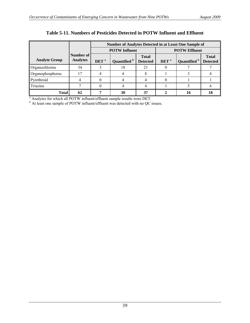|                      |                              | Number of Analytes Detected in at Least One Sample of |                      |                                 |                      |              |                                 |  |
|----------------------|------------------------------|-------------------------------------------------------|----------------------|---------------------------------|----------------------|--------------|---------------------------------|--|
|                      |                              |                                                       | <b>POTW</b> Influent |                                 | <b>POTW Effluent</b> |              |                                 |  |
| <b>Analyte Group</b> | Number of<br><b>Analytes</b> | DET <sup>a</sup>                                      | Quantified b         | <b>Total</b><br><b>Detected</b> | DET <sup>a</sup>     | Quantified b | <b>Total</b><br><b>Detected</b> |  |
| Organochlorine       | 34                           |                                                       | 18                   | 21                              |                      |              |                                 |  |
| Organophosphorus     |                              |                                                       |                      |                                 |                      |              |                                 |  |
| Pyrethroid           |                              |                                                       |                      |                                 |                      |              |                                 |  |
| Triazine             |                              |                                                       |                      |                                 |                      |              |                                 |  |
| Total                | 62                           |                                                       | 30                   | 37                              |                      | 16           | 18                              |  |

# **Table 5-11. Numbers of Pesticides Detected in POTW Influent and Effluent**

 $^{\circ}$  Analytes for which all POTW influent/effluent sample results were DET.<br>  $^{\circ}$  At least one sample of POTW influent/effluent was detected with no QC issues.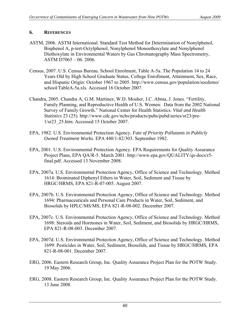# **6. REFERENCES**

- ASTM, 2006. ASTM International. Standard Test Method for Determination of Nonylphenol, Bisphenol A, p-tert-Octylphenol, Nonylphenol Monoethoxylate and Nonylphenol Diethoxylate in Environmental Waters by Gas Chromatography Mass Spectrometry, ASTM D7065 – 06. 2006.
- Census, 2007. U.S. Census Bureau. School Enrolment, Table A-5a. The Population 14 to 24 Years Old by High School Graduate Status, College Enrollment, Attainment, Sex, Race, and Hispanic Origin: October 1967 to 2005. [http://www.census.gov/population/socdemo/](http://www.census.gov/population/socdemo/%E2%80%8Cschool/TableA-5a.xls.%20Accessed%2016%20October%202007) [school/TableA-5a.xls. Accessed 16 October 2007.](http://www.census.gov/population/socdemo/%E2%80%8Cschool/TableA-5a.xls.%20Accessed%2016%20October%202007)
- Chandra, 2005. Chandra A, G.M. Martinez, W.D. Mosher, J.C. Abma, J. Jones. "Fertility, Family Planning, and Reproductive Health of U.S. Women: Data from the 2002 National Survey of Family Growth." National Center for Health Statistics. *Vital and Health Statistics* 23 (25). [http://www.cdc.gov/nchs/products/pubs/pubd/series/sr23/pre-](http://www.cdc.gov/nchs/products/pubs/%E2%80%8Cpubd/series/sr23/pre-1/sr23_25.htm.%20Accessed%2015%20October%202007)[1/sr23\\_25.htm. Accessed 15 October 2007.](http://www.cdc.gov/nchs/products/pubs/%E2%80%8Cpubd/series/sr23/pre-1/sr23_25.htm.%20Accessed%2015%20October%202007)
- EPA, 1982. U.S. Environmental Protection Agency. *Fate of Priority Pollutants in Publicly Owned Treatment Works*. EPA 440/1-82/303. September 1982.
- EPA, 2001. U.S. Environmental Protection Agency. EPA Requirements for Quality Assurance Project Plans, EPA QA/R-5. March 2001. [http://www.epa.gov/QUALITY/qs-docs/r5](http://www.epa.gov/QUALITY/qs-docs/r5-final.pdf.%20Accessed%2013%20November%202008) [final.pdf. Accessed 13 November 2008.](http://www.epa.gov/QUALITY/qs-docs/r5-final.pdf.%20Accessed%2013%20November%202008)
- EPA, 2007a. U.S. Environmental Protection Agency, Office of Science and Technology. Method 1614: Brominated Diphenyl Ethers in Water, Soil, Sediment and Tissue by HRGC/HRMS, EPA 821-R-07-005. August 2007.
- EPA, 2007b. U.S. Environmental Protection Agency, Office of Science and Technology. Method 1694: Pharmaceuticals and Personal Care Products in Water, Soil, Sediment, and Biosolids by HPLC/MS/MS, EPA 821-R-08-002. December 2007.
- EPA, 2007c. U.S. Environmental Protection Agency, Office of Science and Technology. Method 1698: Steroids and Hormones in Water, Soil, Sediment, and Biosolids by HRGC/HRMS, EPA 821-R-08-003. December 2007.
- EPA, 2007d. U.S. Environmental Protection Agency, Office of Science and Technology. Method 1699: Pesticides in Water, Soil, Sediment, Biosolids, and Tissue by HRGC/HRMS, EPA 821-R-08-001. December 2007.
- ERG, 2006. Eastern Research Group, Inc. Quality Assurance Project Plan for the POTW Study. 19 May 2006.
- ERG, 2008. Eastern Research Group, Inc. Quality Assurance Project Plan for the POTW Study. 13 June 2008.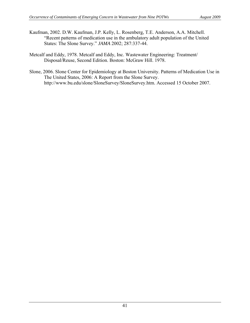- Kaufman, 2002. D.W. Kaufman, J.P. Kelly, L. Rosenberg, T.E. Anderson, A.A. Mitchell. "Recent patterns of medication use in the ambulatory adult population of the United States: The Slone Survey." *JAMA* 2002; 287:337-44.
- Metcalf and Eddy, 1978. Metcalf and Eddy, Inc. Wastewater Engineering: Treatment/ Disposal/Reuse, Second Edition. Boston: McGraw Hill. 1978.
- Slone, 2006. Slone Center for Epidemiology at Boston University. Patterns of Medication Use in The United States, 2006: A Report from the Slone Survey. [http://www.bu.edu/slone/SloneSurvey/SloneSurvey.htm. Accessed 15 October 2007.](http://www.bu.edu/slone/SloneSurvey/SloneSurvey.htm.%20Accessed%2015%20October%202007)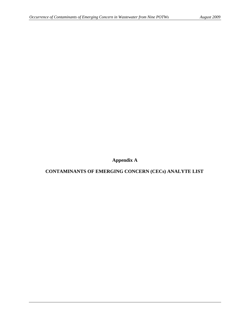**Appendix A** 

**CONTAMINANTS OF EMERGING CONCERN (CECs) ANALYTE LIST**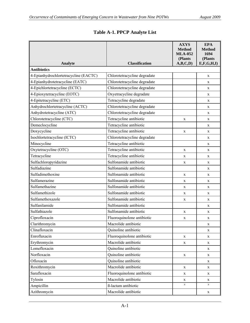| <b>Classification</b><br><b>Analyte</b> |                              | <b>AXYS</b><br><b>Method</b><br><b>MLA-052</b><br>(Plants<br>A,B,C,D) | <b>EPA</b><br><b>Method</b><br>1694<br>(Plants<br>E, F, G, H, I |
|-----------------------------------------|------------------------------|-----------------------------------------------------------------------|-----------------------------------------------------------------|
| <b>Antibiotics</b>                      |                              |                                                                       |                                                                 |
| 4-Epianhydrochlortetracycline (EACTC)   | Chlorotetracycline degradate |                                                                       | X                                                               |
| 4-Epianhydrotetracycline (EATC)         | Chlorotetracycline degradate |                                                                       | X                                                               |
| 4-Epichlortetracycline (ECTC)           | Chlorotetracycline degradate |                                                                       | X                                                               |
| 4-Epioxytetracycline (EOTC)             | Oxyetracycline degradate     |                                                                       | X                                                               |
| 4-Epitetracycline (ETC)                 | Tetracycline degradate       |                                                                       | $\mathbf X$                                                     |
| Anhydrochlortetracycline (ACTC)         | Chlorotetracycline degradate |                                                                       | X                                                               |
| Anhydrotetracycline (ATC)               | Chlorotetracycline degradate |                                                                       | X                                                               |
| Chlorotetracycline (CTC)                | Tetracycline antibiotic      | X                                                                     | X                                                               |
| Demeclocycline                          | Tetracycline antibiotic      |                                                                       | X                                                               |
| Doxycycline                             | Tetracycline antibiotic      | $\mathbf X$                                                           | $\mathbf X$                                                     |
| Isochlortetracycline (ICTC)             | Chlorotetracycline degradate |                                                                       | X                                                               |
| Minocycline                             | Tetracycline antibiotic      |                                                                       | X                                                               |
| Oxytetracycline (OTC)                   | Tetracycline antibiotic      | X                                                                     | X                                                               |
| Tetracycline                            | Tetracycline antibiotic      | X                                                                     | X                                                               |
| Sulfachloropyridazine                   | Sulfonamide antibiotic       | X                                                                     | X                                                               |
| Sulfadiazine                            | Sulfonamide antibiotic       |                                                                       | X                                                               |
| Sulfadimethoxine                        | Sulfonamide antibiotic       | X                                                                     | X                                                               |
| Sulfamerazine                           | Sulfonamide antibiotic       | X                                                                     | X                                                               |
| Sulfamethazine                          | Sulfonamide antibiotic       | X                                                                     | X                                                               |
| Sulfamethizole                          | Sulfonamide antibiotic       | X                                                                     | $\mathbf X$                                                     |
| Sulfamethoxazole                        | Sulfonamide antibiotic       | X                                                                     | X                                                               |
| Sulfanilamide                           | Sulfonamide antibiotic       |                                                                       | X                                                               |
| Sulfathiazole                           | Sulfonamide antibiotic       | X                                                                     | X                                                               |
| Ciprofloxacin                           | Fluoroquinolone antibiotic   | $\mathbf X$                                                           | X                                                               |
| Clarithromycin                          | Macrolide antibiotic         |                                                                       | X                                                               |
| Clinafloxacin                           | Quinoline antibiotic         |                                                                       | X                                                               |
| Enroflaxacin                            | Fluoroquinolone antibiotic   | $\mathbf X$                                                           | X                                                               |
| Erythromycin                            | Macrolide antibiotic         | $\mathbf X$                                                           | X                                                               |
| Lomefloxacin                            | Quinoline antibiotic         |                                                                       | X                                                               |
| Norfloxacin                             | Quinoline antibiotic         | X                                                                     | X                                                               |
| Ofloxacin                               | Quinoline antibiotic         |                                                                       | $\mathbf X$                                                     |
| Roxithromycin                           | Macrolide antibiotic         | $\mathbf X$                                                           | $\mathbf X$                                                     |
| Sarafloxacin                            | Fluoroquinolone antibiotic   | $\mathbf X$                                                           | X                                                               |
| Tylosin                                 | Macrolide antibiotic         | X                                                                     | X                                                               |
| Ampicillin                              | ß-lactam antibiotic          | $\rm{a}$                                                              | $\rm{a}$                                                        |
| Azithromycin                            | Macrolide antibiotic         |                                                                       | $\mathbf X$                                                     |

# **Table A-1. PPCP Analyte List**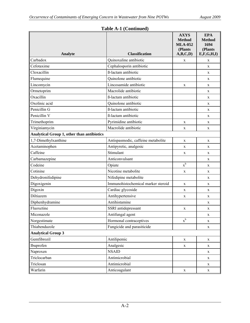| Analyte                                           | <b>Classification</b>              | <b>AXYS</b><br><b>Method</b><br><b>MLA-052</b><br>(Plants<br>A,B,C,D) | <b>EPA</b><br><b>Method</b><br>1694<br>(Plants<br>E, F, G, H, I |
|---------------------------------------------------|------------------------------------|-----------------------------------------------------------------------|-----------------------------------------------------------------|
| Carbadox                                          | Quinoxaline antibiotic             | X                                                                     | X                                                               |
| Cefotaxime                                        | Cephalosporin antibiotic           |                                                                       | X                                                               |
| Cloxacillin                                       | ß-lactam antibiotic                |                                                                       | X                                                               |
| Flumequine                                        | Quinolone antibiotic               |                                                                       | X                                                               |
| Lincomycin                                        | Lincosamide antibiotic             | X                                                                     | X                                                               |
| Ormetoprim                                        | Macrolide antibiotic               |                                                                       | X                                                               |
| Oxacillin                                         | ß-lactam antibiotic                |                                                                       | X                                                               |
| Oxolinic acid                                     | Quinolone antibiotic               |                                                                       | X                                                               |
| Penicillin G                                      | ß-lactam antibiotic                |                                                                       | X                                                               |
| Penicillin V                                      | ß-lactam antibiotic                |                                                                       | X                                                               |
| Trimethoprim                                      | Pyrimidine antibiotic              | X                                                                     | X                                                               |
| Virginiamycin                                     | Macrolide antibiotic               | X                                                                     | X                                                               |
| <b>Analytical Group 1, other than antibiotics</b> |                                    |                                                                       |                                                                 |
| 1,7-Dimethylxanthine                              | Antispasmodic, caffeine metabolite | X                                                                     | X                                                               |
| Acetaminophen                                     | Antipyretic, analgesic             | X                                                                     | X                                                               |
| Caffeine                                          | Stimulant                          | X                                                                     | X                                                               |
| Carbamazepine                                     | Anticonvulsant                     |                                                                       | X                                                               |
| Codeine                                           | Opiate                             | $x^b$                                                                 | X                                                               |
| Cotinine                                          | Nicotine metabolite                | X                                                                     | X                                                               |
| Dehydronifedipine                                 | Nifedipine metabolite              |                                                                       | $\mathbf{X}$                                                    |
| Digoxigenin                                       | Immunohistochemical marker steroid | X                                                                     | X                                                               |
| Digoxin                                           | Cardiac glycoside                  | X                                                                     | X                                                               |
| Diltiazem                                         | Antihypertensive                   | X                                                                     | X                                                               |
| Diphenhydramine                                   | Antihistamine                      |                                                                       | X                                                               |
| Fluoxetine                                        | SSRI antidepressant                | X                                                                     | X                                                               |
| Miconazole                                        | Antifungal agent                   |                                                                       | X                                                               |
| Norgestimate                                      | Hormonal contraceptives            | $\mathbf{x}^{\rm b}$                                                  | X                                                               |
| Thiabendazole                                     | Fungicide and parasiticide         |                                                                       | X                                                               |
| <b>Analytical Group 3</b>                         |                                    |                                                                       |                                                                 |
| Gemfibrozil                                       | Antilipemic                        | $\mathbf X$                                                           | X                                                               |
| Ibuprofen                                         | Analgesic                          | X                                                                     | X                                                               |
| Naproxen                                          | <b>NSAID</b>                       |                                                                       | X                                                               |
| Triclocarban                                      | Antimicrobial                      |                                                                       | X                                                               |
| Triclosan                                         | Antimicrobial                      |                                                                       | X                                                               |
| Warfarin                                          | Anticoagulant                      | $\mathbf X$                                                           | $\mathbf X$                                                     |

# **Table A-1 (Continued)**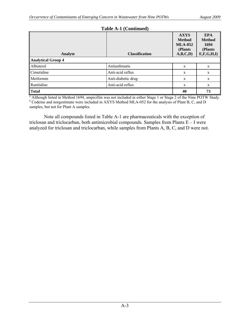| <b>Analyte</b>            | <b>Classification</b> | <b>AXYS</b><br><b>Method</b><br><b>MLA-052</b><br>(Plants)<br>A,B,C,D) | <b>EPA</b><br><b>Method</b><br>1694<br>(Plants<br>E, F, G, H, I |
|---------------------------|-----------------------|------------------------------------------------------------------------|-----------------------------------------------------------------|
| <b>Analytical Group 4</b> |                       |                                                                        |                                                                 |
| Albuterol                 | Antiasthmatic         | X                                                                      | X                                                               |
| Cimetidine                | Anti-acid reflux      | X                                                                      | X                                                               |
| Metformin                 | Anti-diabetic drug    | X                                                                      | X                                                               |
| Ranitidine                | Anti-acid reflux      | X                                                                      | X                                                               |
| <b>Total</b>              |                       | 40                                                                     | 73                                                              |

## **Table A-1 (Continued)**

<sup>a</sup> Although listed in Method 1694, ampicillin was not included in either Stage 1 or Stage 2 of the Nine POTW Study. <sup>b</sup> Codeine and norgestimate were included in AXYS Method MLA-052 for the analysis of Plant B, C, and D samples, but not for Plant A samples.

 Note all compounds listed in Table A-1 are pharmaceuticals with the exception of triclosan and triclocarban, both antimicrobial compounds. Samples from Plants  $E - I$  were analyzed for triclosan and triclocarban, while samples from Plants A, B, C, and D were not.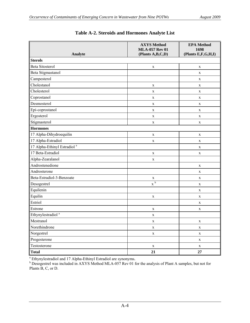| Analyte                                 | <b>AXYS Method</b><br><b>MLA-057 Rev 01</b><br>(Plants A,B,C,D) | <b>EPA Method</b><br>1698<br>(Plants E,F,G,H,I) |
|-----------------------------------------|-----------------------------------------------------------------|-------------------------------------------------|
| <b>Sterols</b>                          |                                                                 |                                                 |
| <b>Beta Sitosterol</b>                  | $\mathbf X$                                                     | $\mathbf X$                                     |
| Beta Stigmastanol                       |                                                                 | $\mathbf X$                                     |
| Campesterol                             |                                                                 | $\mathbf X$                                     |
| Cholestanol                             | $\mathbf X$                                                     | $\mathbf X$                                     |
| Cholesterol                             | $\mathbf X$                                                     | $\mathbf X$                                     |
| Coprostanol                             | $\mathbf X$                                                     | $\mathbf X$                                     |
| Desmosterol                             | $\mathbf X$                                                     | $\mathbf X$                                     |
| Epi-coprostanol                         | $\mathbf X$                                                     | $\mathbf X$                                     |
| Ergosterol                              | $\mathbf X$                                                     | $\mathbf X$                                     |
| Stigmasterol                            | $\mathbf X$                                                     | $\mathbf X$                                     |
| <b>Hormones</b>                         |                                                                 |                                                 |
| 17 Alpha-Dihydroequilin                 | $\mathbf X$                                                     | $\mathbf X$                                     |
| 17 Alpha-Estradiol                      | $\mathbf X$                                                     | $\mathbf X$                                     |
| 17 Alpha-Ethinyl Estradiol <sup>a</sup> |                                                                 | $\mathbf X$                                     |
| 17 Beta-Estradiol                       | $\mathbf X$                                                     | $\mathbf X$                                     |
| Alpha-Zearalanol                        | $\mathbf X$                                                     |                                                 |
| Androstenedione                         |                                                                 | $\mathbf X$                                     |
| Androsterone                            |                                                                 | $\mathbf X$                                     |
| Beta-Estradiol-3-Benzoate               | $\mathbf X$                                                     | $\mathbf X$                                     |
| Desogestrel                             | $x^b$                                                           | $\mathbf X$                                     |
| Equilenin                               |                                                                 | $\mathbf X$                                     |
| Equilin                                 | $\mathbf X$                                                     | $\mathbf X$                                     |
| Estriol                                 |                                                                 | $\mathbf X$                                     |
| Estrone                                 | $\mathbf X$                                                     | $\mathbf X$                                     |
| Ethynylestradiol <sup>a</sup>           | $\mathbf X$                                                     |                                                 |
| Mestranol                               | $\mathbf X$                                                     | $\mathbf X$                                     |
| Norethindrone                           | $\mathbf X$                                                     | $\mathbf X$                                     |
| Norgestrel                              | $\mathbf X$                                                     | $\mathbf X$                                     |
| Progesterone                            |                                                                 | $\mathbf X$                                     |
| Testosterone                            | $\mathbf X$                                                     | $\mathbf X$                                     |
| Total                                   | 21                                                              | 27                                              |

|  |  |  | Table A-2. Steroids and Hormones Analyte List |  |
|--|--|--|-----------------------------------------------|--|
|--|--|--|-----------------------------------------------|--|

<sup>a</sup> Ethynylestradiol and 17 Alpha-Ethinyl Estradiol are synonyms.<br><sup>b</sup> Desogestrel was included in AXYS Method MLA-057 Rev 01 for the analysis of Plant A samples, but not for Plants B, C, or D.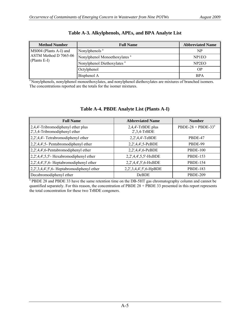| <b>Method Number</b>   | <b>Full Name</b>                         | <b>Abbreviated Name</b> |
|------------------------|------------------------------------------|-------------------------|
| MS004 (Plants A-I) and | Nonylphenols <sup>a</sup>                | NP                      |
| ASTM Method D 7065-06  | Nonylphenol Monoethoxylates <sup>a</sup> | NP1EO                   |
| $(Plants E-I)$         | Nonylphenol Diethoxylates <sup>a</sup>   | NP <sub>2</sub> EO      |
|                        | Octylphenol                              | <b>OP</b>               |
|                        | Bisphenol A                              | <b>BPA</b>              |

### **Table A-3. Alkylphenols, APEs, and BPA Analyte List**

<sup>a</sup> Nonylphenols, nonylphenol monoethoxylates, and nonylphenol diethoxylates are mixtures of branched isomers. The concentrations reported are the totals for the isomer mixtures.

| <b>Full Name</b>                                                             | <b>Abbreviated Name</b>              | <b>Number</b>         |
|------------------------------------------------------------------------------|--------------------------------------|-----------------------|
| $\ $ 2,4,4'-Tribromodiphenyl ether plus<br>$\ 2,3,4$ -Tribromodiphenyl ether | 2,4,4'-TrBDE plus<br>$2',3,4$ -TrBDE | PBDE-28 + PBDE-33 $a$ |
| $\ 2,2,4,4\ $ - Tetrabromodiphenyl ether                                     | 2,2',4,4'-TeBDE                      | PBDE-47               |
| $\ 2,2,4,4,5\ $ - Pentabromodiphenyl ether                                   | 2,2',4,4',5-PeBDE                    | PBDE-99               |
| $\ 2,2,4,4,6$ -Pentabromodiphenyl ether                                      | 2,2',4,4',6-PeBDE                    | <b>PBDE-100</b>       |
| $\parallel$ 2,2',4,4',5,5'- Hexabromodiphenyl ether                          | 2,2',4,4',5,5'-HxBDE                 | <b>PBDE-153</b>       |
| $\ 2,2',4,4',5',6$ -Heptabromodiphenyl ether                                 | 2,2',4,4',5',6-HxBDE                 | <b>PBDE-154</b>       |
| $\left[2,2,3,4,4,5,6\right]$ Heptabromodiphenyl ether                        | 2,2',3,4,4',5',6-HpBDE               | <b>PBDE-183</b>       |
| Decabromodiphenyl ether                                                      | <b>DeBDE</b>                         | <b>PBDE-209</b>       |

## **Table A-4. PBDE Analyte List (Plants A-I)**

<sup>a</sup> PBDE 28 and PBDE 33 have the same retention time on the DB-5HT gas chromatography column and cannot be quantified separately. For this reason, the concentration of PBDE 28 + PBDE 33 presented in this report represents the total concentration for these two TrBDE congeners.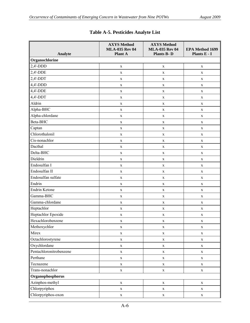|                                  | <b>AXYS</b> Method<br><b>MLA-035 Rev 04</b> | <b>AXYS Method</b><br><b>MLA-035 Rev 04</b> | <b>EPA Method 1699</b> |
|----------------------------------|---------------------------------------------|---------------------------------------------|------------------------|
| Analyte                          | Plant A                                     | <b>Plants B-D</b>                           | Plants E - I           |
| Organochlorine<br>$2,4'$ -DDD    |                                             |                                             |                        |
|                                  | $\mathbf X$                                 | $\mathbf X$                                 | $\mathbf X$            |
| $2,4'$ -DDE<br>$\vert 2,4$ '-DDT | $\mathbf X$                                 | $\mathbf X$                                 | $\mathbf X$            |
| $4,4'$ -DDD                      | $\mathbf X$                                 | $\mathbf X$                                 | $\mathbf X$            |
| 4,4'-DDE                         | $\mathbf X$                                 | $\mathbf X$                                 | $\mathbf X$            |
| $4,4'-DDT$                       | $\mathbf X$                                 | $\mathbf X$                                 | $\mathbf X$            |
| Aldrin                           | $\mathbf X$                                 | $\mathbf X$                                 | $\mathbf X$            |
|                                  | $\mathbf X$                                 | X                                           | $\mathbf X$            |
| Alpha-BHC                        | $\mathbf X$                                 | $\mathbf X$                                 | $\mathbf X$            |
| Alpha-chlordane                  | $\mathbf X$                                 | $\mathbf X$                                 | $\mathbf X$            |
| Beta-BHC                         | $\mathbf X$                                 | $\mathbf X$                                 | X                      |
| Captan                           | $\mathbf X$                                 | $\mathbf X$                                 | $\mathbf X$            |
| Chlorothalonil                   | $\mathbf X$                                 | $\mathbf X$                                 | $\mathbf X$            |
| Cis-nonachlor                    | $\mathbf X$                                 | $\mathbf X$                                 | $\mathbf X$            |
| Dacthal                          | $\mathbf X$                                 | $\mathbf X$                                 | X                      |
| Delta-BHC                        | $\mathbf X$                                 | $\mathbf X$                                 | X                      |
| Dieldrin                         | $\mathbf X$                                 | $\mathbf X$                                 | $\mathbf X$            |
| Endosulfan I                     | $\mathbf X$                                 | $\mathbf X$                                 | $\mathbf X$            |
| Endosulfan II                    | X                                           | X                                           | $\mathbf X$            |
| Endosulfan sulfate               | $\mathbf X$                                 | $\mathbf X$                                 | $\mathbf X$            |
| Endrin                           | $\mathbf X$                                 | $\mathbf X$                                 | $\mathbf X$            |
| Endrin Ketone                    | $\mathbf X$                                 | $\mathbf X$                                 | $\mathbf X$            |
| Gamma-BHC                        | $\mathbf X$                                 | $\mathbf X$                                 | $\mathbf X$            |
| Gamma-chlordane                  | $\mathbf X$                                 | $\mathbf X$                                 | $\mathbf X$            |
| Heptachlor                       | $\mathbf X$                                 | $\mathbf X$                                 | $\mathbf X$            |
| Heptachlor Epoxide               | $\mathbf X$                                 | $\mathbf X$                                 | $\mathbf X$            |
| Hexachlorobenzene                | X                                           | $\mathbf X$                                 | X                      |
| Methoxychlor                     | $\mathbf X$                                 | $\mathbf X$                                 | $\mathbf X$            |
| Mirex                            | $\mathbf X$                                 | $\mathbf X$                                 | $\mathbf X$            |
| Octachlorostyrene                | $\mathbf X$                                 | $\mathbf X$                                 | $\mathbf X$            |
| Oxychlordane                     | $\mathbf X$                                 | $\mathbf X$                                 | $\mathbf X$            |
| Pentachloronitrobenzene          | $\mathbf X$                                 | $\mathbf X$                                 | X                      |
| Perthane                         | $\mathbf X$                                 | $\mathbf X$                                 | $\mathbf X$            |
| Tecnazene                        | $\mathbf X$                                 | $\mathbf X$                                 | $\mathbf X$            |
| Trans-nonachlor                  | $\mathbf X$                                 | $\mathbf X$                                 | $\mathbf X$            |
| Organophosphorus                 |                                             |                                             |                        |
| Azinphos-methyl                  | $\mathbf X$                                 | $\mathbf X$                                 | $\mathbf X$            |
| Chlorpyriphos                    | $\mathbf X$                                 | $\mathbf X$                                 | $\mathbf X$            |
| Chlorpyriphos-oxon               | $\mathbf X$                                 | $\mathbf X$                                 | $\mathbf X$            |

# **Table A-5. Pesticides Analyte List**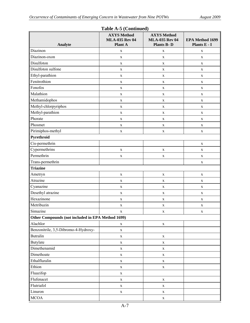| Analyte                                           | <b>AXYS Method</b><br><b>MLA-035 Rev 04</b><br>Plant A | <b>AXYS Method</b><br><b>MLA-035 Rev 04</b><br><b>Plants B-D</b> | EPA Method 1699<br>Plants E - I |
|---------------------------------------------------|--------------------------------------------------------|------------------------------------------------------------------|---------------------------------|
| Diazinon                                          | X                                                      | X                                                                | X                               |
| Diazinon-oxon                                     | X                                                      | X                                                                | X                               |
| Disulfoton                                        | $\mathbf X$                                            | $\mathbf X$                                                      | $\mathbf X$                     |
| Disulfoton sulfone                                | X                                                      | $\mathbf X$                                                      | $\mathbf X$                     |
| Ethyl-parathion                                   | X                                                      | $\mathbf X$                                                      | $\mathbf X$                     |
| Fenitrothion                                      | X                                                      | $\mathbf X$                                                      | $\mathbf X$                     |
| Fonofos                                           | $\mathbf X$                                            | $\mathbf X$                                                      | $\mathbf X$                     |
| Malathion                                         | $\mathbf X$                                            | $\mathbf X$                                                      | $\mathbf X$                     |
| Methamidophos                                     | $\mathbf X$                                            | $\mathbf X$                                                      | $\mathbf X$                     |
| Methyl-chlorpyriphos                              | $\mathbf X$                                            | $\mathbf X$                                                      | $\mathbf X$                     |
| Methyl-parathion                                  | $\mathbf X$                                            | X                                                                | $\mathbf X$                     |
| Phorate                                           | X                                                      | X                                                                | X                               |
| Phosmet                                           | $\mathbf X$                                            | $\mathbf X$                                                      | $\mathbf X$                     |
| Pirimiphos-methyl                                 | X                                                      | $\mathbf X$                                                      | $\mathbf X$                     |
| Pyrethroid                                        |                                                        |                                                                  |                                 |
| Cis-permethrin                                    |                                                        |                                                                  | $\mathbf X$                     |
| Cypermethrins                                     | $\mathbf X$                                            | $\mathbf X$                                                      | X                               |
| Permethrin                                        | X                                                      | $\mathbf X$                                                      | $\mathbf X$                     |
| Trans-permethrin                                  |                                                        |                                                                  | $\mathbf X$                     |
| <b>Triazine</b>                                   |                                                        |                                                                  |                                 |
| Ametryn                                           | $\mathbf X$                                            | $\mathbf X$                                                      | $\mathbf X$                     |
| Atrazine                                          | X                                                      | $\mathbf X$                                                      | $\mathbf X$                     |
| Cyanazine                                         | X                                                      | $\mathbf X$                                                      | $\mathbf X$                     |
| Desethyl atrazine                                 | $\mathbf X$                                            | $\mathbf X$                                                      | $\mathbf X$                     |
| Hexazinone                                        | $\mathbf X$                                            | $\mathbf X$                                                      | $\mathbf X$                     |
| Metribuzin                                        | $\mathbf X$                                            | $\mathbf X$                                                      | $\mathbf X$                     |
| Simazine                                          | X                                                      | X                                                                | $\mathbf X$                     |
| Other Compounds (not included in EPA Method 1699) |                                                        |                                                                  |                                 |
| Alachlor                                          | $\mathbf X$                                            | $\mathbf X$                                                      |                                 |
| Benzonitrile, 3,5-Dibromo-4-Hydroxy-              | $\mathbf X$                                            |                                                                  |                                 |
| <b>Butralin</b>                                   | $\mathbf X$                                            | $\mathbf X$                                                      |                                 |
| Butylate                                          | $\mathbf X$                                            | $\mathbf X$                                                      |                                 |
| Dimethenamid                                      | $\mathbf X$                                            | $\mathbf X$                                                      |                                 |
| Dimethoate                                        | $\mathbf X$                                            | $\mathbf X$                                                      |                                 |
| Ethalfluralin                                     | $\mathbf X$                                            | $\mathbf X$                                                      |                                 |
| Ethion                                            | $\mathbf X$                                            | $\mathbf X$                                                      |                                 |
| Fluazifop                                         | $\mathbf X$                                            |                                                                  |                                 |
| Flufenacet                                        | $\mathbf X$                                            | $\mathbf X$                                                      |                                 |
| Flutriafol                                        | $\mathbf X$                                            | $\mathbf X$                                                      |                                 |
| Linuron                                           | $\mathbf X$                                            | $\mathbf X$                                                      |                                 |
| <b>MCOA</b>                                       |                                                        | $\mathbf X$                                                      |                                 |

### **Table A-5 (Continued)**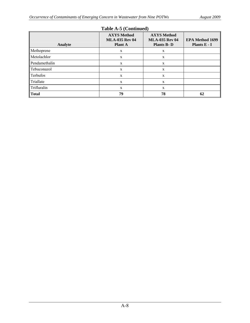| 1.40121221201111122017 |                                                               |                                                                  |                                        |  |
|------------------------|---------------------------------------------------------------|------------------------------------------------------------------|----------------------------------------|--|
| Analyte                | <b>AXYS Method</b><br><b>MLA-035 Rev 04</b><br><b>Plant A</b> | <b>AXYS Method</b><br><b>MLA-035 Rev 04</b><br><b>Plants B-D</b> | <b>EPA Method 1699</b><br>Plants E - I |  |
| Methoprene             | X                                                             | X                                                                |                                        |  |
| Metolachlor            | X                                                             | X                                                                |                                        |  |
| Pendamethalin          | X                                                             | X                                                                |                                        |  |
| Tebuconazol            | X                                                             | X                                                                |                                        |  |
| Terbufos               | X                                                             | X                                                                |                                        |  |
| Triallate              | X                                                             | X                                                                |                                        |  |
| Trifluralin            | X                                                             | X                                                                |                                        |  |
| <b>Total</b>           | 79                                                            | 78                                                               | 62                                     |  |

### **Table A-5 (Continued)**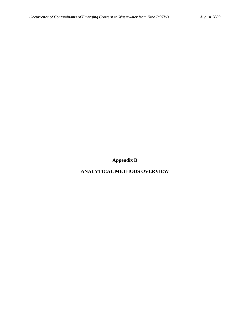**Appendix B** 

**ANALYTICAL METHODS OVERVIEW**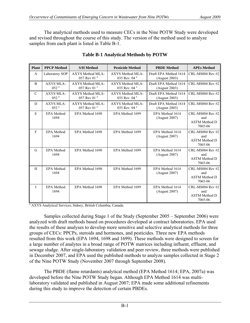The analytical methods used to measure CECs in the Nine POTW Study were developed and revised throughout the course of this study. The version of the method used to analyze samples from each plant is listed in Table B-1.

| <b>Plant</b>  | <b>PPCP Method</b>                   | <b>S/H Method</b>                           | <b>Pesticide Method</b>                      | <b>PBDE Method</b>                     | <b>APEs Method</b>                                                |
|---------------|--------------------------------------|---------------------------------------------|----------------------------------------------|----------------------------------------|-------------------------------------------------------------------|
| $\mathbf{A}$  | Laboratory SOP                       | AXYS Method MLA-<br>057 Rev 01 $a$          | AXYS Method MLA-<br>035 Rev. 04 $a$          | Draft EPA Method 1614<br>(August 2003) | $CRL-MS004$ Rev #2                                                |
| B             | AXYS MLA-<br>052 <sup>a</sup>        | AXYS Method MLA-<br>057 Rev 01 <sup>a</sup> | AXYS Method MLA-<br>035 Rev. 04 $a$          | Draft EPA Method 1614<br>(August 2003) | CRL-MS004 Rev #2                                                  |
| $\mathcal{C}$ | <b>AXYS MLA-</b><br>052 <sup>a</sup> | AXYS Method MLA-<br>057 Rev 01 $a$          | AXYS Method MLA-<br>035 Rev. 04 $a$          | Draft EPA Method 1614<br>(August 2003) | <b>CRL-MS004 Rev #2</b>                                           |
| D             | AXYS MLA-<br>0.52 <sup>a</sup>       | AXYS Method MLA-<br>0.57 Rev 0.1 $a$        | AXYS Method MLA-<br>035 Rev. 04 <sup>a</sup> | Draft EPA Method 1614<br>(August 2003) | <b>CRL-MS004 Rev #2</b>                                           |
| E             | <b>EPA Method</b><br>1694            | EPA Method 1698                             | EPA Method 1699                              | EPA Method 1614<br>(August 2007)       | CRL-MS004 Rev #2<br>and<br><b>ASTM Method D</b><br>7065-06        |
| F             | <b>EPA</b> Method<br>1694            | EPA Method 1698                             | EPA Method 1699                              | EPA Method 1614<br>(August 2007)       | <b>CRL-MS004 Rev #2</b><br>and<br><b>ASTM Method D</b><br>7065-06 |
| G             | <b>EPA</b> Method<br>1694            | EPA Method 1698                             | EPA Method 1699                              | EPA Method 1614<br>(August 2007)       | CRL-MS004 Rev #2<br>and<br><b>ASTM Method D</b><br>7065-06        |
| H             | <b>EPA</b> Method<br>1694            | EPA Method 1698                             | EPA Method 1699                              | EPA Method 1614<br>(August 2007)       | CRL-MS004 Rev #2<br>and<br><b>ASTM Method D</b><br>7065-06        |
| $\mathbf{I}$  | <b>EPA</b> Method<br>1694            | EPA Method 1698                             | EPA Method 1699                              | EPA Method 1614<br>(August 2007)       | $CRL-MS004$ Rev #2<br>and<br><b>ASTM Method D</b><br>7065-06      |

# **Table B-1 Analytical Methods by POTW**

<sup>a</sup> AXYS Analytical Services, Sidney, British Columbia, Canada.

 Samples collected during Stage 1 of the Study (September 2005 – September 2006) were analyzed with draft methods based on procedures developed at contract laboratories. EPA used the results of these analyses to develop more sensitive and selective analytical methods for three groups of CECs: PPCPs, steroids and hormones, and pesticides. Three new EPA methods resulted from this work (EPA 1694, 1698 and 1699). These methods were designed to screen for a large number of analytes in a broad range of POTW matrices including influent, effluent, and sewage sludge. After single-laboratory validation and peer review, three methods were published in December 2007, and EPA used the published methods to analyze samples collected in Stage 2 of the Nine POTW Study (November 2007 through September 2008).

 The PBDE (flame retardants) analytical method (EPA Method 1614; EPA, 2007a) was developed before the Nine POTW Study began. Although EPA Method 1614 was multilaboratory validated and published in August 2007; EPA made some additional refinements during this study to improve the detection of certain PBDEs.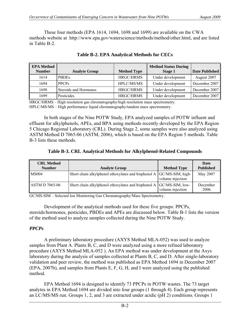These four methods (EPA 1614, 1694, 1698 and 1699) are available on the CWA methods website at [http://www.epa.gov/waterscience/methods/method/other.html,](http://www.epa.gov/waterscience/methods/method/other.html) and are listed in Table B-2.

| <b>EPA Method</b> |                       |                    | <b>Method Status During</b> |                |
|-------------------|-----------------------|--------------------|-----------------------------|----------------|
| <b>Number</b>     | <b>Analyte Group</b>  | <b>Method Type</b> | <b>Stage 1</b>              | Date Published |
| 1614              | <b>PBDEs</b>          | <b>HRGC/HRMS</b>   | Under development           | August 2007    |
| 1694              | PPCP <sub>S</sub>     | HPLC/MS/MS         | Under development           | December 2007  |
| 1698              | Steroids and Hormones | HRGC/HRMS          | Under development           | December 2007  |
| 1699              | Pesticides            | <b>HRGC/HRMS</b>   | Under development           | December 2007  |

# **Table B-2. EPA Analytical Methods for CECs**

HRGC/HRMS – High resolution gas chromatography/high resolution mass spectrometry. HPLC/MS/MS – High performance liquid chromatography/tandem mass spectrometry.

 In both stages of the Nine POTW Study, EPA analyzed samples of POTW influent and effluent for alkylphenols, APEs, and BPA using methods recently developed by the EPA Region 5 Chicago Regional Laboratory (CRL). During Stage 2, some samples were also analyzed using ASTM Method D 7065-06 (ASTM, 2006), which is based on the EPA Region 5 methods. Table B-3 lists these methods.

# **Table B-3. CRL Analytical Methods for Alkylphenol-Related Compounds**

| <b>CRL Method</b><br><b>Number</b> | <b>Analyte Group</b>                                                 | <b>Method Type</b> | Date<br><b>Published</b> |
|------------------------------------|----------------------------------------------------------------------|--------------------|--------------------------|
| MS004                              | Short chain alkylphenol ethoxylates and bisphenol A GC/MS-SIM, high- | volume injection   | May 2007                 |
| <b>ASTM D 7065-06</b>              | Short chain alkylphenol ethoxylates and bisphenol A GC/MS-SIM, low-  | volume injection   | December<br>2006         |

GC/MS-SIM – Selected Ion Monitoring Gas Chromatography/Mass Spectrometry.

 Development of the analytical methods used for these five groups: PPCPs, steroids/hormones, pesticides, PBDEs and APEs are discussed below. Table B-1 lists the version of the method used to analyze samples collected during the Nine POTW Study.

## *PPCPs*

 A preliminary laboratory procedure (AXYS Method MLA-052) was used to analyze samples from Plant A. Plants B, C, and D were analyzed using a more refined laboratory procedure (AXYS Method MLA-052 ). An EPA method was under development at the Axys laboratory during the analysis of samples collected at Plants B, C, and D. After single-laboratory validation and peer review, the method was published as EPA Method 1694 in December 2007 (EPA, 2007b), and samples from Plants E, F, G, H, and I were analyzed using the published method.

 EPA Method 1694 is designed to identify 73 PPCPs in POTW wastes. The 73 target analytes in EPA Method 1694 are divided into four groups (1 through 4). Each group represents an LC/MS/MS run. Groups 1, 2, and 3 are extracted under acidic (pH 2) conditions. Groups 1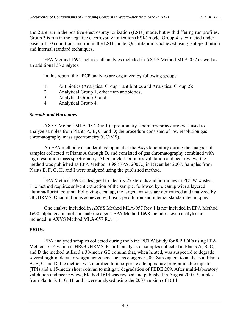and 2 are run in the positive electrospray ionization (ESI+) mode, but with differing run profiles. Group 3 is run in the negative electrospray ionization (ESI-) mode. Group 4 is extracted under basic pH 10 conditions and run in the ESI+ mode. Quantitation is achieved using isotope dilution and internal standard techniques.

EPA Method 1694 includes all analytes included in AXYS Method MLA-052 as well as an additional 33 analytes.

In this report, the PPCP analytes are organized by following groups:

- 1. Antibiotics (Analytical Group 1 antibiotics and Analytical Group 2):
- 2. Analytical Group 1, other than antibiotics;
- 3. Analytical Group 3; and
- 4. Analytical Group 4.

# *Steroids and Hormones*

 AXYS Method MLA-057 Rev 1 (a preliminary laboratory procedure) was used to analyze samples from Plants A, B, C, and D; the procedure consisted of low resolution gas chromatography mass spectrometry (GC/MS).

 An EPA method was under development at the Axys laboratory during the analysis of samples collected at Plants A through D, and consisted of gas chromatography combined with high resolution mass spectrometry. After single-laboratory validation and peer review, the method was published as EPA Method 1698 (EPA, 2007c) in December 2007. Samples from Plants E, F, G, H, and I were analyzed using the published method.

 EPA Method 1698 is designed to identify 27 steroids and hormones in POTW wastes. The method requires solvent extraction of the sample, followed by cleanup with a layered alumina/florisil column. Following cleanup, the target analytes are derivatized and analyzed by GC/HRMS. Quantitation is achieved with isotope dilution and internal standard techniques.

 One analyte included in AXYS Method MLA-057 Rev 1 is not included in EPA Method 1698: alpha-zearalanol, an anabolic agent. EPA Method 1698 includes seven analytes not included in AXYS Method MLA-057 Rev. 1.

# *PBDEs*

 EPA analyzed samples collected during the Nine POTW Study for 8 PBDEs using EPA Method 1614 which is HRGC/HRMS. Prior to analysis of samples collected at Plants A, B, C, and D the method utilized a 30-meter GC column that, when heated, was suspected to degrade several high-molecular-weight congeners such as congener 209. Subsequent to analysis at Plants A, B, C and D, the method was modified to incorporate a temperature programmable injector (TPI) and a 15-meter short column to mitigate degradation of PBDE 209. After multi-laboratory validation and peer review, Method 1614 was revised and published in August 2007. Samples from Plants E, F, G, H, and I were analyzed using the 2007 version of 1614.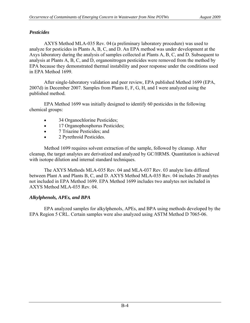# *Pesticides*

 AXYS Method MLA-035 Rev. 04 (a preliminary laboratory procedure) was used to analyze for pesticides in Plants A, B, C, and D. An EPA method was under development at the Axys laboratory during the analysis of samples collected at Plants A, B, C, and D. Subsequent to analysis at Plants A, B, C, and D, organonitrogen pesticides were removed from the method by EPA because they demonstrated thermal instability and poor response under the conditions used in EPA Method 1699.

 After single-laboratory validation and peer review, EPA published Method 1699 (EPA, 2007d) in December 2007. Samples from Plants E, F, G, H, and I were analyzed using the published method.

 EPA Method 1699 was initially designed to identify 60 pesticides in the following chemical groups:

- 34 Organochlorine Pesticides;
- 17 Organophosphorus Pesticides;
- 7 Triazine Pesticides; and
- 2 Pyrethroid Pesticides.

 Method 1699 requires solvent extraction of the sample, followed by cleanup. After cleanup, the target analytes are derivatized and analyzed by GC/HRMS. Quantitation is achieved with isotope dilution and internal standard techniques.

 The AXYS Methods MLA-035 Rev. 04 and MLA-037 Rev. 03 analyte lists differed between Plant A and Plants B, C, and D. AXYS Method MLA-035 Rev. 04 includes 20 analytes not included in EPA Method 1699. EPA Method 1699 includes two analytes not included in AXYS Method MLA-035 Rev. 04.

# *Alkylphenols, APEs, and BPA*

EPA analyzed samples for alkylphenols, APEs, and BPA using methods developed by the EPA Region 5 CRL. Certain samples were also analyzed using ASTM Method D 7065-06.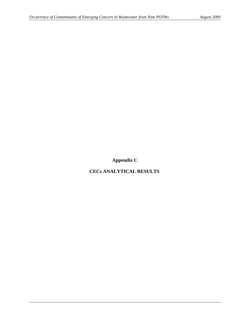**Appendix C** 

**CECs ANALYTICAL RESULTS**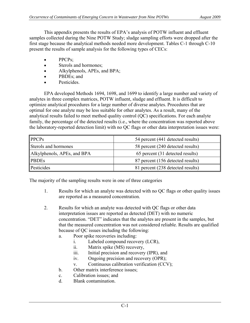This appendix presents the results of EPA's analysis of POTW influent and effluent samples collected during the Nine POTW Study; sludge sampling efforts were dropped after the first stage because the analytical methods needed more development. Tables C-1 through C-10 present the results of sample analysis for the following types of CECs:

- PPCPs:
- Sterols and hormones;
- Alkylphenols, APEs, and BPA;
- PBDEs; and
- Pesticides

 EPA developed Methods 1694, 1698, and 1699 to identify a large number and variety of analytes in three complex matrices, POTW influent, sludge and effluent. It is difficult to optimize analytical procedures for a large number of diverse analytes. Procedures that are optimal for one analyte may be less suitable for other analytes. As a result, many of the analytical results failed to meet method quality control (QC) specifications. For each analyte family, the percentage of the detected results (i.e., where the concentration was reported above the laboratory-reported detection limit) with no QC flags or other data interpretation issues were:

| <b>PPCPs</b>                | 54 percent (441 detected results) |
|-----------------------------|-----------------------------------|
| Sterols and hormones        | 58 percent (240 detected results) |
| Alkylphenols, APEs, and BPA | 65 percent (31 detected results)  |
| <b>PBDEs</b>                | 87 percent (156 detected results) |
| Pesticides                  | 81 percent (238 detected results) |

The majority of the sampling results were in one of three categories

- 1. Results for which an analyte was detected with no QC flags or other quality issues are reported as a measured concentration.
- 2. Results for which an analyte was detected with QC flags or other data interpretation issues are reported as detected (DET) with no numeric concentration. "DET" indicates that the analytes are present in the samples, but that the measured concentration was not considered reliable. Results are qualified because of QC issues including the following:
	- a. Poor spike recoveries including:
		- i. Labeled compound recovery (LCR),
		- ii. Matrix spike (MS) recovery,
		- iii. Initial precision and recovery (IPR), and
		- iv. Ongoing precision and recovery (OPR);
		- v. Continuous calibration verification (CCV);
	- b. Other matrix interference issues;
	- c. Calibration issues; and
	- d. Blank contamination.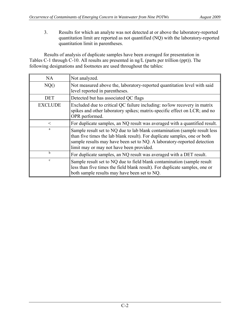3. Results for which an analyte was not detected at or above the laboratory-reported quantitation limit are reported as not quantified (NQ) with the laboratory-reported quantitation limit in parentheses.

 Results of analysis of duplicate samples have been averaged for presentation in Tables C-1 through C-10. All results are presented in ng/L (parts per trillion (ppt)). The following designations and footnotes are used throughout the tables:

| NA             | Not analyzed.                                                                                                                                                                                                                                                                   |
|----------------|---------------------------------------------------------------------------------------------------------------------------------------------------------------------------------------------------------------------------------------------------------------------------------|
| NQ()           | Not measured above the, laboratory-reported quantitation level with said<br>level reported in parentheses.                                                                                                                                                                      |
| <b>DET</b>     | Detected but has associated QC flags                                                                                                                                                                                                                                            |
| <b>EXCLUDE</b> | Excluded due to critical QC failure including: no/low recovery in matrix<br>spikes and other laboratory spikes; matrix-specific effect on LCR; and no<br>OPR performed.                                                                                                         |
| $\,<\,$        | For duplicate samples, an NQ result was averaged with a quantified result.                                                                                                                                                                                                      |
| a              | Sample result set to NQ due to lab blank contamination (sample result less)<br>than five times the lab blank result). For duplicate samples, one or both<br>sample results may have been set to NQ. A laboratory-reported detection<br>limit may or may not have been provided. |
| b              | For duplicate samples, an NQ result was averaged with a DET result.                                                                                                                                                                                                             |
| $\mathbf c$    | Sample result set to NQ due to field blank contamination (sample result<br>less than five times the field blank result). For duplicate samples, one or<br>both sample results may have been set to NQ.                                                                          |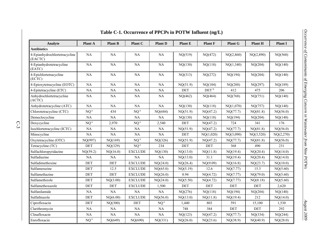| Analyte                                  | <b>Plant A</b>  | <b>Plant B</b> | Plant C         | <b>Plant D</b>  | Plant E    | <b>Plant F</b>     | <b>Plant G</b> | Plant H    | <b>Plant I</b> |
|------------------------------------------|-----------------|----------------|-----------------|-----------------|------------|--------------------|----------------|------------|----------------|
| <b>Antibiotics</b>                       |                 |                |                 |                 |            |                    |                |            |                |
| 4-Epianhydrochlortetracycline<br>(EACTC) | NA              | NA             | NA              | $\rm NA$        | NQ(519)    | NQ(472)            | NQ(2,860)      | NQ(2,890)  | NQ(560)        |
| 4-Epianhydrotetracycline<br>(EATC)       | NA              | NA             | <b>NA</b>       | NA              | NQ(130)    | NQ(118)            | NQ(1,340)      | NQ(204)    | NQ(140)        |
| 4-Epichlortetracycline<br>(ECTC)         | NA              | NA             | NA              | NA              | NQ(313)    | NQ(272)            | NQ(194)        | NQ(204)    | NQ(140)        |
| 4-Epioxytetracycline (EOTC)              | NA              | NA             | NA              | $\rm NA$        | NQ(51.9)   | NQ(104)            | NQ(288)        | NQ(297)    | NQ(189)        |
| 4-Epitetracycline (ETC)                  | NA              | NA             | <b>NA</b>       | NA              | <b>DET</b> | $DEF$ <sup>b</sup> | 412            | 475        | 206            |
| Anhydrochlortetracycline<br>(ACTC)       | NA              | NA             | <b>NA</b>       | <b>NA</b>       | NQ(462)    | NQ(464)            | NQ(768)        | NQ(751)    | NQ(140)        |
| Anhydrotetracycline (ATC)                | NA              | NA             | NA              | NA              | NQ(130)    | NQ(118)            | NQ(1,070)      | NQ(757)    | NQ(140)        |
| Chlorotetracycline (CTC)                 | NQ <sup>a</sup> | 434            | NQ <sup>a</sup> | NQ(684)         | NQ(51.9)   | NQ(47.2)           | NQ(77.7)       | NQ(81.8)   | NQ(56.0)       |
| Demeclocycline                           | NA              | NA             | <b>NA</b>       | NA              | NQ(130)    | NQ(118)            | NQ(194)        | NQ(204)    | NQ(140)        |
| Doxycycline                              | $NQ^a$          | 2,970          | NQ <sup>a</sup> | 2,540           | <b>DET</b> | NQ(47.2)           | 724            | 341        | 176            |
| Isochlortetracycline (ICTC)              | NA              | NA             | <b>NA</b>       | NA              | NQ(51.9)   | NQ(47.2)           | NQ(77.7)       | NQ(81.8)   | NQ(56.0)       |
| Minocycline                              | NA              | NA             | <b>NA</b>       | NA              | <b>DET</b> | NQ(1,020)          | NQ(3,090)      | NQ(3,520)  | NQ(2,270)      |
| Oxytetracycline (OTC)                    | NQ(997)         | NQ(169)        | NQ <sup>a</sup> | NQ(326)         | NQ(51.9)   | NQ(47.2)           | NQ(77.7)       | NQ(81.8)   | NQ(56.0)       |
| Tetracycline (TC)                        | DET             | NQ(329)        | NQ <sup>a</sup> | 234             | DET        | DEF                | 368            | 490        | 231            |
| Sulfachloropyridazine                    | NQ(59.2)        | NQ(16.0)       | <b>EXCLUDE</b>  | NQ(130)         | NQ(13.0)   | NQ(11.8)           | NQ(19.4)       | NQ(20.4)   | NQ(14.0)       |
| Sulfadiazine                             | <b>NA</b>       | <b>NA</b>      | <b>NA</b>       | NA              | NQ(13.0)   | 31.1               | NQ(19.4)       | NQ(20.4)   | NQ(14.0)       |
| Sulfadimethoxine                         | DET             | DET            | <b>EXCLUDE</b>  | NQ(24.0)        | NQ(26.4)   | NQ(9.09)           | NQ(16.8)       | NQ(23.7)   | NQ(10.0)       |
| Sulfamerazine                            | DET             | 12.5           | <b>EXCLUDE</b>  | NQ(65.0)        | NQ(5.19)   | 12.6               | NQ(7.77)       | 15.3       | NQ(5.60)       |
| Sulfamethazine                           | DET             | <b>DET</b>     | <b>EXCLUDE</b>  | NQ(26.0)        | 8.94       | NQ(4.72)           | NQ(7.77)       | NQ(79.0)   | NQ(5.60)       |
| Sulfamethizole                           | DET             | NQ(3.00)       | <b>EXCLUDE</b>  | NQ(24.0)        | NQ(5.50)   | NQ(4.72)           | NQ(7.77)       | NQ(8.18)   | NQ(5.60)       |
| Sulfamethoxazole                         | DET             | <b>DET</b>     | <b>EXCLUDE</b>  | 1,500           | <b>DET</b> | <b>DET</b>         | DEF            | <b>DET</b> | 2,620          |
| Sulfanilamide                            | $\rm NA$        | $\rm NA$       | <b>NA</b>       | NA              | NQ(276)    | NQ(118)            | NQ(194)        | NQ(204)    | NQ(140)        |
| Sulfathiazole                            | DET             | NQ(6.00)       | <b>EXCLUDE</b>  | NQ(56.0)        | NQ(13.0)   | NQ(11.8)           | NQ(19.4)       | 212        | NQ(14.0)       |
| Ciprofloxacin                            | DET             | NQ(300)        | <b>DET</b>      | NQ <sup>a</sup> | 1,440      | 803                | 591            | 15,100     | 1,530          |
| Clarithromycin                           | NA              | NA             | <b>NA</b>       | $\rm NA$        | 748        | 384                | <b>DET</b>     | DET        | 292            |
| Clinafloxacin                            | NA              | NA             | NA              | NA              | NQ(123)    | NQ(47.2)           | NQ(77.7)       | NQ(334)    | NQ(244)        |
| Enrofloxacin                             | NQ <sup>a</sup> | NQ(649)        | NQ(690)         | NQ(331)         | NQ(26.0)   | NQ(23.6)           | NQ(38.9)       | NQ(40.9)   | NQ(28.0)       |

# **Table C-1. Occurrence of PPCPs in POTW Influent (ng/L)**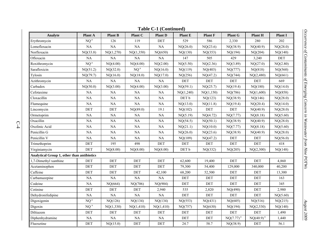| Analyte                                           | <b>Plant A</b>  | <b>Plant B</b>       | <b>Plant C</b> | <b>Plant D</b> | Plant E    | <b>Plant F</b> | <b>Plant G</b>       | <b>Plant H</b> | <b>Plant I</b> |
|---------------------------------------------------|-----------------|----------------------|----------------|----------------|------------|----------------|----------------------|----------------|----------------|
| Erythromycin                                      | NQ <sup>a</sup> | 126                  | 119            | $\rm DET$      | 529        | 586            | 2,330                | 280            | 202            |
| Lomefloxacin                                      | $\rm NA$        | $\rm NA$             | NA             | $\rm NA$       | NQ(26.0)   | NQ(23.6)       | NQ(38.9)             | NQ(40.9)       | NQ(28.0)       |
| Norfloxacin                                       | NQ(33.8)        | NQ(1,270)            | NQ(1,350)      | NQ(650)        | NQ(130)    | NQ(353)        | NQ(194)              | NQ(204)        | NQ(140)        |
| Ofloxacin                                         | <b>NA</b>       | NA.                  | NA.            | NA             | 147        | 505            | 429                  | 3,240          | <b>DET</b>     |
| Roxithromycin                                     | NQ <sup>a</sup> | NQ(4.00)             | NQ(4.00)       | NQ(2.00)       | NQ(5.50)   | NQ(2.36)       | NQ(3.89)             | NQ(27.0)       | NQ(2.80)       |
| Sarafloxicin                                      | NQ(51.2)        | NQ(32.0)             | $NQ^a$         | NQ(16.0)       | NQ(119)    | NQ(403)        | NQ(777)              | NQ(818)        | NQ(560)        |
| Tylosin                                           | NQ(79.7)        | NQ(16.0)             | NQ(18.0)       | NQ(17.0)       | NQ(256)    | NQ(47.2)       | NQ(744)              | NQ(2,480)      | NQ(661)        |
| Azithromycin                                      | NA              | NA                   | $\rm NA$       | NA             | <b>DET</b> | DET            | DET                  | DEF            | 669            |
| Carbadox                                          | NQ(50.0)        | NQ(3.00)             | NQ(4.00)       | NQ(3.00)       | NQ(59.1)   | NQ(25.7)       | NQ(19.4)             | NQ(180)        | NQ(14.0)       |
| Cefotaxime                                        | NA              | NA.                  | NA             | NA             | NQ(1,240)  | NQ(1,150)      | NQ(786)              | NQ(1,600)      | NQ(858)        |
| Cloxacillin                                       | NA              | NA                   | $\rm NA$       | NA             | DET b      | NQ(123)        | NQ(38.9)             | NQ(146)        | NQ(28.0)       |
| Flumequine                                        | NA              | $\rm NA$             | $\rm NA$       | $\rm NA$       | NQ(13.0)   | NQ(11.8)       | NQ(19.4)             | NQ(20.4)       | NQ(14.0)       |
| Lincomycin                                        | DET             | $\operatorname{DET}$ | NQ(89.0)       | 19.1           | NQ(102)    | $\rm DET$      | $\rm DET$            | NQ(40.9)       | NQ(28.0)       |
| Ormetoprim                                        | NA              | NA                   | NA             | NA             | NQ(5.19)   | NQ(4.72)       | NQ(7.77)             | NQ(8.18)       | NQ(5.60)       |
| Oxacillin                                         | NA              | NA                   | $\rm NA$       | $\rm NA$       | NQ(54.5)   | NQ(50.1)       | NQ(38.9)             | NQ(40.9)       | NQ(28.0)       |
| Oxolinic Acid                                     | $\rm NA$        | NA                   | $\rm NA$       | $\rm NA$       | NQ(21.1)   | NQ(10.0)       | NQ(7.77)             | NQ(8.18)       | NQ(5.60)       |
| Penicillin G                                      | $\rm NA$        | NA                   | $\rm NA$       | $\rm NA$       | NQ(26.0)   | NQ(23.6)       | NQ(38.9)             | NQ(40.9)       | NQ(28.0)       |
| Penicillin V                                      | NA              | NA                   | $\rm NA$       | NA             | NQ(109)    | NQ(47.2)       | DET                  | DET            | NQ(56.0)       |
| Trimethoprim                                      | DET             | 195                  | 498            | DET            | $\rm DET$  | $\rm DET$      | $\operatorname{DET}$ | $\rm DET$      | 418            |
| Virginiamycin                                     | DET             | NQ(8.00)             | NQ(8.00)       | NQ(8.00)       | DET b      | NQ(332)        | NQ(205)              | NQ(2,300)      | NQ(148)        |
| <b>Analytical Group 1, other than antibiotics</b> |                 |                      |                |                |            |                |                      |                |                |
| 1,7-Dimethyl xanthine                             | DET             | <b>DET</b>           | DET            | <b>DET</b>     | 62,600     | 19,400         | DET                  | DEF            | 4,860          |
| Acetaminophen                                     | DET             | <b>DET</b>           | <b>DET</b>     | <b>DET</b>     | 79,300     | 54,400         | 129,000              | 340,000        | 40,200         |
| Caffeine                                          | DET             | DET                  | DET            | 42,100         | 68,200     | 52,500         | $\rm DET$            | DET            | 13,300         |
| Carbamazepine                                     | $\rm NA$        | $\rm NA$             | NA             | NA             | DET        | DET            | $\rm DET$            | DEF            | 163            |
| Codeine                                           | NA              | NQ(664)              | NQ(706)        | NQ(904)        | <b>DET</b> | DET            | DET                  | DET            | 345            |
| Cotinine                                          | DET             | DET                  | DET            | 2,940          | 535        | 2,820          | NQ(490)              | DET            | 2,980          |
| Dehydronifedipine                                 | $\rm NA$        | $\rm NA$             | $\rm NA$       | NA             | DET        | DET            | DET                  | $\rm DET$      | NQ(5.60)       |
| Digoxigenin                                       | NQ <sup>a</sup> | NQ(126)              | NQ(134)        | NQ(134)        | NQ(553)    | NQ(431)        | NQ(605)              | NQ(516)        | NQ(215)        |
| Digoxin                                           | $NQ^a$          | NQ(1,330)            | NQ(1,410)      | NQ(1,410)      | NQ(757)    | NQ(630)        | NQ(194)              | NQ(2,530)      | NQ(140)        |
| Diltiazem                                         | DET             | $\rm DET$            | $\rm DET$      | DET            | $\rm DET$  | $\rm DET$      | $\operatorname{DET}$ | $\rm DET$      | 1,490          |
| Diphenhydramine                                   | $\rm NA$        | $\rm NA$             | $\rm NA$       | $\rm NA$       | DEF        | DET            | $NQ(7.77)^{a}$       | $NQ(40.9)^{a}$ | 1,440          |
| Fluoxetine                                        | DET             | NQ(15.0)             | <b>DET</b>     | DET            | 24.7       | 58.7           | NQ(38.9)             | DET            | 56.1           |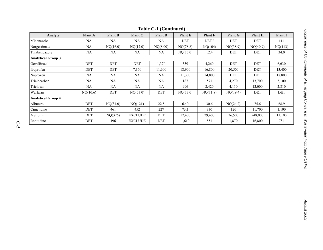| $1400 \text{C}$ 1 (Continuou) |                |                |                |                |                |                    |                |                |                |
|-------------------------------|----------------|----------------|----------------|----------------|----------------|--------------------|----------------|----------------|----------------|
| Analyte                       | <b>Plant A</b> | <b>Plant B</b> | <b>Plant C</b> | <b>Plant D</b> | <b>Plant E</b> | <b>Plant F</b>     | <b>Plant G</b> | <b>Plant H</b> | <b>Plant I</b> |
| Miconazole                    | NA             | NA.            | NA.            | NA             | DET            | $DEF$ <sup>b</sup> | DET            | DET            | 114            |
| Norgestimate                  | NA             | NQ(16.0)       | NQ(17.0)       | NQ(8.00)       | NQ(78.8)       | NQ(104)            | NQ(38.9)       | NQ(40.9)       | NQ(113)        |
| Thiabendazole                 | NA.            | NA.            | NA             | NA             | NQ(13.0)       | 12.4               | DET            | DET            | 34.0           |
| <b>Analytical Group 3</b>     |                |                |                |                |                |                    |                |                |                |
| Gemfibrozil                   | <b>DET</b>     | <b>DET</b>     | DET            | 1,370          | 539            | 4,260              | <b>DET</b>     | <b>DET</b>     | 6,630          |
| Ibuprofen                     | DET            | <b>DET</b>     | 7,360          | 11,600         | 18,900         | 16,800             | 20,500         | <b>DET</b>     | 13,400         |
| Naproxen                      | NA             | NA.            | NA.            | NA.            | 11,300         | 14,800             | DET            | <b>DET</b>     | 18,800         |
| Triclocarban                  | NA             | NA             | NA             | NA             | 187            | 571                | 4,270          | 13,700         | 3,100          |
| Triclosan                     | NA.            | NA.            | NA.            | NA.            | 996            | 2,420              | 4,110          | 12,000         | 2,810          |
| Warfarin                      | NQ(10.6)       | DET            | NQ(53.0)       | DET            | NQ(13.0)       | NQ(11.8)           | NQ(19.4)       | DET            | DET            |
| <b>Analytical Group 4</b>     |                |                |                |                |                |                    |                |                |                |
| Albuterol                     | <b>DET</b>     | NQ(31.0)       | NQ(121)        | 22.5           | 6.40           | 30.6               | NQ(24.2)       | 75.6           | 68.9           |
| Cimetidine                    | DET            | 461            | 452            | 227            | 73.1           | 330                | 120            | 11,700         | 1,100          |
| Metformin                     | DET            | NQ(326)        | <b>EXCLUDE</b> | DET            | 17,400         | 29,400             | 36,500         | 248,000        | 11,100         |
| Ranitidine                    | <b>DET</b>     | 496            | <b>EXCLUDE</b> | <b>DET</b>     | 1,610          | 551                | 1,870          | 16,800         | 784            |

## **Table C-1 (Continued)**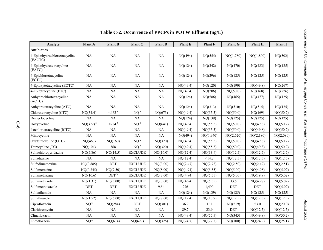| Analyte                                  | <b>Plant A</b>  | <b>Plant B</b>   | <b>Plant C</b>  | <b>Plant D</b> | <b>Plant E</b> | <b>Plant F</b> | <b>Plant G</b> | Plant H   | <b>Plant I</b> |
|------------------------------------------|-----------------|------------------|-----------------|----------------|----------------|----------------|----------------|-----------|----------------|
| <b>Antibiotics</b>                       |                 |                  |                 |                |                |                |                |           |                |
| 4-Epianhydrochlortetracycline<br>(EACTC) | NA              | <b>NA</b>        | NA              | NA             | NQ(494)        | NQ(555)        | NQ(1,780)      | NQ(1,800) | NQ(502)        |
| 4-Epianhydrotetracycline<br>(EATC)       | NA              | NA               | NA              | <b>NA</b>      | NQ(124)        | NQ(342)        | NQ(470)        | NQ(483)   | NQ(125)        |
| 4-Epichlortetracycline<br>(ECTC)         | <b>NA</b>       | NA               | NA              | NA             | NQ(124)        | NQ(296)        | NQ(125)        | NQ(125)   | NQ(125)        |
| 4-Epioxytetracycline (EOTC)              | <b>NA</b>       | NA               | <b>NA</b>       | NA             | NQ(49.4)       | NQ(120)        | NQ(190)        | NQ(49.8)  | NQ(267)        |
| 4-Epitetracycline (ETC)                  | NA              | NA               | NA              | NA             | NQ(49.4)       | NQ(206)        | NQ(50.0)       | NQ(168)   | NQ(226)        |
| Anhydrochlortetracycline<br>(ACTC)       | NA              | NA               | NA              | NA             | NQ(124)        | NQ(586)        | NQ(465)        | NQ(477)   | NQ(125)        |
| Anhydrotetracycline (ATC)                | NA              | NA               | NA              | NA             | NQ(124)        | NQ(313)        | NQ(510)        | NQ(515)   | NQ(125)        |
| Chlorotetracycline (CTC)                 | NQ(34.4)        | $<$ 462 $a$      | NQ <sup>a</sup> | NQ(673)        | NQ(49.4)       | NQ(55.5)       | NQ(50.0)       | NQ(169)   | NQ(50.2)       |
| Demeclocycline                           | NA              | NA               | NA              | NA             | NQ(124)        | NQ(139)        | NQ(125)        | NQ(125)   | NQ(125)        |
| Doxycycline                              | $NQ(372)^{a}$   | $<$ 284 $a$      | $NQ^a$          | NQ(641)        | NQ(49.4)       | NQ(55.5)       | NQ(50.0)       | NQ(49.8)  | NQ(50.2)       |
| Isochlortetracycline (ICTC)              | <b>NA</b>       | <b>NA</b>        | <b>NA</b>       | <b>NA</b>      | NQ(49.4)       | NQ(55.5)       | NQ(50.0)       | NQ(49.8)  | NQ(50.2)       |
| Minocycline                              | NA              | NA               | NA              | NA             | NQ(494)        | NQ(1,940)      | NQ(2,620)      | NQ(2,180) | NQ(2,080)      |
| Oxytetracycline (OTC)                    | NQ(460)         | NQ(160)          | NQ <sup>a</sup> | NQ(320)        | NQ(49.4)       | NQ(55.5)       | NQ(50.0)       | NQ(49.8)  | NQ(50.2)       |
| Tetracycline (TC)                        | NQ(104)         | 568              | NQ <sup>a</sup> | NQ(320)        | NQ(49.4)       | NQ(55.5)       | NQ(50.0)       | NQ(49.8)  | NQ(50.2)       |
| Sulfachloropyridazine                    | NQ(5.86)        | NQ(14.5)         | <b>EXCLUDE</b>  | NQ(16.0)       | NQ(12.4)       | NQ(13.9)       | NQ(12.5)       | NQ(12.5)  | NQ(12.5)       |
| Sulfadiazine                             | <b>NA</b>       | NA               | NA              | NA             | NQ(12.4)       | <14.2          | NQ(12.5)       | NQ(12.5)  | NQ(12.5)       |
| Sulfadimethoxine                         | NQ(0.885)       | DET              | <b>EXCLUDE</b>  | NQ(3.00)       | NQ(2.47)       | NQ(2.78)       | NQ(2.50)       | NQ(2.49)  | NQ(2.51)       |
| Sulfamerazine                            | NQ(0.245)       | NQ(7.50)         | <b>EXCLUDE</b>  | NQ(8.00)       | NQ(4.94)       | NQ(5.55)       | NQ(5.00)       | NQ(4.98)  | NQ(5.02)       |
| Sulfamethazine                           | NQ(10.6)        | DET <sup>b</sup> | <b>EXCLUDE</b>  | NQ(3.00)       | NQ(4.94)       | NQ(5.55)       | NQ(5.00)       | NQ(19.9)  | NQ(5.02)       |
| Sulfamethizole                           | NQ(1.31)        | NQ(3.00)         | <b>EXCLUDE</b>  | NQ(3.00)       | NQ(4.94)       | NQ(5.55)       | 33.5           | NQ(4.98)  | NQ(5.02)       |
| Sulfamethoxazole                         | <b>DET</b>      | DET              | <b>EXCLUDE</b>  | 9.54           | 276            | 1,490          | DET            | DET       | NQ(5.02)       |
| Sulfanilamide                            | NA              | NA               | <b>NA</b>       | NA             | NQ(124)        | NQ(139)        | NQ(125)        | NQ(125)   | NQ(125)        |
| Sulfathiazole                            | NQ(1.52)        | NQ(6.00)         | <b>EXCLUDE</b>  | NQ(7.00)       | NQ(12.4)       | NQ(13.9)       | NQ(12.5)       | NQ(12.5)  | NQ(12.5)       |
| Ciprofloxacin                            | NQ <sup>a</sup> | NQ(284)          | <b>DET</b>      | NQ(301)        | 36.7           | 161            | NQ(219)        | 53.0      | NQ(20.0)       |
| Clarithromycin                           | <b>NA</b>       | NA               | NA              | NA             | 89.7           | 23.9           | <b>DET</b>     | NQ(12.5)  | NQ(12.5)       |
| Clinafloxacin                            | NA              | NA               | NA              | NA             | NQ(49.4)       | NQ(55.5)       | NQ(345)        | NQ(49.8)  | NQ(50.2)       |
| Enrofloxacin                             | $NQ^a$          | NQ(614)          | NQ(627)         | NQ(326)        | NQ(24.7)       | NQ(27.8)       | NQ(100)        | NQ(24.9)  | NQ(25.1)       |

# **Table C-2. Occurrence of PPCPs in POTW Effluent (ng/L)**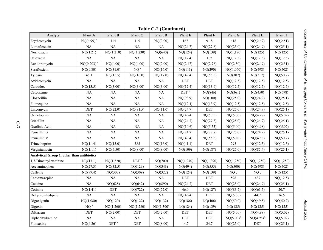| <b>Table C-2 (Continued)</b>               |                 |                    |                    |                |                    |                |                |                |           |  |
|--------------------------------------------|-----------------|--------------------|--------------------|----------------|--------------------|----------------|----------------|----------------|-----------|--|
| Analyte                                    | Plant A         | <b>Plant B</b>     | Plant C            | <b>Plant D</b> | Plant E            | <b>Plant F</b> | <b>Plant G</b> | Plant H        | Plant I   |  |
| Erythromycin                               | $NQ(4.99)^{a}$  | 114                | 115                | NQ(9.00)       | 167                | 91.8           | 418            | NQ(2.49)       | NQ(2.51)  |  |
| Lomefloxacin                               | NA              | NA                 | NA                 | NA             | NQ(24.7)           | NQ(27.8)       | NQ(25.0)       | NQ(24.9)       | NQ(25.1)  |  |
| Norfloxacin                                | NQ(1.21)        | NQ(1,210)          | NQ(1,230)          | NQ(640)        | NQ(124)            | NQ(139)        | NQ(1,170)      | NQ(125)        | NQ(125)   |  |
| Ofloxacin                                  | NA              | NA                 | NA                 | NA             | NQ(12.4)           | 162            | NQ(12.5)       | NQ(12.5)       | NQ(12.5)  |  |
| Roxithromycin                              | $NQ(0.203)^{a}$ | NQ(4.00)           | NQ(4.00)           | NQ(2.00)       | NQ(2.47)           | NQ(2.78)       | NQ(2.50)       | NQ(2.49)       | NQ(2.51)  |  |
| Sarafloxicin                               | NQ(9.80)        | NQ(31.0)           | NQ <sup>a</sup>    | NQ(16.0)       | NQ(113)            | NQ(290)        | NQ(1,060)      | NQ(498)        | NQ(502)   |  |
| Tylosin                                    | 45.1            | NQ(15.5)           | NQ(16.0)           | NQ(17.0)       | NQ(49.4)           | NQ(55.5)       | NQ(307)        | NQ(317)        | NQ(50.2)  |  |
| Azithromycin                               | NA              | NA                 | NA                 | NA             | <b>DET</b>         | <b>DET</b>     | NQ(12.5)       | NQ(12.5)       | NQ(12.5)  |  |
| Carbadox                                   | NQ(13.5)        | NQ(3.00)           | NQ(3.00)           | NQ(3.00)       | NQ(12.4)           | NQ(13.9)       | NQ(12.5)       | NQ(12.5)       | NQ(12.5)  |  |
| Cefotaxime                                 | <b>NA</b>       | NA                 | NA                 | <b>NA</b>      | $DEF$ <sup>b</sup> | NQ(846)        | NQ(361)        | NQ(450)        | NQ(698)   |  |
| Cloxacillin                                | NA              | <b>NA</b>          | NA                 | NA             | NQ(93.9)           | NQ(100)        | NQ(25.0)       | NQ(24.9)       | NQ(25.1)  |  |
| Flumequine                                 | <b>NA</b>       | NA                 | NA                 | NA             | NQ(12.4)           | NQ(13.9)       | NQ(12.5)       | NQ(12.5)       | NQ(12.5)  |  |
| Lincomycin                                 | DET             | NQ(22.0)           | NQ(91.5)           | NQ(11.0)       | NQ(24.7)           | DET            | NQ(25.0)       | NQ(24.9)       | NQ(25.1)  |  |
| Ormetoprim                                 | <b>NA</b>       | NA                 | NA                 | <b>NA</b>      | NQ(4.94)           | NQ(5.55)       | NQ(5.00)       | NQ(4.98)       | NQ(5.02)  |  |
| Oxacillin                                  | <b>NA</b>       | NA                 | NA                 | NA             | NQ(24.7)           | NQ(27.8)       | NQ(25.0)       | NQ(24.9)       | NQ(25.1)  |  |
| Oxolinic Acid                              | <b>NA</b>       | NA                 | <b>NA</b>          | NA             | NQ(10.6)           | NQ(5.55)       | NQ(5.00)       | NQ(4.98)       | NQ(5.02)  |  |
| Penicillin G                               | NA              | NA                 | NA                 | NA             | NQ(24.7)           | NQ(27.8)       | NQ(25.0)       | NQ(24.9)       | NQ(25.1)  |  |
| Penicillin V                               | <b>NA</b>       | NA                 | NA                 | NA             | NQ(49.4)           | NQ(55.5)       | NQ(50.0)       | NQ(49.8)       | NQ(50.2)  |  |
| Trimethoprim                               | NQ(1.14)        | NQ(15.0)           | 385                | NQ(16.0)       | NQ(41.1)           | DEF            | 293            | NQ(12.5)       | NQ(12.5)  |  |
| Virginiamycin                              | NQ(1.11)        | NQ(7.50)           | NQ(8.00)           | NQ(8.00)       | NQ(109)            | NQ(187)        | NQ(25.0)       | NQ(85.4)       | NQ(25.1)  |  |
| Analytical Group 1, other than antibiotics |                 |                    |                    |                |                    |                |                |                |           |  |
| 1,7-Dimethyl xanthine                      | NQ(13.1)        | NQ(1,320)          | $DEF$ <sup>b</sup> | NQ(700)        | NQ(1,240)          | NQ(1,390)      | NQ(1,250)      | NQ(1,250)      | NQ(1,250) |  |
| Acetaminophen                              | NQ(27.3)        | NQ(32.5)           | NQ(129)            | NQ(343)        | NQ(494)            | NQ(555)        | NQ(500)        | NQ(498)        | NQ(502)   |  |
| Caffeine                                   | NQ(79.4)        | NQ(303)            | NQ(309)            | NQ(322)        | NQ(124)            | NQ(139)        | NQ c           | NQ c           | NQ(125)   |  |
| Carbamazepine                              | <b>NA</b>       | NA                 | NA                 | NA             | <b>DET</b>         | DET            | 598            | 487            | NQ(12.5)  |  |
| Codeine                                    | NA              | NQ(628)            | NQ(642)            | NQ(890)        | NQ(24.7)           | <b>DET</b>     | NQ(25.0)       | NQ(24.9)       | NQ(25.1)  |  |
| Cotinine                                   | NQ(1.41)        | DET                | NQ(722)            | NQ(72.0)       | 46.0               | NQ(127)        | NQ(83.7)       | NQ(61.5)       | 20.7      |  |
| Dehydronifedipine                          | <b>NA</b>       | NA                 | NA                 | $\rm NA$       | NQ(4.94)           | DET            | NQ(5.00)       | 44.7           | 16.5      |  |
| Digoxigenin                                | NQ(1,080)       | NQ(120)            | NQ(122)            | NQ(132)        | NQ(186)            | NQ(406)        | NQ(50.0)       | NQ(49.8)       | NQ(50.2)  |  |
| Digoxin                                    | NQ <sup>a</sup> | NQ(1,260)          | NQ(1,280)          | NQ(1,390)      | NQ(124)            | NQ(139)        | NQ(125)        | NQ(125)        | NQ(125)   |  |
| Diltiazem                                  | DET             | NQ(2.00)           | DET                | NQ(2.00)       | DET                | DET            | NQ(5.00)       | NQ(4.98)       | NQ(5.02)  |  |
| Diphenhydramine                            | NA              | NA                 | $\rm NA$           | NA             | DET                | DET            | $NQ(5.00)^{a}$ | $NQ(4.98)^{a}$ | NQ(5.02)  |  |
| Fluoxetine                                 | NQ(4.26)        | $DEF$ <sup>b</sup> | DET                | NQ(8.00)       | 14.7               | 24.7           | NQ(25.0)       | <b>DET</b>     | NQ(25.1)  |  |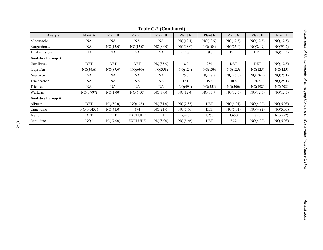|                           |                 |                |                | $14010 \times 20101000$ |                |                |                |                |                |
|---------------------------|-----------------|----------------|----------------|-------------------------|----------------|----------------|----------------|----------------|----------------|
| Analyte                   | <b>Plant A</b>  | <b>Plant B</b> | Plant C        | <b>Plant D</b>          | <b>Plant E</b> | <b>Plant F</b> | <b>Plant G</b> | <b>Plant H</b> | <b>Plant I</b> |
| Miconazole                | NA              | NA             | NA             | NA.                     | NQ(12.4)       | NQ(13.9)       | NQ(12.5)       | NQ(12.5)       | NQ(12.5)       |
| Norgestimate              | <b>NA</b>       | NQ(15.0)       | NQ(15.0)       | NQ(8.00)                | NQ(98.0)       | NQ(104)        | NQ(25.0)       | NQ(24.9)       | NQ(91.2)       |
| Thiabendazole             | NA              | NA             | NA             | NA.                     | <12.8          | 19.8           | DET            | DET            | NQ(12.5)       |
| <b>Analytical Group 3</b> |                 |                |                |                         |                |                |                |                |                |
| Gemfibrozil               | DET             | DET            | <b>DET</b>     | NQ(35.0)                | 18.9           | 259            | DET            | DET            | NQ(12.5)       |
| Ibuprofen                 | NQ(34.6)        | NQ(87.0)       | NQ(690)        | NQ(358)                 | NQ(124)        | NQ(139)        | NQ(125)        | NQ(125)        | NQ(125)        |
| Naproxen                  | NA              | NA             | NA.            | NA.                     | 75.3           | NQ(27.8)       | NQ(25.0)       | NQ(24.9)       | NQ(25.1)       |
| Triclocarban              | <b>NA</b>       | <b>NA</b>      | NA             | NA                      | 154            | 45.4           | 40.6           | 76.4           | NQ(25.1)       |
| Triclosan                 | NA              | NA             | NA             | NA.                     | NQ(494)        | NQ(555)        | NQ(500)        | NQ(498)        | NQ(502)        |
| Warfarin                  | NQ(0.797)       | NQ(1.00)       | NQ(6.00)       | NQ(7.00)                | NQ(12.4)       | NQ(13.9)       | NQ(12.5)       | NQ(12.5)       | NQ(12.5)       |
| <b>Analytical Group 4</b> |                 |                |                |                         |                |                |                |                |                |
| Albuterol                 | DET             | NQ(30.0)       | NQ(125)        | NQ(31.0)                | NQ(2.83)       | DET            | NQ(5.01)       | NQ(4.92)       | NQ(5.03)       |
| Cimetidine                | NO(0.0453)      | NQ(41.0)       | 374            | NQ(21.0)                | NQ(5.66)       | DET            | NQ(5.01)       | NQ(4.92)       | NQ(5.03)       |
| Metformin                 | DET             | DET            | <b>EXCLUDE</b> | DET                     | 5,420          | 1,250          | 3,650          | 826            | NQ(252)        |
| Ranitidine                | NQ <sup>a</sup> | NQ(7.00)       | <b>EXCLUDE</b> | NQ(8.00)                | NQ(5.66)       | DET            | 7.22           | NQ(4.92)       | NQ(5.03)       |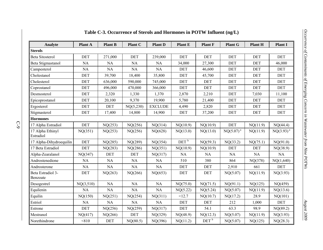| Analyte                       | Plant A    | <b>Plant B</b> | Plant C    | <b>Plant D</b> | <b>Plant E</b>     | <b>Plant F</b>     | <b>Plant G</b> | <b>Plant H</b> | <b>Plant I</b> |
|-------------------------------|------------|----------------|------------|----------------|--------------------|--------------------|----------------|----------------|----------------|
| <b>Sterols</b>                |            |                |            |                |                    |                    |                |                |                |
| <b>Beta Sitosterol</b>        | <b>DET</b> | 271,000        | <b>DET</b> | 239,000        | <b>DET</b>         | <b>DET</b>         | <b>DET</b>     | <b>DET</b>     | <b>DET</b>     |
| Beta Stigmastanol             | <b>NA</b>  | <b>NA</b>      | NA         | <b>NA</b>      | 34,000             | 27,300             | <b>DET</b>     | <b>DET</b>     | 46,000         |
| Campesterol                   | NA         | NA             | NA         | NA             | <b>DET</b>         | 46,600             | <b>DET</b>     | <b>DET</b>     | <b>DET</b>     |
| Cholestanol                   | <b>DET</b> | 39,700         | 18,400     | 35,800         | <b>DET</b>         | 45,700             | <b>DET</b>     | <b>DET</b>     | <b>DET</b>     |
| Cholesterol                   | <b>DET</b> | 636,000        | 590,000    | 745,000        | <b>DET</b>         | DET                | <b>DET</b>     | <b>DET</b>     | <b>DET</b>     |
| Coprostanol                   | <b>DET</b> | 496,000        | 470,000    | 366,000        | <b>DET</b>         | <b>DET</b>         | <b>DET</b>     | <b>DET</b>     | <b>DET</b>     |
| Desmosterol                   | <b>DET</b> | 2,320          | 1,330      | 1,370          | 2,870              | 2,210              | <b>DET</b>     | 7,030          | 11,100         |
| Epicoprostanol                | <b>DET</b> | 20,100         | 9,370      | 19,900         | 5,780              | 21,400             | DET            | <b>DET</b>     | <b>DET</b>     |
| Ergosterol                    | <b>DET</b> | <b>DET</b>     | NQ(5,230)  | <b>EXCLUDE</b> | 4,490              | 2,820              | DET            | <b>DET</b>     | DET            |
| Stigmasterol                  | <b>DET</b> | 17,400         | 14,800     | 14,900         | <b>DET</b>         | 37,200             | <b>DET</b>     | <b>DET</b>     | <b>DET</b>     |
| <b>Hormones</b>               |            |                |            |                |                    |                    |                |                |                |
| 17 Alpha Estradiol            | <b>DET</b> | NQ(253)        | NQ(256)    | NQ(314)        | NQ(10.9)           | NQ(10.9)           | <b>DET</b>     | NQ(11.9)       | NQ(44.4)       |
| 17 Alpha Ethinyl<br>Estradiol | NQ(351)    | NQ(253)        | NQ(256)    | NQ(628)        | NQ(13.0)           | NQ(13.0)           | $NQ(5.07)^{a}$ | NQ(11.9)       | $NQ(3.93)^{a}$ |
| 17 Alpha-Dihydroequilin       | <b>DET</b> | NQ(285)        | NQ(289)    | NQ(354)        | $DEF$ <sup>b</sup> | NQ(59.3)           | NQ(33.2)       | NQ(75.1)       | NQ(91.0)       |
| 17 Beta Estradiol             | <b>DET</b> | NQ(283)        | NQ(286)    | NQ(351)        | NQ(10.9)           | NQ(10.9)           | <b>DET</b>     | <b>DET</b>     | NQ(38.9)       |
| Alpha-Zearalanol              | NQ(347)    | <b>DET</b>     | <b>DET</b> | NQ(317)        | NA                 | NA                 | NA             | NA             | NA             |
| Androstenedione               | <b>NA</b>  | NA             | <b>NA</b>  | <b>NA</b>      | 510                | 380                | 864            | NQ(378)        | NQ(1,640)      |
| Androsterone                  | <b>NA</b>  | NA             | NA         | NA             | <b>DET</b>         | <b>DET</b>         | 2,910          | 661            | <b>DET</b>     |
| Beta Estradiol 3-<br>Benzoate | <b>DET</b> | NQ(263)        | NQ(266)    | NQ(653)        | <b>DET</b>         | DET                | NQ(5.07)       | NQ(11.9)       | NQ(3.93)       |
| Desogestrel                   | NQ(3,510)  | NA             | <b>NA</b>  | NA             | NQ(75.0)           | NQ(71.5)           | NQ(91.1)       | NQ(125)        | NQ(459)        |
| Equilenin                     | <b>NA</b>  | NA             | NA         | NA             | NQ(5.22)           | NQ(5.24)           | NQ(5.07)       | NQ(11.9)       | NQ(13.6)       |
| Equilin                       | NQ(150)    | NQ(251)        | NQ(254)    | NQ(311)        | <12.7              | NQ(10.7)           | NQ(17.2)       | 28.9           | NQ(101)        |
| Estriol                       | NA         | NA             | NA         | NA             | <b>DET</b>         | <b>DET</b>         | 212            | 1,000          | <b>DET</b>     |
| Estrone                       | <b>DET</b> | NQ(256)        | NQ(259)    | NQ(317)        | <b>DET</b>         | 54.1               | 63.3           | 98.9           | NQ(89.2)       |
| Mestranol                     | NQ(417)    | NQ(266)        | <b>DET</b> | NQ(329)        | NQ(48.9)           | NQ(12.3)           | NQ(5.07)       | NQ(11.9)       | NQ(3.93)       |
| Norethindrone                 | < 810      | <b>DET</b>     | NQ(80.5)   | NQ(396)        | NQ(11.2)           | $DEF$ <sup>b</sup> | NQ(5.07)       | NQ(125)        | NQ(28.3)       |

## **Table C-3. Occurrence of Sterols and Hormones in POTW Influent (ng/L)**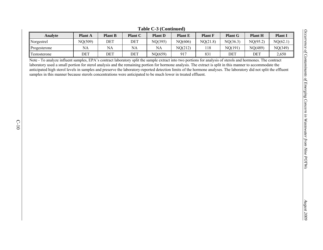| Analyte      | <b>Plant A</b> | <b>Plant B</b> | <b>Plant C</b> | <b>Plant D</b> | <b>Plant E</b> | <b>Plant F</b> | <b>Plant G</b> | <b>Plant H</b> | Plant    |
|--------------|----------------|----------------|----------------|----------------|----------------|----------------|----------------|----------------|----------|
| Norgestrel   | NQ(509)        | DET            | DET            | NQ(395)        | NQ(606)        | NQ(21.8)       | NQ(36.3)       | NQ(95.2)       | NQ(62.1) |
| Progesterone | NA             | NA             | NA             | <b>NA</b>      | NQ(212)        |                | NQ(191)        | NQ(489)        | NQ(349)  |
| Festosterone | DET            | DET            | DET            | NQ(659)        | 917            | 83             | DET            | DET            | 2,650    |

**Table C-3 (Continued)** 

Occurrence of Contaminants of Emerging Concern in Wastewater from Nine POTWs *Occurrence of Contaminants of Emerging Concern in Wastewater from Nine POTWs* 

Note - To analyze influent samples, EPA's contract laboratory split the sample extract into two portions for analysis of sterols and hormones. The contract laboratory used a small portion for sterol analysis and the remaining portion for hormone analysis. The extract is split in this manner to accommodate the anticipated high sterol levels in samples and preserve the laboratory-reported detection limits of the hormone analyses. The laboratory did not split the effluent samples in this manner because sterols concentrations were anticipated to be much lower in treated effluent.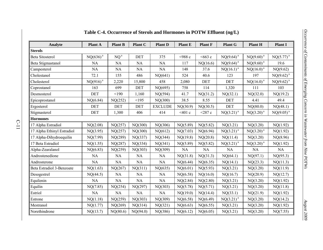| Analyte                          | Plant A       | <b>Plant B</b>  | Plant C    | <b>Plant D</b> | <b>Plant E</b> | <b>Plant F</b> | <b>Plant G</b> | <b>Plant H</b> | <b>Plant I</b> |
|----------------------------------|---------------|-----------------|------------|----------------|----------------|----------------|----------------|----------------|----------------|
| <b>Sterols</b>                   |               |                 |            |                |                |                |                |                |                |
| <b>Beta Sitosterol</b>           | $NQ(636)^{a}$ | NQ <sup>a</sup> | <b>DET</b> | 375            | $<$ 988 c      | $<663$ c       | $NQ(9.64)^{a}$ | $NQ(9.60)^{a}$ | $NQ(5.77)^{a}$ |
| Beta Stigmastanol                | <b>NA</b>     | NA              | <b>NA</b>  | <b>NA</b>      | 117            | NQ(16.6)       | $NQ(9.64)^{a}$ | $NQ(9.60)^{a}$ | 19.6           |
| Campesterol                      | <b>NA</b>     | <b>NA</b>       | <b>NA</b>  | <b>NA</b>      | 148            | 37.6           | $NQ(16.1)^{a}$ | $NQ(16.0)^{a}$ | NQ(9.62)       |
| Cholestanol                      | 72.1          | 155             | 486        | NQ(641)        | 524            | 40.6           | 123            | 197            | $NQ(9.62)^{a}$ |
| Cholesterol                      | $NQ(916)^{a}$ | 2,220           | 15,800     | 458            | 2,080          | <b>DET</b>     | <b>DET</b>     | $NQ(16.0)^{a}$ | $NQ(9.62)^{a}$ |
| Coprostanol                      | 163           | 699             | <b>DET</b> | NQ(695)        | 758            | 114            | 1,320          | 111            | 103            |
| Desmosterol                      | <b>DET</b>    | < 190           | 1,160      | NQ(594)        | 41.7           | NQ(31.2)       | NQ(32.1)       | NQ(32.0)       | NQ(19.2)       |
| Epicoprostanol                   | NQ(6.84)      | NQ(252)         | <195       | NQ(300)        | 38.5           | 8.55           | <b>DET</b>     | 4.41           | 49.4           |
| Ergosterol                       | <b>DET</b>    | <b>DET</b>      | DET        | <b>EXCLUDE</b> | NQ(30.9)       | NQ(30.5)       | <b>DET</b>     | NQ(80.0)       | NQ(48.1)       |
| Stigmasterol                     | <b>DET</b>    | 1,300           | 406        | 414            | < 401 c        | $<$ 287 $c$    | $NQ(3.21)^{a}$ | $NQ(3.20)^{a}$ | $NQ(9.05)^{a}$ |
| <b>Hormones</b>                  |               |                 |            |                |                |                |                |                |                |
| 17 Alpha Estradiol               | NQ(2.08)      | NQ(257)         | NQ(300)    | NQ(306)        | NQ(5.89)       | NQ(5.82)       | NQ(3.21)       | NQ(3.20)       | NQ(1.92)       |
| 17 Alpha Ethinyl Estradiol       | NQ(3.95)      | NQ(257)         | NQ(300)    | NQ(612)        | NQ(7.03)       | NQ(6.94)       | $NQ(3.21)^{a}$ | $NQ(3.20)^{a}$ | NQ(1.92)       |
| 17 Alpha-Dihydroequilin          | NQ(7.99)      | NQ(289)         | NQ(337)    | NQ(344)        | NQ(19.8)       | NQ(20.8)       | NQ(11.4)       | NQ(3.20)       | NQ(8.96)       |
| 17 Beta Estradiol                | NQ(1.55)      | NQ(287)         | NQ(334)    | NQ(341)        | NQ(5.89)       | NQ(5.82)       | $NQ(3.21)^{a}$ | $NQ(3.20)^{a}$ | NQ(1.92)       |
| Alpha-Zearalanol                 | NQ(6.83)      | NQ(259)         | NQ(303)    | NQ(309)        | <b>NA</b>      | NA             | <b>NA</b>      | <b>NA</b>      | <b>NA</b>      |
| Androstenedione                  | NA            | <b>NA</b>       | <b>NA</b>  | NA             | NQ(31.8)       | NQ(31.3)       | NQ(64.1)       | NQ(97.1)       | NQ(95.3)       |
| Androsterone                     | NA            | NA              | <b>NA</b>  | NA             | NQ(6.44)       | NQ(6.35)       | NQ(14.1)       | NQ(23.3)       | NQ(11.3)       |
| <b>Beta Estradiol 3-Benzoate</b> | NQ(1.63)      | NQ(267)         | NQ(311)    | NQ(635)        | NQ(6.01)       | NQ(5.93)       | NQ(3.21)       | NQ(3.20)       | NQ(11.9)       |
| Desogestrel                      | NQ(44.5)      | <b>NA</b>       | <b>NA</b>  | NA             | NQ(6.58)       | NQ(16.0)       | NQ(16.7)       | NQ(20.9)       | NQ(12.7)       |
| Equilenin                        | NA            | NA              | NA         | <b>NA</b>      | NQ(2.84)       | NQ(2.80)       | NQ(3.21)       | NQ(3.20)       | NQ(1.92)       |
| Equilin                          | NQ(7.85)      | NQ(254)         | NQ(297)    | NQ(303)        | NQ(5.78)       | NQ(5.71)       | NQ(3.21)       | NQ(3.20)       | NQ(11.8)       |
| Estriol                          | <b>NA</b>     | NA              | NA         | <b>NA</b>      | NQ(19.0)       | NQ(14.4)       | NQ(33.1)       | NQ(21.9)       | NQ(1.92)       |
| Estrone                          | NQ(1.18)      | NQ(259)         | NQ(303)    | NQ(309)        | NQ(6.58)       | NQ(6.49)       | $NQ(3.21)^{a}$ | NQ(3.20)       | NQ(14.2)       |
| Mestranol                        | NQ(1.77)      | NQ(269)         | NQ(314)    | NQ(321)        | NQ(6.63)       | NQ(6.55)       | NQ(3.21)       | NQ(3.20)       | NQ(1.92)       |
| Norethindrone                    | NQ(13.7)      | NQ(80.6)        | NQ(94.0)   | NQ(386)        | NQ(6.12)       | NQ(6.05)       | NQ(3.21)       | NQ(3.20)       | NQ(7.55)       |

## **Table C-4. Occurrence of Sterols and Hormones in POTW Effluent (ng/L)**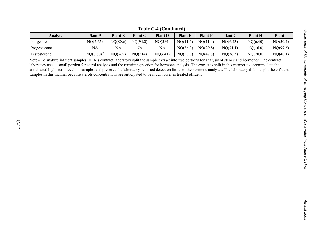|              |                |                |                | ------------   |                |                |                |                |                |
|--------------|----------------|----------------|----------------|----------------|----------------|----------------|----------------|----------------|----------------|
| Analvte      | <b>Plant A</b> | <b>Plant B</b> | <b>Plant C</b> | <b>Plant D</b> | <b>Plant E</b> | <b>Plant F</b> | <b>Plant G</b> | <b>Plant H</b> | <b>Plant</b> l |
| Norgestrel   | NQ(7.65)       | NQ(80.6)       | NQ(94.0)       | NQ(384)        | NQ(11.6)       | NQ(11.4)       | NQ(6.43)       | NQ(6.40)       | NQ(30.4)       |
| Progesterone | NA             | NA             | NA             | NA             | NQ(86.0)       | NQ(29.8)       | NQ(71.1)       | NQ(16.0)       | NQ(99.6)       |
| Testosterone | $NQ(8.80)^{a}$ | NQ(269)        | NQ(314)        | NQ(641)        | NQ(33.3)       | NQ(47.8)       | NQ(36.5)       | NQ(70.0)       | NQ(40.1)       |

**Table C-4 (Continued)** 

Note - To analyze influent samples, EPA's contract laboratory split the sample extract into two portions for analysis of sterols and hormones. The contract laboratory used a small portion for sterol analysis and the remaining portion for hormone analysis. The extract is split in this manner to accommodate the anticipated high sterol levels in samples and preserve the laboratory-reported detection limits of the hormone analyses. The laboratory did not split the effluent samples in this manner because sterols concentrations are anticipated to be much lower in treated effluent.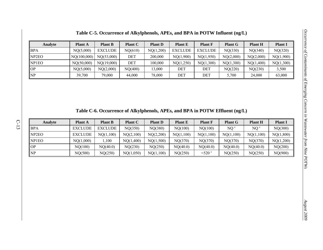| Analyte            | <b>Plant A</b> | <b>Plant B</b> | <b>Plant C</b> | <b>Plant D</b> | <b>Plant E</b> | <b>Plant F</b> | <b>Plant G</b> | <b>Plant H</b> | <b>Plant I</b> |
|--------------------|----------------|----------------|----------------|----------------|----------------|----------------|----------------|----------------|----------------|
| <b>BPA</b>         | NQ(5,000)      | <b>EXCLUDE</b> | NQ(610)        | NQ(1,200)      | <b>EXCLUDE</b> | EXCLUDE        | NQ(330)        | NQ(340)        | NQ(320)        |
| NP <sub>2</sub> EO | NQ(100,000)    | NQ(53,000)     | DET            | 200,000        | NQ(1,900)      | NQ(1,950)      | NQ(2,000)      | NQ(2,000)      | NQ(1,900)      |
| NP1EO              | NQ(50,000)     | NQ(19,000)     | DET            | 100,000        | NQ(1,250)      | NQ(1,300)      | NQ(1,300)      | NQ(1,400)      | NQ(1,300)      |
| OP                 | NQ(5,000)      | NQ(2,000)      | NQ(400)        | 13,000         | DET            | DET            | NQ(220)        | NQ(230)        | 3,500          |
| NP                 | 39.700         | 79,000         | 44,000         | 78,000         | DET            | DET            | 5.700          | 24.000         | 63,000         |

**Table C-5. Occurrence of Alkylphenols, APEs, and BPA in POTW Influent (ng/L)** 

**Table C-6. Occurrence of Alkylphenols, APEs, and BPA in POTW Effluent (ng/L)** 

| Analyte                | <b>Plant A</b> | <b>Plant B</b> | <b>Plant C</b> | <b>Plant D</b> | <b>Plant E</b> | <b>Plant F</b>    | <b>Plant G</b>  | <b>Plant H</b> | <b>Plant I</b> |
|------------------------|----------------|----------------|----------------|----------------|----------------|-------------------|-----------------|----------------|----------------|
| <b>BPA</b>             | <b>EXCLUDE</b> | <b>EXCLUDE</b> | NQ(350)        | NQ(380)        | NQ(100)        | NQ(100)           | NO <sup>c</sup> | NQ '           | NQ(300)        |
| NP <sub>2</sub> EO     | <b>EXCLUDE</b> | NQ(1,100)      | NQ(2,100)      | NQ(2,200)      | NQ(1,100)      | NQ(1,100)         | NQ(1,100)       | NQ(1,100)      | NQ(1,800)      |
| NP <sub>1</sub> EO     | NQ(1,000)      | .100           | NQ(1,400)      | NQ(1,500)      | NQ(370)        | NQ(370)           | NQ(370)         | NQ(370)        | NQ(1,200)      |
| OP                     | NQ(100)        | NQ(40.0)       | NQ(230)        | NQ(250)        | NQ(40.0)       | NQ(40.0)          | NQ(40.0)        | NQ(40.0)       | NQ(200)        |
| $\overline{\text{NP}}$ | NQ(500)        | NQ(250)        | NQ(1,050)      | NQ(1,100)      | NQ(250)        | $<$ 520 $\degree$ | NQ(250)         | NQ(250)        | NQ(900)        |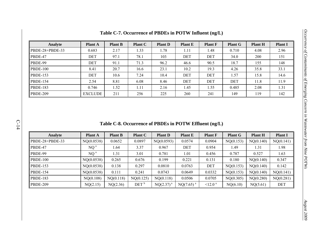| Analyte                     | <b>Plant A</b> | <b>Plant B</b> | <b>Plant C</b> | <b>Plant D</b> | <b>Plant E</b> | <b>Plant F</b> | <b>Plant G</b> | <b>Plant H</b> | <b>Plant I</b> |
|-----------------------------|----------------|----------------|----------------|----------------|----------------|----------------|----------------|----------------|----------------|
| $\textsf{IPBDE-28+PBDE-33}$ | 0.683          | 2.17           | 1.33           | 1.78           | 1.11           | 1.48           | 0.710          | 4.08           | 2.96           |
| $\mathbb{P}$ BDE-47         | DET            | 97.1           | 78.1           | 103            | DET            | DET            | 34.0           | <b>200</b>     | 151            |
| PBDE-99                     | DET            | 91.1           | 71.3           | 96.2           | 46.6           | 90.5           | 18.7           | 155            | 148            |
| <b>PBDE-100</b>             | 8.41           | 20.7           | 16.6           | 23.1           | 10.2           | 19.3           | 4.26           | 35.8           | 33.1           |
| $\parallel$ PBDE-153        | DET            | 10.6           | 7.24           | 10.4           | DET            | DET            | 1.57           | 15.8           | 14.6           |
| $\parallel$ PBDE-154        | 2.54           | 8.81           | 6.08           | 8.46           | DET            | DET            | DET            | 11.8           | 11.9           |
| $\parallel$ PBDE-183        | 0.746          | 1.52           | 1.11           | 2.16           | 1.45           | 1.55           | 0.485          | 2.08           | 1.31           |
| $\parallel$ PBDE-209        | <b>EXCLUDE</b> | 211            | 256            | 225            | 260            | 241            | 149            | 119            | 142            |

**Table C-7. Occurrence of PBDEs in POTW Influent (ng/L)** 

**Table C-8. Occurrence of PBDEs in POTW Effluent (ng/L)** 

| Analyte         | <b>Plant A</b>  | <b>Plant B</b> | <b>Plant C</b>   | <b>Plant D</b> | <b>Plant E</b>          | <b>Plant F</b>    | <b>Plant G</b> | <b>Plant H</b> | <b>Plant I</b> |
|-----------------|-----------------|----------------|------------------|----------------|-------------------------|-------------------|----------------|----------------|----------------|
| PBDE-28+PBDE-33 | NQ(0.0538)      | 0.0652         | 0.0897           | NQ(0.0593)     | 0.0574                  | 0.0904            | NQ(0.153)      | NQ(0.140)      | NQ(0.141)      |
| PBDE-47         | NQ <sup>a</sup> | 1.64           | 3.37             | 0.967          | DET                     | 0.954             | 1.49           | 1.31           | 1.98           |
| PBDE-99         | NQ <sup>a</sup> | 1.31           | 3.01             | 0.781          | 1.01                    | 0.456             | 0.787          | 0.527          | 1.63           |
| <b>PBDE-100</b> | NQ(0.0538)      | 0.265          | 0.676            | 0.199          | 0.221                   | 0.131             | 0.180          | NQ(0.140)      | 0.347          |
| <b>PBDE-153</b> | NQ(0.0538)      | 0.138          | 0.297            | 0.0810         | 0.0763                  | DET               | NQ(0.153)      | NQ(0.140)      | 0.142          |
| <b>PBDE-154</b> | NQ(0.0538)      | 0.111          | 0.241            | 0.0743         | 0.0649                  | 0.0332            | NQ(0.153)      | NQ(0.140)      | NQ(0.141)      |
| <b>PBDE-183</b> | NQ(0.108)       | NQ(0.118)      | NQ(0.125)        | NQ(0.118)      | 0.0506                  | 0.0705            | NQ(0.305)      | NQ(0.280)      | NQ(0.281)      |
| <b>PBDE-209</b> | NQ(2.15)        | NQ(2.36)       | DEF <sup>b</sup> | $NQ(2.37)^{a}$ | $NQ(7.65)$ <sup>a</sup> | 12.0 <sup>a</sup> | NQ(6.10)       | NQ(5.61)       | DET            |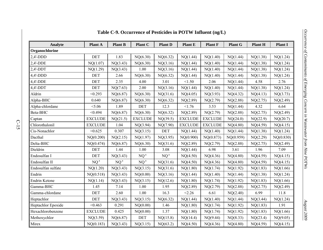| Analyte            | <b>Plant A</b>  | <b>Plant B</b>  | <b>Plant C</b>  | <b>Plant D</b>  | <b>Plant E</b> | <b>Plant F</b> | <b>Plant G</b> | <b>Plant H</b> | <b>Plant I</b> |
|--------------------|-----------------|-----------------|-----------------|-----------------|----------------|----------------|----------------|----------------|----------------|
| Organochlorine     |                 |                 |                 |                 |                |                |                |                |                |
| $2,4'$ -DDD        | DET             | 1.83            | NQ(6.30)        | NQ(6.32)        | NQ(1.44)       | NQ(1.40)       | NQ(1.44)       | NQ(1.38)       | NQ(1.24)       |
| $2,4'$ -DDE        | NQ(1.07)        | NQ(3.43)        | NQ(6.30)        | NQ(3.16)        | NQ(1.44)       | NQ(1.40)       | NQ(1.44)       | NQ(1.38)       | NQ(1.24)       |
| $2,4'$ -DDT        | NQ(1.29)        | NQ(3.43)        | 1.00            | NQ(3.16)        | NQ(1.44)       | NQ(1.40)       | NQ(1.44)       | NQ(1.38)       | NQ(1.24)       |
| $4,4'$ -DDD        | <b>DET</b>      | 2.66            | NQ(6.30)        | NQ(6.32)        | NQ(1.44)       | NQ(1.40)       | NQ(1.44)       | NQ(1.38)       | NQ(1.24)       |
| 4,4'-DDE           | <b>DET</b>      | 2.35            | 4.00            | 3.01            | < 1.50         | 2.06           | NQ(1.44)       | 4.58           | 2.76           |
| $4,4'$ -DDT        | <b>DET</b>      | NQ(7.63)        | 2.00            | NQ(3.16)        | NQ(1.44)       | NQ(1.40)       | NQ(1.44)       | NQ(1.38)       | NQ(1.24)       |
| Aldrin             | < 0.293         | NQ(6.87)        | NQ(6.30)        | NQ(31.6)        | NQ(4.05)       | NQ(3.93)       | NQ(4.32)       | NQ(4.13)       | NQ(3.73)       |
| Alpha-BHC          | 0.640           | NQ(6.87)        | NQ(6.30)        | NQ(6.32)        | NQ(2.89)       | NQ(2.79)       | NQ(2.88)       | NQ(2.75)       | NQ(2.49)       |
| Alpha-chlordane    | < 5.06          | 1.89            | <b>DET</b>      | 12.3            | < 1.76         | 3.53           | NQ(1.44)       | 4.32           | 6.64           |
| Beta-BHC           | < 0.494         | NQ(6.87)        | NQ(6.30)        | NQ(6.32)        | NQ(2.89)       | NQ(2.79)       | NQ(2.88)       | NQ(2.75)       | NQ(2.49)       |
| Captan             | <b>EXCLUDE</b>  | NQ(21.5)        | <b>EXCLUDE</b>  | NQ(39.5)        | <b>EXCLUDE</b> | <b>EXCLUDE</b> | NQ(24.0)       | NQ(22.9)       | NQ(20.7)       |
| Chlorothalonil     | <b>EXCLUDE</b>  | 1.04            | NQ(3.94)        | NQ(7.90)        | <b>EXCLUDE</b> | <b>EXCLUDE</b> | NQ(4.80)       | NQ(4.59)       | NQ(4.15)       |
| Cis-Nonachlor      | < 0.625         | 0.307           | NQ(3.15)        | <b>DET</b>      | NQ(1.44)       | NQ(1.40)       | NQ(1.44)       | NQ(1.38)       | NQ(1.24)       |
| Dacthal            | NQ(0.200)       | NQ(2.15)        | NQ(1.97)        | NQ(3.95)        | NQ(0.900)      | NQ(0.873)      | NQ(0.959)      | NQ(2.29)       | NQ(0.830)      |
| Delta-BHC          | NQ(0.474)       | NQ(6.87)        | NQ(6.30)        | NQ(31.6)        | NQ(2.89)       | NQ(2.79)       | NQ(2.88)       | NQ(2.75)       | NQ(2.49)       |
| Dieldrin           | <b>DET</b>      | 1.44            | 1.00            | 3.08            | NQ(1.44)       | 6.98           | 3.61           | 1.96           | 7.09           |
| Endosulfan I       | DET             | NQ(3.43)        | NQ <sup>a</sup> | NQ <sup>a</sup> | NQ(4.50)       | NQ(4.36)       | NQ(4.80)       | NQ(4.59)       | NQ(4.15)       |
| Endosulfan II      | NQ <sup>a</sup> | NQ <sup>a</sup> | NQ <sup>a</sup> | NQ(31.6)        | NQ(4.50)       | NQ(4.36)       | NQ(4.80)       | NQ(4.59)       | NQ(4.15)       |
| Endosulfan sulfate | NQ(1.20)        | NQ(3.43)        | NQ(3.15)        | NQ(31.6)        | NQ(1.80)       | NQ(1.74)       | NQ(1.92)       | NQ(1.83)       | NQ(1.66)       |
| Endrin             | NQ(0.518)       | NQ(3.43)        | NQ(0.00)        | NQ(3.16)        | NQ(1.44)       | NQ(1.40)       | NQ(1.44)       | NQ(1.38)       | NQ(1.24)       |
| Endrin Ketone      | NQ(1.14)        | NQ(3.43)        | NQ(3.15)        | NQ(12.6)        | NQ(1.80)       | NQ(1.74)       | NQ(1.92)       | NQ(1.83)       | NQ(1.66)       |
| Gamma-BHC          | 1.45            | 7.14            | 1.00            | 1.95            | NQ(2.89)       | NQ(2.79)       | NQ(2.88)       | NQ(2.75)       | NQ(2.49)       |
| Gamma-chlordane    | <b>DET</b>      | 2.60            | 1.00            | 16.3            | < 2.26         | 6.61           | NQ(2.40)       | 6.99           | 11.8           |
| Heptachlor         | DEF             | NQ(3.43)        | NQ(3.15)        | NQ(6.32)        | NQ(1.44)       | NQ(1.40)       | NQ(1.44)       | NQ(3.44)       | NQ(1.24)       |
| Heptachlor Epoxide | < 0.463         | 0.291           | NQ(0.00)        | 1.46            | NQ(1.80)       | NQ(1.74)       | NQ(1.92)       | NQ(1.83)       | 1.91           |
| Hexachlorobenzene  | <b>EXCLUDE</b>  | 0.425           | NQ(0.00)        | 1.37            | NQ(1.80)       | NQ(1.74)       | NQ(1.92)       | NQ(1.83)       | NQ(1.66)       |
| Methoxychlor       | NQ(3.59)        | NQ(6.87)        | DET             | NQ(15.8)        | NQ(14.4)       | NQ(9.44)       | NQ(8.33)       | NQ(23.4)       | NQ(9.05)       |
| Mirex              | NQ(0.183)       | NQ(3.43)        | NQ(3.15)        | NQ(63.2)        | NQ(4.50)       | NQ(4.36)       | NQ(4.80)       | NQ(4.59)       | NQ(4.15)       |

## **Table C-9. Occurrence of Pesticides in POTW Influent (ng/L)**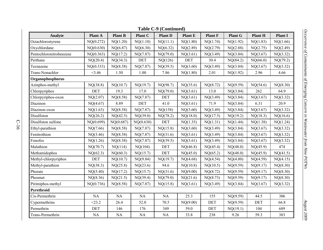| <b>Table C-9 (Continued)</b> |            |                |            |                |                |                |                |                |                |  |  |  |
|------------------------------|------------|----------------|------------|----------------|----------------|----------------|----------------|----------------|----------------|--|--|--|
| <b>Analyte</b>               | Plant A    | <b>Plant B</b> | Plant C    | <b>Plant D</b> | <b>Plant E</b> | <b>Plant F</b> | <b>Plant G</b> | <b>Plant H</b> | <b>Plant I</b> |  |  |  |
| Octachlorostyrene            | NQ(0.272)  | NQ(1.20)       | NQ(1.10)   | NQ(11.1)       | NQ(1.80)       | NQ(1.74)       | NQ(1.92)       | NQ(1.83)       | NQ(1.66)       |  |  |  |
| Oxychlordane                 | NQ(0.630)  | NQ(6.87)       | NQ(6.30)   | NQ(6.32)       | NQ(2.89)       | NQ(2.79)       | NQ(2.88)       | NQ(2.75)       | NQ(2.49)       |  |  |  |
| Pentochloronitrobenzene      | NQ(0.363)  | NQ(17.2)       | NQ(7.87)   | NQ(79.0)       | NQ(3.61)       | NQ(3.49)       | NQ(3.84)       | NQ(3.67)       | NQ(3.32)       |  |  |  |
| Perthane                     | NQ(20.4)   | NQ(34.3)       | <b>DET</b> | NQ(126)        | <b>DET</b>     | 30.4           | NQ(84.2)       | NQ(66.0)       | NQ(79.2)       |  |  |  |
| Tecnazene                    | NQ(0.333)  | NQ(8.58)       | NQ(7.87)   | NQ(39.5)       | NQ(3.60)       | NQ(3.49)       | NQ(3.84)       | NQ(3.67)       | NQ(3.32)       |  |  |  |
| Trans-Nonachlor              | 3.46       | 1.50           | 1.00       | 7.86           | NQ(1.80)       | 2.01           | NQ(1.92)       | 2.96           | 4.66           |  |  |  |
| Organophosphorus             |            |                |            |                |                |                |                |                |                |  |  |  |
| Azinphos-methyl              | NQ(38.8)   | NQ(10.7)       | NQ(19.7)   | NQ(98.7)       | NQ(35.6)       | NQ(8.72)       | NQ(9.59)       | NQ(54.6)       | NQ(8.30)       |  |  |  |
| Chlorpyriphos                | DET        | 19.3           | 17.0       | NQ(79.0)       | NQ(3.61)       | 13.0           | NQ(3.84)       | 262            | 64.9           |  |  |  |
| Chlorpyriphos-oxon           | NQ(2.07)   | NQ(8.58)       | NQ(7.87)   | DET            | NQ(3.61)       | NQ(3.49)       | NQ(3.84)       | NQ(3.67)       | NQ(3.32)       |  |  |  |
| Diazinon                     | NQ(4.67)   | 8.89           | <b>DET</b> | 41.0           | NQ(3.61)       | 71.9           | NQ(3.84)       | 6.31           | 20.9           |  |  |  |
| Diazinon oxon                | NQ(1.63)   | NQ(8.58)       | NQ(7.87)   | NQ(158)        | NQ(3.60)       | NQ(3.49)       | NQ(3.84)       | NQ(3.67)       | NQ(3.32)       |  |  |  |
| Disulfoton                   | NQ(26.2)   | NQ(42.5)       | NQ(39.0)   | NQ(78.2)       | NQ(18.0)       | NQ(17.5)       | NQ(19.2)       | NQ(18.3)       | NQ(16.6)       |  |  |  |
| Disulfoton sulfone           | NQ(0.699)  | NQ(0.687)      | NQ(0.630)  | DET            | NQ(1.35)       | NQ(1.31)       | NQ(1.44)       | NQ(1.38)       | NQ(1.24)       |  |  |  |
| Ethyl-parathion              | NQ(7.66)   | NQ(8.58)       | NQ(7.87)   | NQ(15.8)       | NQ(3.60)       | NQ(3.49)       | NQ(3.84)       | NQ(3.67)       | NQ(3.32)       |  |  |  |
| Fenitrothion                 | NQ(3.46)   | NQ(8.58)       | NQ(7.87)   | NQ(31.6)       | NQ(3.61)       | NQ(3.49)       | NQ(3.84)       | NQ(3.67)       | NQ(3.32)       |  |  |  |
| Fonofos                      | NQ(1.26)   | NQ(8.58)       | NQ(7.87)   | NQ(39.5)       | NQ(3.61)       | NQ(3.49)       | NQ(3.84)       | NQ(3.67)       | NQ(3.32)       |  |  |  |
| Malathion                    | NQ(70.7)   | NQ(114)        | NQ(104)    | <b>DET</b>     | NQ(46.8)       | NQ(45.4)       | NQ(48.0)       | NQ(45.9)       | 474            |  |  |  |
| Methamidophos                | NQ(62.3)   | NQ(60.3)       | NQ(15.7)   | DET            | NQ(45.0)       | NQ(65.2)       | NQ(48.0)       | NQ(45.9)       | NQ(41.5)       |  |  |  |
| Methyl-chlorpyriphos         | <b>DET</b> | NQ(10.7)       | NQ(9.84)   | NQ(19.7)       | NQ(4.68)       | NQ(4.54)       | NQ(4.80)       | NQ(4.59)       | NQ(4.15)       |  |  |  |
| Methyl-parathion             | NQ(38.3)   | NQ(25.8)       | NQ(23.6)   | 94.6           | NQ(10.8)       | NQ(10.5)       | NQ(9.59)       | NQ(9.17)       | NQ(8.30)       |  |  |  |
| Phorate                      | NQ(5.40)   | NQ(17.2)       | NQ(15.7)   | NQ(31.6)       | NQ(9.00)       | NQ(8.72)       | NQ(9.59)       | NQ(9.17)       | NQ(8.30)       |  |  |  |
| Phosmet                      | NQ(8.36)   | NQ(21.5)       | NQ(39.4)   | NQ(79.0)       | NQ(21.6)       | NQ(8.73)       | NQ(9.59)       | NQ(9.17)       | NQ(8.30)       |  |  |  |
| Pirimiphos-methyl            | NQ(0.736)  | NQ(8.58)       | NQ(7.87)   | NQ(15.8)       | NQ(3.61)       | NQ(3.49)       | NQ(3.84)       | NQ(3.67)       | NQ(3.32)       |  |  |  |
| Pyrethroid                   |            |                |            |                |                |                |                |                |                |  |  |  |
| Cis-Permethrin               | $\rm NA$   | $\rm NA$       | NA         | NA             | 25.3           | 155            | NQ(9.59)       | 44.5           | 306            |  |  |  |
| Cypermethrins                | $<$ 23.2   | 26.4           | 52.0       | 70.5           | NQ(9.00)       | DET            | NQ(9.59)       | DET            | 66.8           |  |  |  |
| Permethrin                   | <b>DET</b> | 146            | 176        | 349            | 59.0           | DET            | NQ(19.1)       | 104            | 689            |  |  |  |
| Trans-Permethrin             | NA         | $\rm NA$       | $\rm NA$   | <b>NA</b>      | 33.8           | 238            | 9.26           | 59.3           | 383            |  |  |  |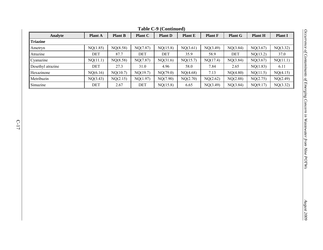|                   |                |                |                | Table C-9 (Continued) |                |                |                |                |                |
|-------------------|----------------|----------------|----------------|-----------------------|----------------|----------------|----------------|----------------|----------------|
| Analyte           | <b>Plant A</b> | <b>Plant B</b> | <b>Plant C</b> | <b>Plant D</b>        | <b>Plant E</b> | <b>Plant F</b> | <b>Plant G</b> | <b>Plant H</b> | <b>Plant I</b> |
| <b>Triazine</b>   |                |                |                |                       |                |                |                |                |                |
| Ametryn           | NQ(1.85)       | NQ(8.58)       | NQ(7.87)       | NQ(15.8)              | NQ(3.61)       | NQ(3.49)       | NQ(3.84)       | NQ(3.67)       | NQ(3.32)       |
| Atrazine          | DET            | 87.7           | DET            | DET                   | 35.9           | 58.9           | DET            | NQ(13.2)       | 37.0           |
| Cyanazine         | NQ(11.1)       | NQ(8.58)       | NQ(7.87)       | NQ(31.6)              | NQ(15.7)       | NQ(17.4)       | NQ(3.84)       | NQ(3.67)       | NQ(11.1)       |
| Desethyl atrazine | DET            | 27.3           | 31.0           | 4.96                  | 58.0           | 7.84           | 2.65           | NQ(1.83)       | 6.11           |
| Hexazinone        | NQ(6.16)       | NQ(10.7)       | NQ(19.7)       | NQ(79.0)              | NQ(4.68)       | 7.13           | NQ(4.80)       | NQ(11.5)       | NQ(4.15)       |
| Metribuzin        | NQ(3.43)       | NQ(2.15)       | NQ(1.97)       | NQ(7.90)              | NQ(2.70)       | NQ(2.62)       | NQ(2.88)       | NQ(2.75)       | NQ(2.49)       |
| Simazine          | DET            | 2.67           | DET            | NQ(15.8)              | 6.65           | NQ(3.49)       | NQ(3.84)       | NQ(9.17)       | NQ(3.32)       |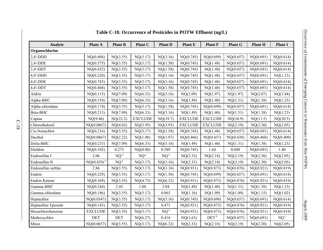| Analyte            | <b>Plant A</b>  | <b>Plant B</b>  | Plant C         | <b>Plant D</b>  | <b>Plant E</b> | <b>Plant F</b> | <b>Plant G</b> | <b>Plant H</b> | <b>Plant I</b> |
|--------------------|-----------------|-----------------|-----------------|-----------------|----------------|----------------|----------------|----------------|----------------|
| Organochlorine     |                 |                 |                 |                 |                |                |                |                |                |
| $2,4'-DDD$         | NQ(0.404)       | NQ(3.55)        | NQ(3.17)        | NQ(3.16)        | NQ(0.745)      | NQ(0.699)      | NQ(0.657)      | NQ(0.691)      | NQ(0.614)      |
| 2,4'-DDE           | NQ(0.575)       | NQ(3.55)        | NQ(3.17)        | NQ(1.58)        | NQ(0.745)      | NQ(1.48)       | NQ(0.657)      | NQ(0.691)      | NQ(0.614)      |
| $2,4'$ -DDT        | NQ(0.452)       | NQ(3.55)        | NQ(3.17)        | NQ(1.58)        | NQ(0.745)      | NQ(1.48)       | NQ(0.657)      | NQ(0.691)      | NQ(0.614)      |
| $4.4'$ -DDD        | NQ(0.220)       | NQ(3.55)        | NQ(3.17)        | NQ(3.16)        | NQ(0.745)      | NQ(1.48)       | NQ(0.657)      | NQ(0.691)      | NQ(1.23)       |
| 4,4'-DDE           | NQ(0.743)       | NQ(3.55)        | NQ(3.17)        | NQ(3.16)        | NQ(0.745)      | NQ(1.48)       | NQ(0.657)      | NQ(0.691)      | NQ(0.614)      |
| $4,4'-DDT$         | NQ(0.468)       | NQ(3.55)        | NQ(3.17)        | NQ(1.58)        | NQ(0.745)      | NQ(1.48)       | NQ(0.657)      | NQ(0.691)      | NQ(0.614)      |
| Aldrin             | NQ(0.115)       | NQ(7.09)        | NQ(6.33)        | NQ(3.16)        | NQ(2.09)       | NQ(1.97)       | NQ(1.97)       | NQ(2.07)       | NQ(1.84)       |
| Alpha-BHC          | NQ(0.154)       | NQ(7.09)        | NQ(6.33)        | NQ(3.16)        | NQ(1.49)       | NQ(1.40)       | NQ(1.31)       | NQ(1.38)       | NQ(1.23)       |
| Alpha-chlordane    | NQ(0.174)       | NQ(3.55)        | NQ(3.17)        | NQ(1.58)        | NQ(0.745)      | NQ(0.699)      | NQ(0.657)      | NQ(0.691)      | NQ(0.614)      |
| Beta-BHC           | NQ(0.213)       | NQ(7.09)        | NQ(6.33)        | NQ(3.16)        | NQ(1.49)       | NQ(1.40)       | NQ(1.31)       | NQ(1.38)       | NQ(1.23)       |
| Captan             | NQ(9.46)        | NQ(22.2)        | <b>EXCLUDE</b>  | NQ(19.7)        | <b>EXCLUDE</b> | <b>EXCLUDE</b> | NQ(10.9)       | NQ(11.5)       | NQ(20.5)       |
| Chlorothalonil     | NQ(0.0867)      | NQ(4.43)        | NQ(3.95)        | NQ(3.95)        | <b>EXCLUDE</b> | <b>EXCLUDE</b> | NQ(2.19)       | NQ(2.30)       | NQ(2.05)       |
| Cis-Nonachlor      | NQ(0.216)       | NQ(3.55)        | NQ(3.17)        | NQ(1.58)        | NQ(0.745)      | NQ(1.48)       | NQ(0.657)      | NQ(0.691)      | NQ(0.614)      |
| Dacthal            | NQ(0.0867)      | NQ(2.22)        | NQ(1.98)        | NQ(1.97)        | NQ(0.466)      | NQ(0.437)      | NQ(0.438)      | NQ(0.460)      | NQ(0.409)      |
| Delta-BHC          | NQ(0.233)       | NQ(7.09)        | NQ(6.33)        | NQ(3.16)        | NQ(1.49)       | NQ(1.40)       | NQ(1.31)       | NQ(1.38)       | NQ(1.23)       |
| Dieldrin           | NQ(0.102)       | 0.273           | NQ(0.00)        | 0.589           | NQ(0.745)      | 1.64           | 0.888          | NQ(0.691)      | 1.40           |
| Endosulfan I       | 2.06            | $NQ^a$          | NQ <sup>a</sup> | NQ <sup>a</sup> | NQ(2.33)       | NQ(2.18)       | NQ(2.19)       | NQ(2.30)       | NQ(2.05)       |
| Endosulfan II      | $NQ(0.429)^{a}$ | NQ <sup>a</sup> | NQ(3.17)        | NQ(3.16)        | NQ(2.33)       | NQ(2.18)       | NQ(2.19)       | NQ(2.30)       | NQ(2.05)       |
| Endosulfan sulfate | 2.86            | NQ(3.55)        | NQ(3.17)        | NQ(3.16)        | NQ(0.931)      | NQ(0.873)      | NQ(0.876)      | NQ(0.921)      | NQ(0.819)      |
| Endrin             | NQ(0.229)       | NQ(3.55)        | NQ(3.17)        | NQ(1.58)        | NQ(0.745)      | NQ(0.699)      | NQ(0.657)      | NQ(0.691)      | NQ(0.614)      |
| Endrin Ketone      | NQ(0.369)       | NQ(3.55)        | NQ(4.73)        | NQ(6.32)        | NQ(0.931)      | NQ(0.873)      | NQ(0.876)      | NQ(0.921)      | NQ(0.819)      |
| Gamma-BHC          | NQ(0.244)       | 2.45            | 1.00            | 3.84            | NQ(1.49)       | NQ(1.40)       | NQ(1.31)       | NQ(1.38)       | NQ(1.23)       |
| Gamma-chlordane    | NQ(0.186)       | NQ(3.55)        | NQ(3.17)        | 0.863           | NQ(1.16)       | NQ(1.09)       | NQ(1.09)       | NQ(1.15)       | NQ(1.02)       |
| Heptachlor         | NQ(0.0347)      | NQ(3.55)        | NQ(3.17)        | NQ(3.16)        | NQ(0.745)      | NQ(0.699)      | NQ(0.657)      | NQ(0.691)      | NQ(0.614)      |
| Heptachlor Epoxide | NQ(0.143)       | NQ(3.55)        | NQ(3.17)        | 0.471           | NQ(0.931)      | NQ(0.873)      | NQ(0.876)      | NQ(0.921)      | NQ(0.819)      |
| Hexachlorobenzene  | <b>EXCLUDE</b>  | NQ(3.55)        | NQ(3.17)        | NQ <sup>a</sup> | NQ(0.931)      | NQ(0.873)      | NQ(0.876)      | NQ(0.921)      | NQ(0.819)      |
| Methoxychlor       | DET             | DET             | NQ(6.27)        | 0.416           | NQ(1.63)       | $DET^b$        | NQ(0.657)      | NQ(0.691)      | $NQ^c$         |
| Mirex              | NQ(0.0657)      | NQ(3.55)        | NQ(3.17)        | NQ(6.32)        | NQ(2.33)       | NQ(2.18)       | NQ(2.19)       | NQ(2.30)       | NQ(2.05)       |

## **Table C-10. Occurrence of Pesticides in POTW Effluent (ng/L)**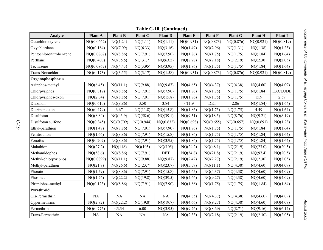| $1$ avit $C$ -10. (Continued) |            |                |           |                |                |                |                |           |                |  |
|-------------------------------|------------|----------------|-----------|----------------|----------------|----------------|----------------|-----------|----------------|--|
| Analyte                       | Plant A    | <b>Plant B</b> | Plant C   | <b>Plant D</b> | <b>Plant E</b> | <b>Plant F</b> | <b>Plant G</b> | Plant H   | <b>Plant I</b> |  |
| Octachlorostyrene             | NQ(0.0662) | NQ(1.24)       | NQ(1.11)  | NQ(1.11)       | NQ(0.931)      | NQ(0.873)      | NQ(0.876)      | NQ(0.921) | NQ(0.819)      |  |
| Oxychlordane                  | NQ(0.184)  | NQ(7.09)       | NQ(6.33)  | NQ(3.16)       | NQ(1.49)       | NQ(2.96)       | NQ(1.31)       | NQ(1.38)  | NQ(1.23)       |  |
| Pentochloronitrobenzene       | NQ(0.0867) | NQ(8.86)       | NQ(7.91)  | NQ(7.90)       | NQ(1.86)       | NQ(1.75)       | NQ(1.75)       | NQ(1.84)  | NQ(1.64)       |  |
| Perthane                      | NQ(0.403)  | NQ(35.5)       | NQ(31.7)  | NQ(63.2)       | NQ(8.78)       | NQ(2.18)       | NQ(2.19)       | NQ(2.30)  | NQ(2.05)       |  |
| Tecnazene                     | NQ(0.0867) | NQ(4.43)       | NQ(3.95)  | NQ(3.95)       | NQ(1.86)       | NQ(1.75)       | NQ(1.75)       | NQ(1.84)  | NQ(1.64)       |  |
| Trans-Nonachlor               | NQ(0.173)  | NQ(3.55)       | NQ(3.17)  | NQ(1.58)       | NQ(0.931)      | NQ(0.873)      | NQ(0.876)      | NQ(0.921) | NQ(0.819)      |  |
| Organophosphorus              |            |                |           |                |                |                |                |           |                |  |
| Azinphos-methyl               | NQ(6.45)   | NQ(11.1)       | NQ(9.88)  | NQ(9.87)       | NQ(4.65)       | NQ(4.37)       | NQ(4.38)       | NQ(4.60)  | NQ(4.09)       |  |
| Chlorpyriphos                 | NQ(0.817)  | NQ(8.86)       | NQ(7.91)  | NQ(7.90)       | NQ(1.86)       | NQ(1.75)       | NQ(1.75)       | NQ(1.84)  | <b>EXCLUDE</b> |  |
| Chlorpyriphos-oxon            | NQ(2.04)   | NQ(8.86)       | NQ(7.91)  | NQ(15.8)       | NQ(1.86)       | NQ(1.75)       | NQ(1.75)       | 15.9      | 2.59           |  |
| Diazinon                      | NQ(0.610)  | NQ(8.86)       | 3.50      | 3.84           | <11.9          | DET            | 2.86           | NQ(1.84)  | NQ(1.64)       |  |
| Diazinon oxon                 | NQ(0.479)  | 6.67           | NQ(11.8)  | NQ(15.8)       | NQ(1.86)       | NQ(1.75)       | NQ(1.75)       | 4.49      | NQ(1.64)       |  |
| Disulfoton                    | NQ(8.84)   | NQ(43.9)       | NQ(58.6)  | NQ(39.1)       | NQ(9.31)       | NQ(18.5)       | NQ(8.76)       | NQ(9.21)  | NQ(8.19)       |  |
| Disulfoton sulfone            | NQ(0.345)  | NQ(0.709)      | NQ(0.944) | NQ(0.632)      | NQ(0.698)      | NQ(0.655)      | NQ(0.657)      | NQ(0.691) | NQ(1.23)       |  |
| Ethyl-parathion               | NQ(1.48)   | NQ(8.86)       | NQ(7.91)  | NQ(7.90)       | NQ(1.86)       | NQ(1.75)       | NQ(1.75)       | NQ(1.84)  | NQ(1.64)       |  |
| Fenitrothion                  | NQ(1.66)   | NQ(8.86)       | NQ(7.91)  | NQ(15.8)       | NQ(1.86)       | NQ(1.75)       | NQ(1.75)       | NQ(1.84)  | NQ(1.64)       |  |
| Fonofos                       | NQ(0.207)  | NQ(8.86)       | NQ(7.91)  | NQ(3.95)       | NQ(1.86)       | NQ(1.75)       | NQ(1.75)       | NQ(1.84)  | NQ(1.64)       |  |
| Malathion                     | NQ(27.2)   | NQ(118)        | NQ(105)   | NQ(105)        | NQ(24.2)       | NQ(48.1)       | NQ(21.9)       | NQ(23.0)  | NQ(20.5)       |  |
| Methamidophos                 | NQ(58.6)   | NQ(8.86)       | NQ(7.91)  | <b>DET</b>     | NQ(34.8)       | NQ(21.8)       | NQ(21.9)       | NQ(97.4)  | NQ(20.5)       |  |
| Methyl-chlorpyriphos          | NQ(0.0899) | NQ(11.1)       | NQ(9.88)  | NQ(9.87)       | NQ(2.42)       | NQ(2.27)       | NQ(2.19)       | NQ(2.30)  | NQ(2.05)       |  |
| Methyl-parathion              | NQ(21.8)   | NQ(26.6)       | NQ(23.7)  | NQ(23.7)       | NQ(5.59)       | NQ(11.1)       | NQ(4.38)       | NQ(4.60)  | NQ(4.09)       |  |
| Phorate                       | NQ(1.59)   | NQ(8.86)       | NQ(7.91)  | NQ(15.8)       | NQ(4.65)       | NQ(4.37)       | NQ(4.38)       | NQ(4.60)  | NQ(4.09)       |  |
| Phosmet                       | NQ(1.26)   | NQ(22.2)       | NQ(19.8)  | NQ(39.5)       | NQ(4.66)       | NQ(9.27)       | NQ(4.38)       | NQ(4.60)  | NQ(4.09)       |  |
| Pirimiphos-methyl             | NQ(0.123)  | NQ(8.86)       | NO(7.91)  | NQ(7.90)       | NQ(1.86)       | NQ(1.75)       | NQ(1.75)       | NQ(1.84)  | NQ(1.64)       |  |
| Pyrethroid                    |            |                |           |                |                |                |                |           |                |  |
| Cis-Permethrin                | NA         | $\rm NA$       | NA        | <b>NA</b>      | NQ(4.65)       | NQ(4.37)       | NQ(4.38)       | NQ(4.60)  | NQ(4.09)       |  |
| Cypermethrins                 | NQ(2.82)   | NQ(22.2)       | NQ(19.8)  | NQ(19.7)       | NQ(4.66)       | NQ(9.27)       | NQ(4.38)       | NQ(4.60)  | NQ(4.09)       |  |
| Permethrin                    | NQ(0.775)  | $<$ 3.34       | 6.00      | NQ(3.95)       | NQ(9.26)       | NQ(8.69)       | NQ(8.71)       | NQ(9.16)  | NQ(6.14)       |  |
| Trans-Permethrin              | NA         | NA             | NA        | NA             | NQ(2.33)       | NQ(2.18)       | NQ(2.19)       | NQ(2.30)  | NQ(2.05)       |  |